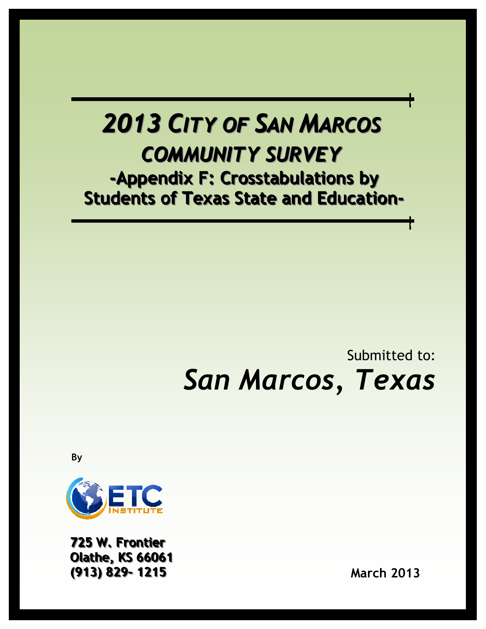# 2013 CITY OF SAN MARCOS COMMUNITY SURVEY -Appendix F: Crosstabulations by Students of Texas State and Education-

# Submitted to: San Marcos, Texas

By



725 W. Frontier **Olathe, KS 66061** ((913)) 829-- 1215 March 2013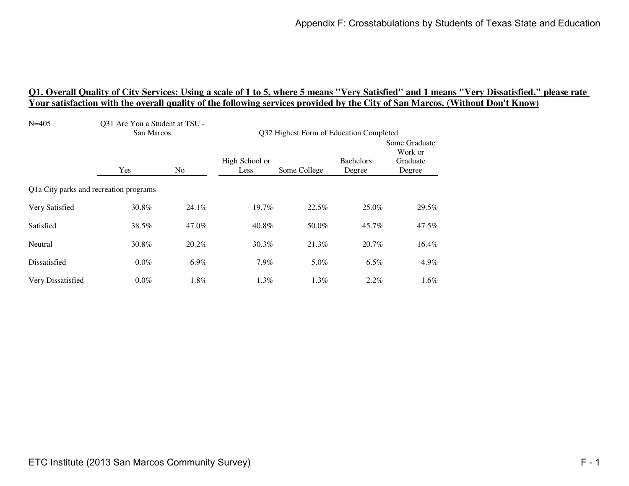| $N = 405$                              | Q31 Are You a Student at TSU -<br>San Marcos |         | Q32 Highest Form of Education Completed |              |                            |                                                |
|----------------------------------------|----------------------------------------------|---------|-----------------------------------------|--------------|----------------------------|------------------------------------------------|
|                                        | Yes                                          | No      | High School or<br>Less                  | Some College | <b>Bachelors</b><br>Degree | Some Graduate<br>Work or<br>Graduate<br>Degree |
| Q1a City parks and recreation programs |                                              |         |                                         |              |                            |                                                |
| Very Satisfied                         | 30.8%                                        | 24.1%   | 19.7%                                   | 22.5%        | 25.0%                      | 29.5%                                          |
| Satisfied                              | 38.5%                                        | 47.0%   | 40.8%                                   | 50.0%        | 45.7%                      | 47.5%                                          |
| Neutral                                | 30.8%                                        | 20.2%   | 30.3%                                   | 21.3%        | 20.7%                      | 16.4%                                          |
| Dissatisfied                           | $0.0\%$                                      | $6.9\%$ | $7.9\%$                                 | 5.0%         | 6.5%                       | $4.9\%$                                        |
| Very Dissatisfied                      | $0.0\%$                                      | 1.8%    | $1.3\%$                                 | $1.3\%$      | $2.2\%$                    | $1.6\%$                                        |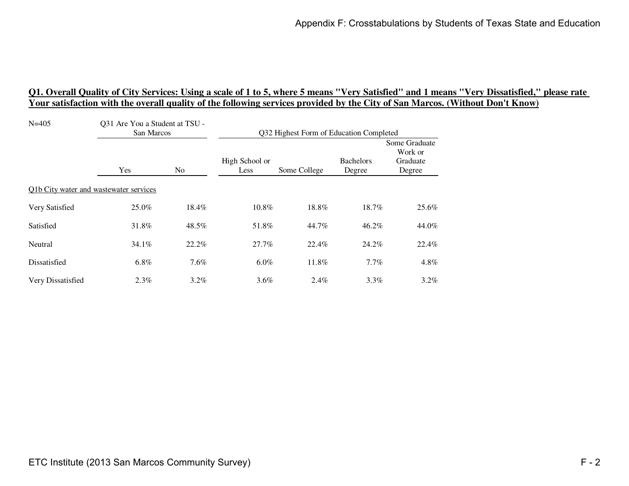| $N = 405$                              | Q31 Are You a Student at TSU -<br>San Marcos |         | Q32 Highest Form of Education Completed |              |                            |                                                |
|----------------------------------------|----------------------------------------------|---------|-----------------------------------------|--------------|----------------------------|------------------------------------------------|
|                                        | Yes                                          | No      | High School or<br>Less                  | Some College | <b>Bachelors</b><br>Degree | Some Graduate<br>Work or<br>Graduate<br>Degree |
| Q1b City water and wastewater services |                                              |         |                                         |              |                            |                                                |
| Very Satisfied                         | 25.0%                                        | 18.4%   | 10.8%                                   | 18.8%        | 18.7%                      | 25.6%                                          |
| Satisfied                              | 31.8%                                        | 48.5%   | 51.8%                                   | 44.7%        | 46.2%                      | 44.0%                                          |
| Neutral                                | 34.1%                                        | 22.2%   | 27.7%                                   | 22.4%        | 24.2%                      | 22.4%                                          |
| Dissatisfied                           | 6.8%                                         | $7.6\%$ | $6.0\%$                                 | 11.8%        | $7.7\%$                    | 4.8%                                           |
| Very Dissatisfied                      | $2.3\%$                                      | $3.2\%$ | $3.6\%$                                 | $2.4\%$      | $3.3\%$                    | $3.2\%$                                        |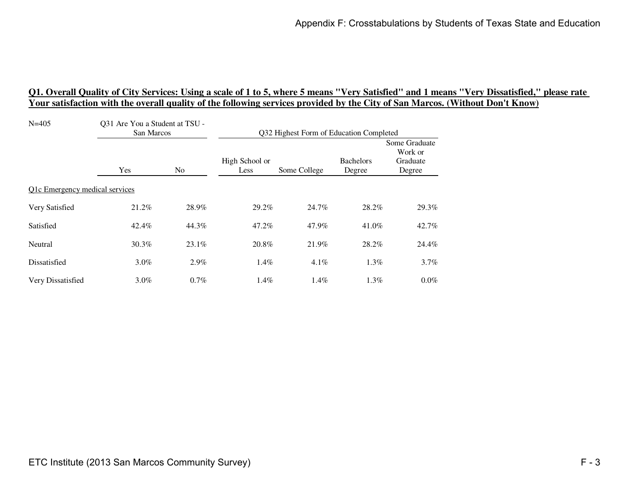| $N = 405$                      | Q31 Are You a Student at TSU -<br>San Marcos |                | Q32 Highest Form of Education Completed |              |                            |                                                |
|--------------------------------|----------------------------------------------|----------------|-----------------------------------------|--------------|----------------------------|------------------------------------------------|
|                                | Yes                                          | N <sub>0</sub> | High School or<br>Less                  | Some College | <b>Bachelors</b><br>Degree | Some Graduate<br>Work or<br>Graduate<br>Degree |
| Q1c Emergency medical services |                                              |                |                                         |              |                            |                                                |
| Very Satisfied                 | 21.2%                                        | 28.9%          | 29.2%                                   | 24.7%        | 28.2%                      | 29.3%                                          |
| Satisfied                      | 42.4%                                        | 44.3%          | 47.2%                                   | 47.9%        | 41.0%                      | 42.7%                                          |
| Neutral                        | 30.3%                                        | 23.1%          | 20.8%                                   | 21.9%        | 28.2%                      | 24.4%                                          |
| Dissatisfied                   | $3.0\%$                                      | 2.9%           | $1.4\%$                                 | 4.1%         | 1.3%                       | $3.7\%$                                        |
| Very Dissatisfied              | $3.0\%$                                      | $0.7\%$        | 1.4%                                    | 1.4%         | $1.3\%$                    | $0.0\%$                                        |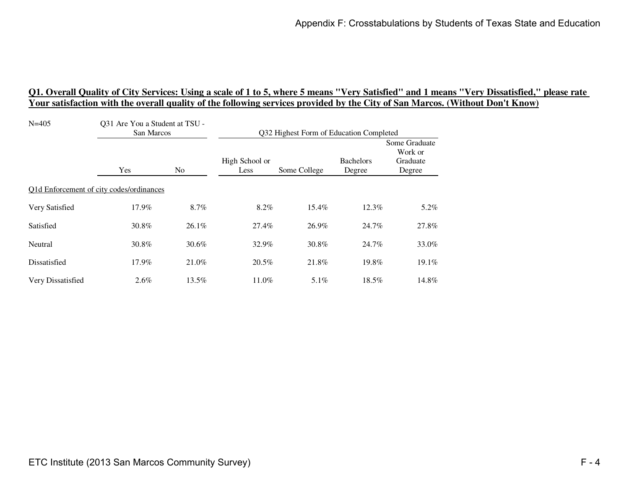| $N = 405$         | Q31 Are You a Student at TSU -<br>San Marcos |                | Q32 Highest Form of Education Completed |              |                            |                                                |
|-------------------|----------------------------------------------|----------------|-----------------------------------------|--------------|----------------------------|------------------------------------------------|
|                   | Yes                                          | N <sub>0</sub> | High School or<br>Less                  | Some College | <b>Bachelors</b><br>Degree | Some Graduate<br>Work or<br>Graduate<br>Degree |
|                   | Q1d Enforcement of city codes/ordinances     |                |                                         |              |                            |                                                |
| Very Satisfied    | 17.9%                                        | 8.7%           | 8.2%                                    | 15.4%        | 12.3%                      | 5.2%                                           |
| Satisfied         | 30.8%                                        | 26.1%          | 27.4%                                   | 26.9%        | 24.7%                      | 27.8%                                          |
| Neutral           | 30.8%                                        | 30.6%          | 32.9%                                   | 30.8%        | 24.7%                      | 33.0%                                          |
| Dissatisfied      | 17.9%                                        | 21.0%          | 20.5%                                   | 21.8%        | 19.8%                      | 19.1%                                          |
| Very Dissatisfied | $2.6\%$                                      | 13.5%          | 11.0%                                   | $5.1\%$      | 18.5%                      | 14.8%                                          |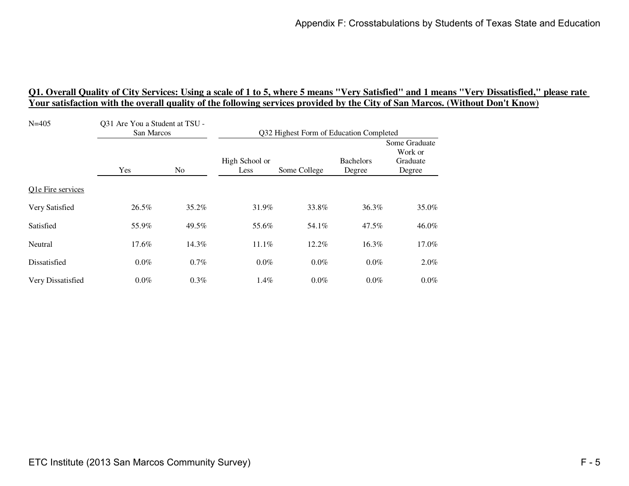| $N = 405$         | Q31 Are You a Student at TSU -<br>San Marcos |                | Q32 Highest Form of Education Completed |              |                            |                                                |
|-------------------|----------------------------------------------|----------------|-----------------------------------------|--------------|----------------------------|------------------------------------------------|
|                   | Yes                                          | N <sub>0</sub> | High School or<br>Less                  | Some College | <b>Bachelors</b><br>Degree | Some Graduate<br>Work or<br>Graduate<br>Degree |
| Q1e Fire services |                                              |                |                                         |              |                            |                                                |
| Very Satisfied    | 26.5%                                        | 35.2%          | 31.9%                                   | 33.8%        | 36.3%                      | 35.0%                                          |
| Satisfied         | 55.9%                                        | 49.5%          | 55.6%                                   | 54.1%        | 47.5%                      | 46.0%                                          |
| Neutral           | 17.6%                                        | 14.3%          | 11.1%                                   | 12.2%        | 16.3%                      | 17.0%                                          |
| Dissatisfied      | $0.0\%$                                      | $0.7\%$        | $0.0\%$                                 | $0.0\%$      | $0.0\%$                    | $2.0\%$                                        |
| Very Dissatisfied | $0.0\%$                                      | 0.3%           | 1.4%                                    | $0.0\%$      | $0.0\%$                    | $0.0\%$                                        |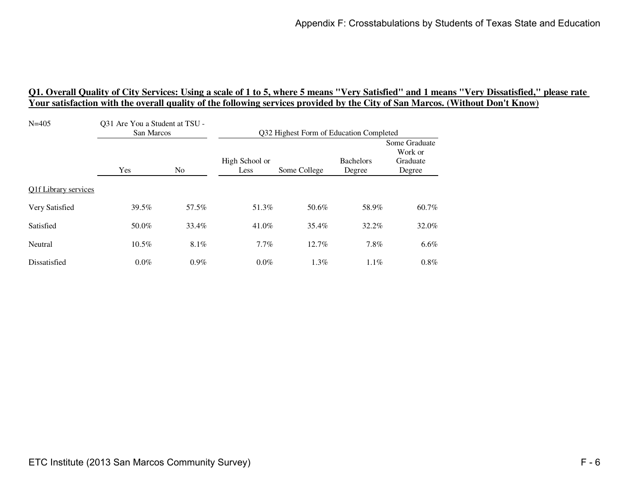| $N = 405$            | Q31 Are You a Student at TSU -<br>San Marcos |         | Q32 Highest Form of Education Completed |              |                            |                                                |
|----------------------|----------------------------------------------|---------|-----------------------------------------|--------------|----------------------------|------------------------------------------------|
|                      | Yes                                          | No      | High School or<br>Less                  | Some College | <b>Bachelors</b><br>Degree | Some Graduate<br>Work or<br>Graduate<br>Degree |
| Q1f Library services |                                              |         |                                         |              |                            |                                                |
| Very Satisfied       | 39.5%                                        | 57.5%   | 51.3%                                   | 50.6%        | 58.9%                      | 60.7%                                          |
| Satisfied            | 50.0%                                        | 33.4%   | 41.0%                                   | 35.4%        | 32.2%                      | 32.0%                                          |
| Neutral              | 10.5%                                        | $8.1\%$ | 7.7%                                    | 12.7%        | 7.8%                       | $6.6\%$                                        |
| Dissatisfied         | $0.0\%$                                      | $0.9\%$ | $0.0\%$                                 | 1.3%         | $1.1\%$                    | $0.8\%$                                        |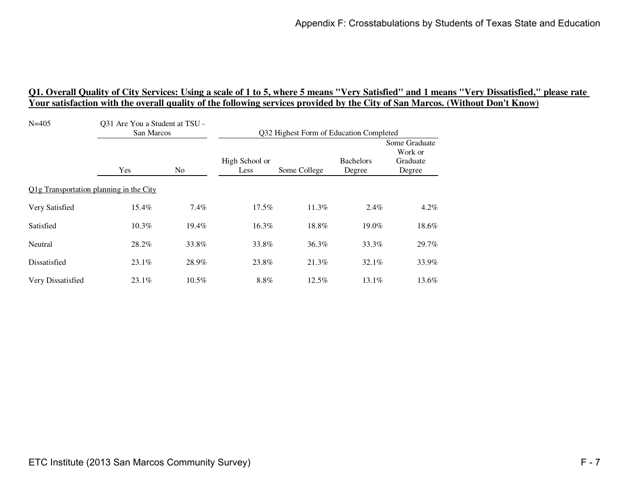| $N = 405$                               | Q31 Are You a Student at TSU -<br>San Marcos |          | Q32 Highest Form of Education Completed |              |                            |                                                |
|-----------------------------------------|----------------------------------------------|----------|-----------------------------------------|--------------|----------------------------|------------------------------------------------|
|                                         | Yes                                          | No       | High School or<br>Less                  | Some College | <b>Bachelors</b><br>Degree | Some Graduate<br>Work or<br>Graduate<br>Degree |
| Q1g Transportation planning in the City |                                              |          |                                         |              |                            |                                                |
| Very Satisfied                          | 15.4%                                        | 7.4%     | 17.5%                                   | 11.3%        | 2.4%                       | 4.2%                                           |
| Satisfied                               | 10.3%                                        | 19.4%    | 16.3%                                   | 18.8%        | 19.0%                      | 18.6%                                          |
| Neutral                                 | 28.2%                                        | 33.8%    | 33.8%                                   | 36.3%        | 33.3%                      | 29.7%                                          |
| Dissatisfied                            | $23.1\%$                                     | 28.9%    | 23.8%                                   | 21.3%        | 32.1%                      | 33.9%                                          |
| Very Dissatisfied                       | $23.1\%$                                     | $10.5\%$ | 8.8%                                    | $12.5\%$     | 13.1%                      | 13.6%                                          |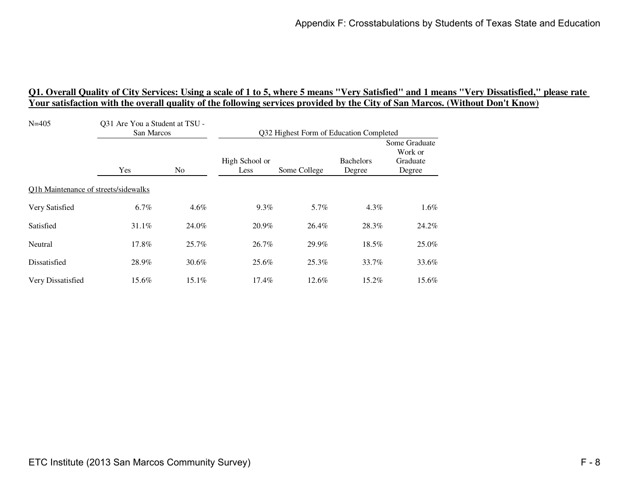| $N = 405$                            | Q31 Are You a Student at TSU -<br>San Marcos |       | Q32 Highest Form of Education Completed |              |                            |                                                |
|--------------------------------------|----------------------------------------------|-------|-----------------------------------------|--------------|----------------------------|------------------------------------------------|
|                                      | Yes                                          | No    | High School or<br>Less                  | Some College | <b>Bachelors</b><br>Degree | Some Graduate<br>Work or<br>Graduate<br>Degree |
| Q1h Maintenance of streets/sidewalks |                                              |       |                                         |              |                            |                                                |
| Very Satisfied                       | 6.7%                                         | 4.6%  | 9.3%                                    | 5.7%         | $4.3\%$                    | 1.6%                                           |
| Satisfied                            | 31.1%                                        | 24.0% | 20.9%                                   | 26.4%        | 28.3%                      | 24.2%                                          |
| Neutral                              | 17.8%                                        | 25.7% | 26.7%                                   | 29.9%        | 18.5%                      | 25.0%                                          |
| Dissatisfied                         | 28.9%                                        | 30.6% | 25.6%                                   | 25.3%        | 33.7%                      | 33.6%                                          |
| Very Dissatisfied                    | 15.6%                                        | 15.1% | $17.4\%$                                | 12.6%        | 15.2%                      | 15.6%                                          |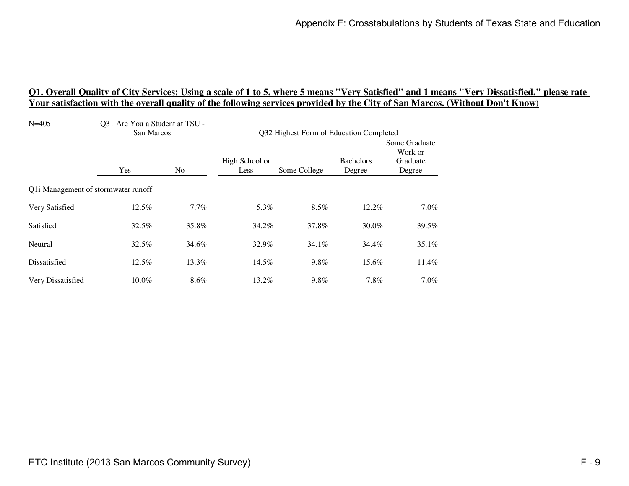| $N = 405$                           | Q31 Are You a Student at TSU -<br>San Marcos |                | Q32 Highest Form of Education Completed |              |                            |                                                |
|-------------------------------------|----------------------------------------------|----------------|-----------------------------------------|--------------|----------------------------|------------------------------------------------|
|                                     | Yes                                          | N <sub>0</sub> | High School or<br>Less                  | Some College | <b>Bachelors</b><br>Degree | Some Graduate<br>Work or<br>Graduate<br>Degree |
| Q1i Management of stormwater runoff |                                              |                |                                         |              |                            |                                                |
| Very Satisfied                      | 12.5%                                        | 7.7%           | 5.3%                                    | 8.5%         | 12.2%                      | $7.0\%$                                        |
| Satisfied                           | 32.5%                                        | 35.8%          | 34.2%                                   | 37.8%        | 30.0%                      | 39.5%                                          |
| Neutral                             | 32.5%                                        | 34.6%          | 32.9%                                   | 34.1%        | 34.4%                      | 35.1%                                          |
| Dissatisfied                        | 12.5%                                        | 13.3%          | 14.5%                                   | 9.8%         | 15.6%                      | 11.4%                                          |
| Very Dissatisfied                   | 10.0%                                        | 8.6%           | 13.2%                                   | 9.8%         | 7.8%                       | $7.0\%$                                        |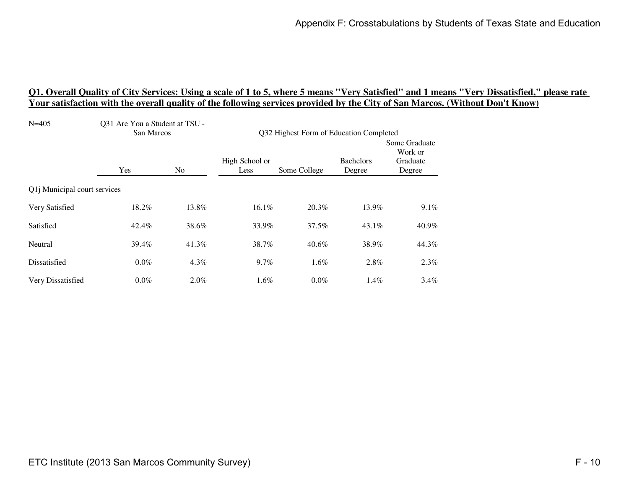| $N = 405$                    | Q31 Are You a Student at TSU -<br>San Marcos |                | Q32 Highest Form of Education Completed |              |                            |                                                |
|------------------------------|----------------------------------------------|----------------|-----------------------------------------|--------------|----------------------------|------------------------------------------------|
|                              | Yes                                          | N <sub>0</sub> | High School or<br>Less                  | Some College | <b>Bachelors</b><br>Degree | Some Graduate<br>Work or<br>Graduate<br>Degree |
| Q1j Municipal court services |                                              |                |                                         |              |                            |                                                |
| Very Satisfied               | 18.2%                                        | 13.8%          | 16.1%                                   | 20.3%        | 13.9%                      | $9.1\%$                                        |
| Satisfied                    | 42.4%                                        | 38.6%          | 33.9%                                   | 37.5%        | $43.1\%$                   | 40.9%                                          |
| Neutral                      | 39.4%                                        | 41.3%          | 38.7%                                   | $40.6\%$     | 38.9%                      | 44.3%                                          |
| Dissatisfied                 | $0.0\%$                                      | 4.3%           | 9.7%                                    | $1.6\%$      | 2.8%                       | 2.3%                                           |
| Very Dissatisfied            | $0.0\%$                                      | $2.0\%$        | 1.6%                                    | $0.0\%$      | 1.4%                       | $3.4\%$                                        |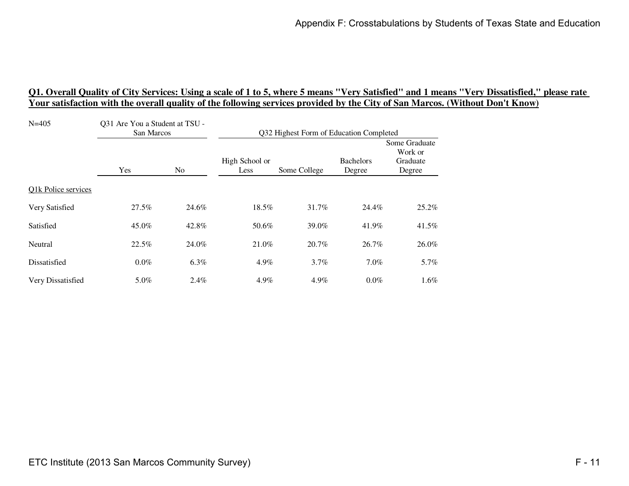| $N = 405$           | Q31 Are You a Student at TSU -<br>San Marcos |         | Q32 Highest Form of Education Completed |              |                            |                                                |
|---------------------|----------------------------------------------|---------|-----------------------------------------|--------------|----------------------------|------------------------------------------------|
|                     | Yes                                          | No      | High School or<br>Less                  | Some College | <b>Bachelors</b><br>Degree | Some Graduate<br>Work or<br>Graduate<br>Degree |
| Q1k Police services |                                              |         |                                         |              |                            |                                                |
| Very Satisfied      | 27.5%                                        | 24.6%   | 18.5%                                   | 31.7%        | 24.4%                      | 25.2%                                          |
| Satisfied           | 45.0%                                        | 42.8%   | 50.6%                                   | 39.0%        | 41.9%                      | 41.5%                                          |
| Neutral             | 22.5%                                        | 24.0%   | 21.0%                                   | 20.7%        | 26.7%                      | 26.0%                                          |
| Dissatisfied        | $0.0\%$                                      | $6.3\%$ | 4.9%                                    | $3.7\%$      | $7.0\%$                    | 5.7%                                           |
| Very Dissatisfied   | 5.0%                                         | 2.4%    | 4.9%                                    | 4.9%         | $0.0\%$                    | $1.6\%$                                        |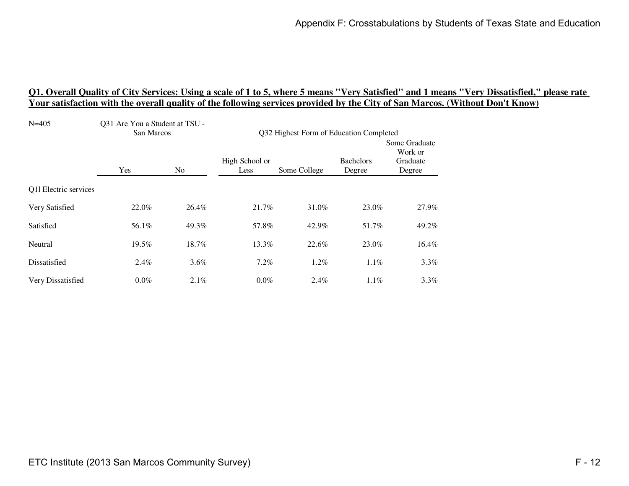| $N = 405$             | Q31 Are You a Student at TSU -<br>San Marcos |         | Q32 Highest Form of Education Completed |              |                            |                                                |
|-----------------------|----------------------------------------------|---------|-----------------------------------------|--------------|----------------------------|------------------------------------------------|
|                       | Yes                                          | No      | High School or<br>Less                  | Some College | <b>Bachelors</b><br>Degree | Some Graduate<br>Work or<br>Graduate<br>Degree |
| Q11 Electric services |                                              |         |                                         |              |                            |                                                |
| Very Satisfied        | 22.0%                                        | 26.4%   | 21.7%                                   | 31.0%        | 23.0%                      | 27.9%                                          |
| Satisfied             | 56.1%                                        | 49.3%   | 57.8%                                   | 42.9%        | 51.7%                      | 49.2%                                          |
| Neutral               | 19.5%                                        | 18.7%   | 13.3%                                   | 22.6%        | 23.0%                      | 16.4%                                          |
| Dissatisfied          | 2.4%                                         | 3.6%    | 7.2%                                    | 1.2%         | $1.1\%$                    | $3.3\%$                                        |
| Very Dissatisfied     | $0.0\%$                                      | $2.1\%$ | $0.0\%$                                 | $2.4\%$      | $1.1\%$                    | $3.3\%$                                        |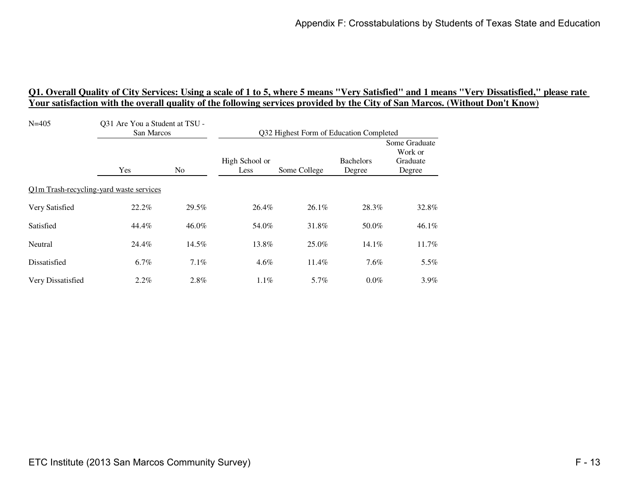| $N = 405$                               | Q31 Are You a Student at TSU -<br>San Marcos |         | Q32 Highest Form of Education Completed |              |                            |                                                |
|-----------------------------------------|----------------------------------------------|---------|-----------------------------------------|--------------|----------------------------|------------------------------------------------|
|                                         | Yes                                          | No      | High School or<br>Less                  | Some College | <b>Bachelors</b><br>Degree | Some Graduate<br>Work or<br>Graduate<br>Degree |
| Q1m Trash-recycling-yard waste services |                                              |         |                                         |              |                            |                                                |
| Very Satisfied                          | 22.2%                                        | 29.5%   | 26.4%                                   | 26.1%        | 28.3%                      | 32.8%                                          |
| Satisfied                               | 44.4%                                        | 46.0%   | 54.0%                                   | 31.8%        | 50.0%                      | 46.1%                                          |
| Neutral                                 | 24.4%                                        | 14.5%   | 13.8%                                   | 25.0%        | 14.1%                      | 11.7%                                          |
| Dissatisfied                            | $6.7\%$                                      | $7.1\%$ | 4.6%                                    | 11.4%        | 7.6%                       | $5.5\%$                                        |
| Very Dissatisfied                       | $2.2\%$                                      | 2.8%    | $1.1\%$                                 | 5.7%         | $0.0\%$                    | $3.9\%$                                        |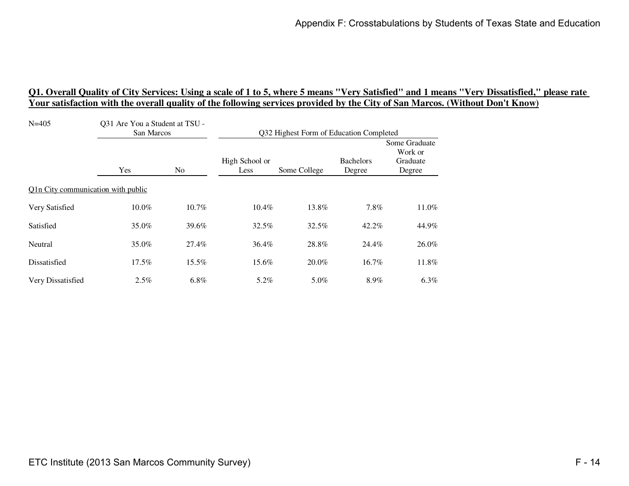| $N = 405$                          | Q31 Are You a Student at TSU -<br>San Marcos |          | Q32 Highest Form of Education Completed |              |                            |                                                |
|------------------------------------|----------------------------------------------|----------|-----------------------------------------|--------------|----------------------------|------------------------------------------------|
|                                    | Yes                                          | No       | High School or<br>Less                  | Some College | <b>Bachelors</b><br>Degree | Some Graduate<br>Work or<br>Graduate<br>Degree |
| Q1n City communication with public |                                              |          |                                         |              |                            |                                                |
| Very Satisfied                     | 10.0%                                        | 10.7%    | 10.4%                                   | 13.8%        | 7.8%                       | 11.0%                                          |
| Satisfied                          | 35.0%                                        | 39.6%    | 32.5%                                   | 32.5%        | 42.2%                      | 44.9%                                          |
| Neutral                            | 35.0%                                        | 27.4%    | 36.4%                                   | 28.8%        | 24.4%                      | 26.0%                                          |
| Dissatisfied                       | $17.5\%$                                     | $15.5\%$ | 15.6%                                   | 20.0%        | 16.7%                      | 11.8%                                          |
| Very Dissatisfied                  | 2.5%                                         | $6.8\%$  | 5.2%                                    | 5.0%         | 8.9%                       | $6.3\%$                                        |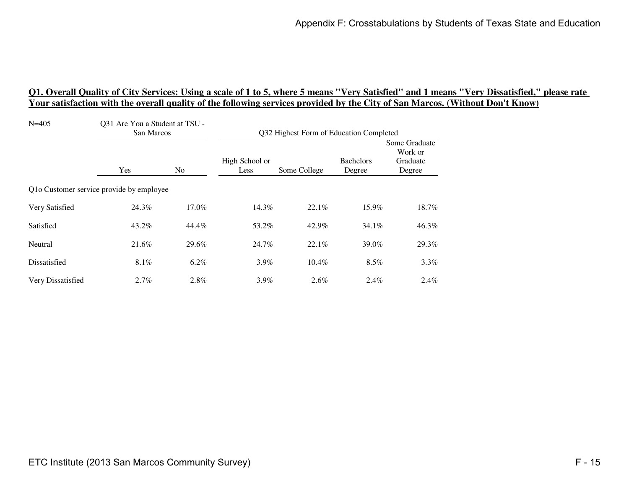| $N = 405$                                | Q31 Are You a Student at TSU -<br>San Marcos |         | Q32 Highest Form of Education Completed |              |                            |                                                |
|------------------------------------------|----------------------------------------------|---------|-----------------------------------------|--------------|----------------------------|------------------------------------------------|
|                                          | Yes                                          | No.     | High School or<br>Less                  | Some College | <b>Bachelors</b><br>Degree | Some Graduate<br>Work or<br>Graduate<br>Degree |
| Q1o Customer service provide by employee |                                              |         |                                         |              |                            |                                                |
| Very Satisfied                           | 24.3%                                        | 17.0%   | 14.3%                                   | 22.1%        | 15.9%                      | 18.7%                                          |
| Satisfied                                | 43.2%                                        | 44.4%   | 53.2%                                   | 42.9%        | $34.1\%$                   | 46.3%                                          |
| Neutral                                  | 21.6%                                        | 29.6%   | 24.7%                                   | 22.1%        | 39.0%                      | 29.3%                                          |
| Dissatisfied                             | $8.1\%$                                      | $6.2\%$ | $3.9\%$                                 | 10.4%        | $8.5\%$                    | $3.3\%$                                        |
| Very Dissatisfied                        | $2.7\%$                                      | 2.8%    | $3.9\%$                                 | $2.6\%$      | $2.4\%$                    | $2.4\%$                                        |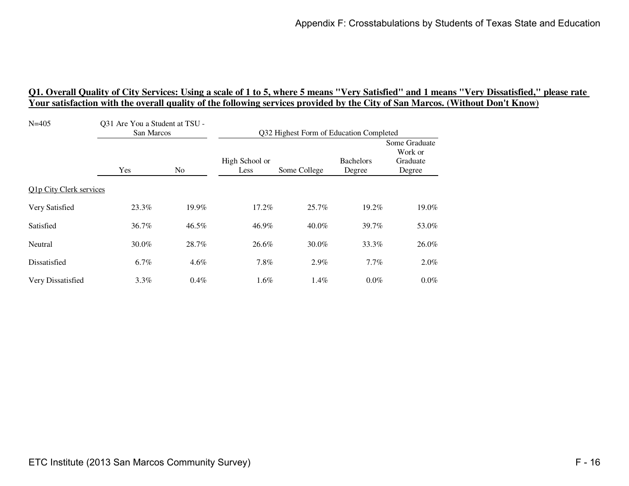| $N = 405$               | Q31 Are You a Student at TSU -<br>San Marcos |                | Q32 Highest Form of Education Completed |              |                            |                                                |  |
|-------------------------|----------------------------------------------|----------------|-----------------------------------------|--------------|----------------------------|------------------------------------------------|--|
|                         | Yes                                          | N <sub>0</sub> | High School or<br>Less                  | Some College | <b>Bachelors</b><br>Degree | Some Graduate<br>Work or<br>Graduate<br>Degree |  |
| Q1p City Clerk services |                                              |                |                                         |              |                            |                                                |  |
| Very Satisfied          | 23.3%                                        | 19.9%          | 17.2%                                   | 25.7%        | 19.2%                      | 19.0%                                          |  |
| Satisfied               | 36.7%                                        | 46.5%          | 46.9%                                   | $40.0\%$     | 39.7%                      | 53.0%                                          |  |
| Neutral                 | 30.0%                                        | 28.7%          | 26.6%                                   | 30.0%        | 33.3%                      | 26.0%                                          |  |
| Dissatisfied            | $6.7\%$                                      | 4.6%           | $7.8\%$                                 | 2.9%         | $7.7\%$                    | $2.0\%$                                        |  |
| Very Dissatisfied       | $3.3\%$                                      | 0.4%           | 1.6%                                    | 1.4%         | $0.0\%$                    | $0.0\%$                                        |  |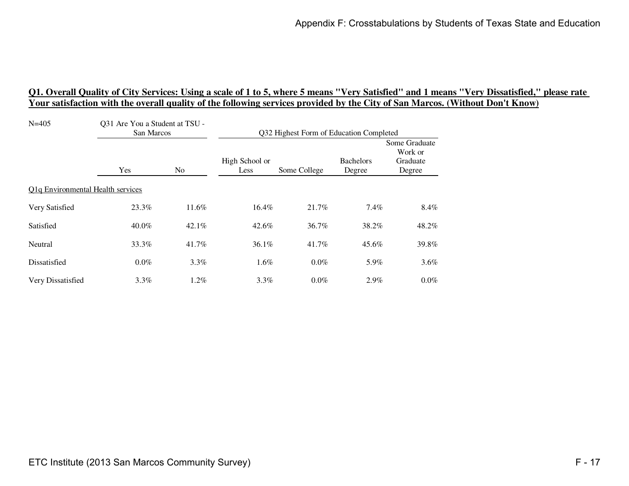| $N = 405$                         | Q31 Are You a Student at TSU -<br>San Marcos |                | Q32 Highest Form of Education Completed |              |                            |                                                |
|-----------------------------------|----------------------------------------------|----------------|-----------------------------------------|--------------|----------------------------|------------------------------------------------|
|                                   | Yes                                          | N <sub>0</sub> | High School or<br>Less                  | Some College | <b>Bachelors</b><br>Degree | Some Graduate<br>Work or<br>Graduate<br>Degree |
| Q1q Environmental Health services |                                              |                |                                         |              |                            |                                                |
| Very Satisfied                    | 23.3%                                        | 11.6%          | 16.4%                                   | 21.7%        | 7.4%                       | 8.4%                                           |
| Satisfied                         | 40.0%                                        | $42.1\%$       | 42.6%                                   | 36.7%        | 38.2%                      | 48.2%                                          |
| Neutral                           | 33.3%                                        | 41.7%          | 36.1%                                   | 41.7%        | 45.6%                      | 39.8%                                          |
| Dissatisfied                      | $0.0\%$                                      | $3.3\%$        | $1.6\%$                                 | $0.0\%$      | 5.9%                       | $3.6\%$                                        |
| Very Dissatisfied                 | $3.3\%$                                      | $1.2\%$        | $3.3\%$                                 | $0.0\%$      | 2.9%                       | $0.0\%$                                        |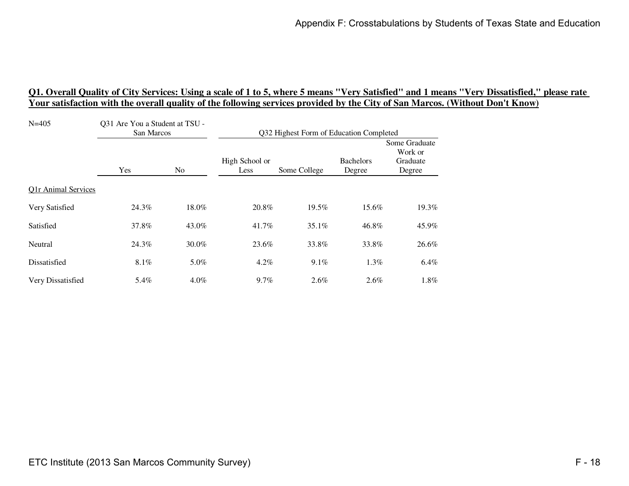| $N = 405$                  | Q31 Are You a Student at TSU -<br>San Marcos |         | Q32 Highest Form of Education Completed |              |                            |                                                |
|----------------------------|----------------------------------------------|---------|-----------------------------------------|--------------|----------------------------|------------------------------------------------|
|                            | Yes                                          | No      | High School or<br>Less                  | Some College | <b>Bachelors</b><br>Degree | Some Graduate<br>Work or<br>Graduate<br>Degree |
| <b>Q1r Animal Services</b> |                                              |         |                                         |              |                            |                                                |
| Very Satisfied             | 24.3%                                        | 18.0%   | 20.8%                                   | 19.5%        | 15.6%                      | 19.3%                                          |
| Satisfied                  | 37.8%                                        | 43.0%   | 41.7%                                   | 35.1%        | 46.8%                      | 45.9%                                          |
| Neutral                    | 24.3%                                        | 30.0%   | 23.6%                                   | 33.8%        | 33.8%                      | 26.6%                                          |
| Dissatisfied               | 8.1%                                         | 5.0%    | $4.2\%$                                 | 9.1%         | 1.3%                       | 6.4%                                           |
| Very Dissatisfied          | 5.4%                                         | $4.0\%$ | 9.7%                                    | $2.6\%$      | $2.6\%$                    | 1.8%                                           |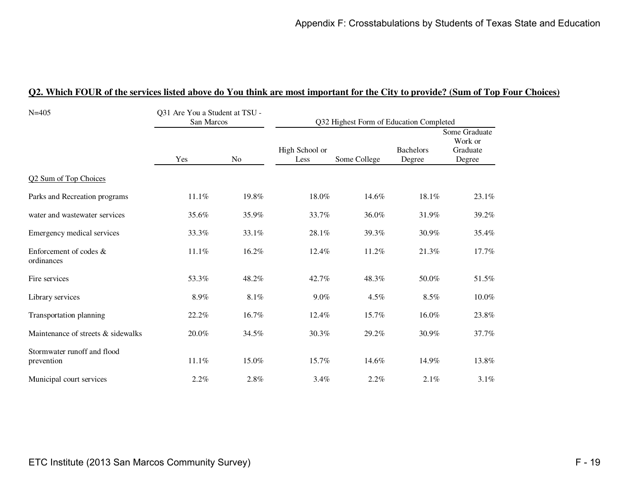| Q2. Which FOUR of the services listed above do You think are most important for the City to provide? (Sum of Top Four Choices) |  |  |
|--------------------------------------------------------------------------------------------------------------------------------|--|--|
|                                                                                                                                |  |  |

| $N = 405$                                 | Q31 Are You a Student at TSU -<br>San Marcos |         |                        | Q32 Highest Form of Education Completed |                            |                                                |
|-------------------------------------------|----------------------------------------------|---------|------------------------|-----------------------------------------|----------------------------|------------------------------------------------|
|                                           | Yes                                          | No      | High School or<br>Less | Some College                            | <b>Bachelors</b><br>Degree | Some Graduate<br>Work or<br>Graduate<br>Degree |
| Q2 Sum of Top Choices                     |                                              |         |                        |                                         |                            |                                                |
| Parks and Recreation programs             | 11.1%                                        | 19.8%   | 18.0%                  | 14.6%                                   | 18.1%                      | 23.1%                                          |
| water and wastewater services             | 35.6%                                        | 35.9%   | 33.7%                  | 36.0%                                   | 31.9%                      | 39.2%                                          |
| Emergency medical services                | 33.3%                                        | 33.1%   | 28.1%                  | 39.3%                                   | 30.9%                      | 35.4%                                          |
| Enforcement of codes $\&$<br>ordinances   | 11.1%                                        | 16.2%   | 12.4%                  | 11.2%                                   | 21.3%                      | 17.7%                                          |
| Fire services                             | 53.3%                                        | 48.2%   | 42.7%                  | 48.3%                                   | 50.0%                      | 51.5%                                          |
| Library services                          | 8.9%                                         | $8.1\%$ | 9.0%                   | 4.5%                                    | 8.5%                       | 10.0%                                          |
| Transportation planning                   | 22.2%                                        | 16.7%   | 12.4%                  | 15.7%                                   | 16.0%                      | 23.8%                                          |
| Maintenance of streets & sidewalks        | 20.0%                                        | 34.5%   | 30.3%                  | 29.2%                                   | 30.9%                      | 37.7%                                          |
| Stormwater runoff and flood<br>prevention | 11.1%                                        | 15.0%   | 15.7%                  | 14.6%                                   | 14.9%                      | 13.8%                                          |
| Municipal court services                  | 2.2%                                         | 2.8%    | 3.4%                   | 2.2%                                    | 2.1%                       | 3.1%                                           |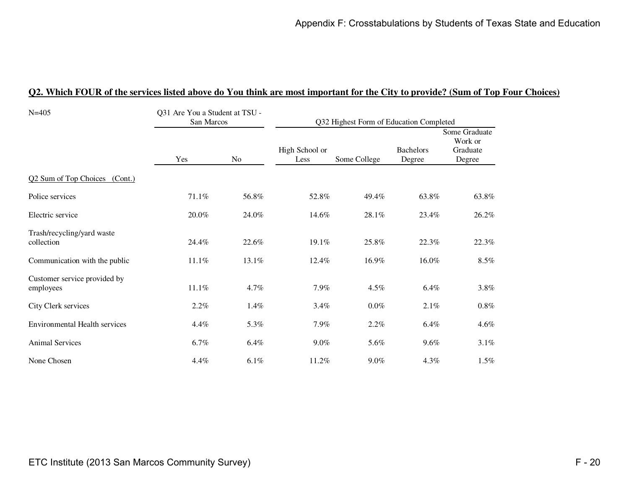#### **Q2. Which FOUR of the services listed above do You think are most important for the City to provide? (Sum of Top Four Choices)**

| $N = 405$                                 | Q31 Are You a Student at TSU -<br>San Marcos |         |                        | Q32 Highest Form of Education Completed |                            |                                                |
|-------------------------------------------|----------------------------------------------|---------|------------------------|-----------------------------------------|----------------------------|------------------------------------------------|
|                                           | Yes                                          | No      | High School or<br>Less | Some College                            | <b>Bachelors</b><br>Degree | Some Graduate<br>Work or<br>Graduate<br>Degree |
| Q2 Sum of Top Choices (Cont.)             |                                              |         |                        |                                         |                            |                                                |
| Police services                           | 71.1%                                        | 56.8%   | 52.8%                  | 49.4%                                   | 63.8%                      | 63.8%                                          |
| Electric service                          | 20.0%                                        | 24.0%   | 14.6%                  | 28.1%                                   | 23.4%                      | 26.2%                                          |
| Trash/recycling/yard waste<br>collection  | 24.4%                                        | 22.6%   | 19.1%                  | 25.8%                                   | 22.3%                      | 22.3%                                          |
| Communication with the public             | 11.1%                                        | 13.1%   | 12.4%                  | 16.9%                                   | 16.0%                      | $8.5\%$                                        |
| Customer service provided by<br>employees | 11.1%                                        | 4.7%    | 7.9%                   | 4.5%                                    | 6.4%                       | 3.8%                                           |
| City Clerk services                       | 2.2%                                         | 1.4%    | 3.4%                   | $0.0\%$                                 | 2.1%                       | $0.8\%$                                        |
| <b>Environmental Health services</b>      | 4.4%                                         | 5.3%    | 7.9%                   | 2.2%                                    | 6.4%                       | 4.6%                                           |
| <b>Animal Services</b>                    | 6.7%                                         | $6.4\%$ | $9.0\%$                | 5.6%                                    | 9.6%                       | $3.1\%$                                        |
| None Chosen                               | 4.4%                                         | $6.1\%$ | 11.2%                  | $9.0\%$                                 | 4.3%                       | 1.5%                                           |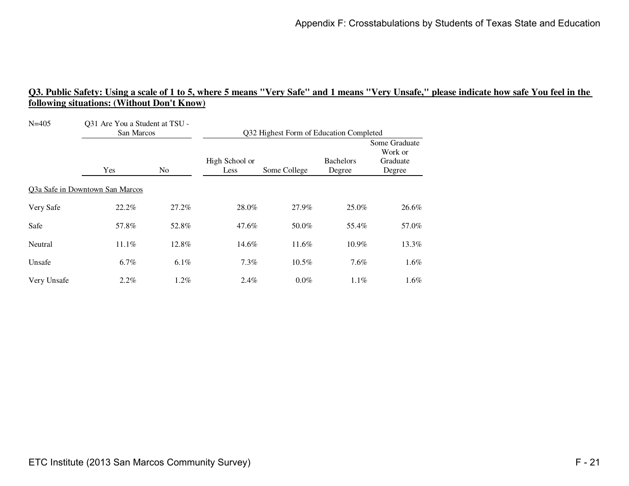| $N = 405$   | Q31 Are You a Student at TSU -<br>San Marcos |       | Q32 Highest Form of Education Completed |              |                            |                                                |
|-------------|----------------------------------------------|-------|-----------------------------------------|--------------|----------------------------|------------------------------------------------|
|             | Yes<br>N <sub>o</sub>                        |       | High School or<br>Less                  | Some College | <b>Bachelors</b><br>Degree | Some Graduate<br>Work or<br>Graduate<br>Degree |
|             | Q3a Safe in Downtown San Marcos              |       |                                         |              |                            |                                                |
| Very Safe   | 22.2%                                        | 27.2% | 28.0%                                   | 27.9%        | 25.0%                      | 26.6%                                          |
| Safe        | 57.8%                                        | 52.8% | 47.6%                                   | 50.0%        | 55.4%                      | 57.0%                                          |
| Neutral     | 11.1%                                        | 12.8% | 14.6%                                   | 11.6%        | 10.9%                      | 13.3%                                          |
| Unsafe      | 6.7%                                         | 6.1%  | 7.3%                                    | 10.5%        | 7.6%                       | $1.6\%$                                        |
| Very Unsafe | 2.2%                                         | 1.2%  | 2.4%                                    | $0.0\%$      | $1.1\%$                    | $1.6\%$                                        |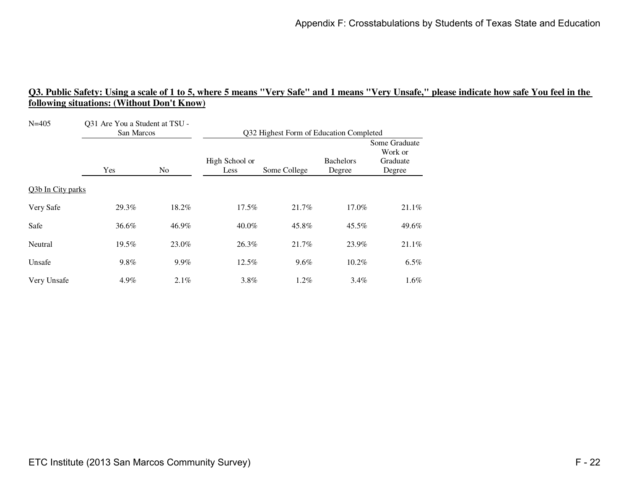| $N = 405$         | Q31 Are You a Student at TSU -<br>San Marcos |       | Q32 Highest Form of Education Completed |              |                            |                                                |  |
|-------------------|----------------------------------------------|-------|-----------------------------------------|--------------|----------------------------|------------------------------------------------|--|
|                   | Yes                                          | No.   | High School or<br>Less                  | Some College | <b>Bachelors</b><br>Degree | Some Graduate<br>Work or<br>Graduate<br>Degree |  |
| Q3b In City parks |                                              |       |                                         |              |                            |                                                |  |
| Very Safe         | 29.3%                                        | 18.2% | 17.5%                                   | 21.7%        | 17.0%                      | 21.1%                                          |  |
| Safe              | 36.6%                                        | 46.9% | $40.0\%$                                | 45.8%        | 45.5%                      | 49.6%                                          |  |
| Neutral           | 19.5%                                        | 23.0% | 26.3%                                   | 21.7%        | 23.9%                      | 21.1%                                          |  |
| Unsafe            | 9.8%                                         | 9.9%  | 12.5%                                   | 9.6%         | 10.2%                      | $6.5\%$                                        |  |
| Very Unsafe       | 4.9%                                         | 2.1%  | 3.8%                                    | $1.2\%$      | $3.4\%$                    | 1.6%                                           |  |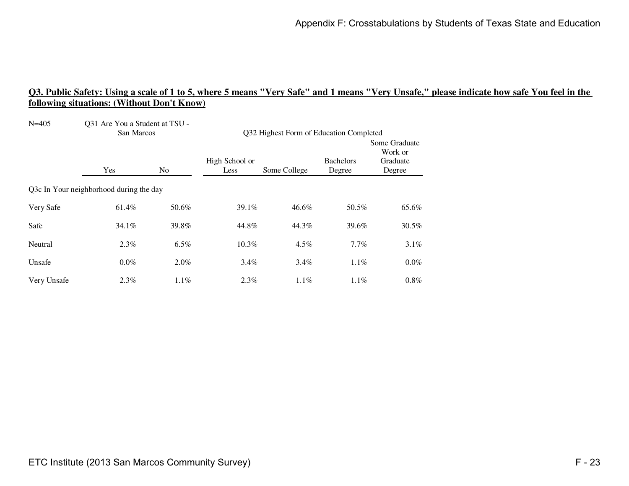| $N = 405$   | Q31 Are You a Student at TSU -<br>San Marcos |         | Q32 Highest Form of Education Completed |              |                            |                                                |  |
|-------------|----------------------------------------------|---------|-----------------------------------------|--------------|----------------------------|------------------------------------------------|--|
|             | Yes<br>No.                                   |         | High School or<br>Less                  | Some College | <b>Bachelors</b><br>Degree | Some Graduate<br>Work or<br>Graduate<br>Degree |  |
|             | Q3c In Your neighborhood during the day      |         |                                         |              |                            |                                                |  |
| Very Safe   | 61.4%                                        | 50.6%   | 39.1%                                   | 46.6%        | 50.5%                      | 65.6%                                          |  |
| Safe        | 34.1%                                        | 39.8%   | 44.8%                                   | 44.3%        | 39.6%                      | 30.5%                                          |  |
| Neutral     | 2.3%                                         | 6.5%    | $10.3\%$                                | $4.5\%$      | 7.7%                       | $3.1\%$                                        |  |
| Unsafe      | $0.0\%$                                      | 2.0%    | $3.4\%$                                 | 3.4%         | $1.1\%$                    | $0.0\%$                                        |  |
| Very Unsafe | 2.3%                                         | $1.1\%$ | 2.3%                                    | $1.1\%$      | 1.1%                       | $0.8\%$                                        |  |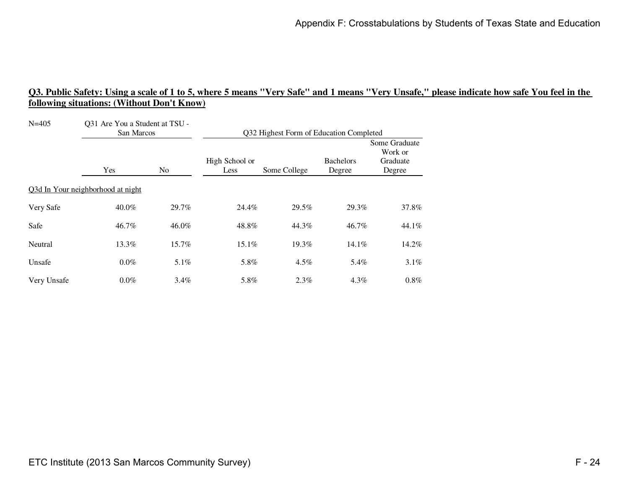| $N = 405$   | Q31 Are You a Student at TSU -<br>San Marcos |         | Q32 Highest Form of Education Completed |              |                            |                                                |  |
|-------------|----------------------------------------------|---------|-----------------------------------------|--------------|----------------------------|------------------------------------------------|--|
|             | Yes                                          | No.     | High School or<br>Less                  | Some College | <b>Bachelors</b><br>Degree | Some Graduate<br>Work or<br>Graduate<br>Degree |  |
|             | Q3d In Your neighborhood at night            |         |                                         |              |                            |                                                |  |
| Very Safe   | 40.0%                                        | 29.7%   | 24.4%                                   | 29.5%        | 29.3%                      | 37.8%                                          |  |
| Safe        | 46.7%                                        | 46.0%   | 48.8%                                   | 44.3%        | 46.7%                      | 44.1%                                          |  |
| Neutral     | 13.3%                                        | 15.7%   | 15.1%                                   | 19.3%        | 14.1%                      | 14.2%                                          |  |
| Unsafe      | $0.0\%$                                      | 5.1%    | 5.8%                                    | 4.5%         | 5.4%                       | $3.1\%$                                        |  |
| Very Unsafe | $0.0\%$                                      | $3.4\%$ | 5.8%                                    | $2.3\%$      | 4.3%                       | $0.8\%$                                        |  |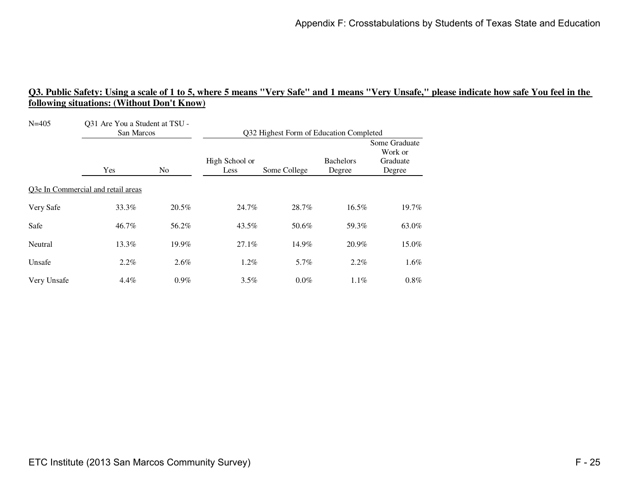| $N = 405$   | Q31 Are You a Student at TSU -<br>San Marcos |         | Q32 Highest Form of Education Completed |              |                            |                                                |  |
|-------------|----------------------------------------------|---------|-----------------------------------------|--------------|----------------------------|------------------------------------------------|--|
|             | Yes                                          | No.     | High School or<br>Less                  | Some College | <b>Bachelors</b><br>Degree | Some Graduate<br>Work or<br>Graduate<br>Degree |  |
|             | Q3e In Commercial and retail areas           |         |                                         |              |                            |                                                |  |
| Very Safe   | 33.3%                                        | 20.5%   | 24.7%                                   | 28.7%        | 16.5%                      | 19.7%                                          |  |
| Safe        | 46.7%                                        | 56.2%   | 43.5%                                   | 50.6%        | 59.3%                      | 63.0%                                          |  |
| Neutral     | 13.3%                                        | 19.9%   | 27.1%                                   | 14.9%        | 20.9%                      | 15.0%                                          |  |
| Unsafe      | 2.2%                                         | 2.6%    | 1.2%                                    | 5.7%         | 2.2%                       | $1.6\%$                                        |  |
| Very Unsafe | 4.4%                                         | $0.9\%$ | 3.5%                                    | $0.0\%$      | $1.1\%$                    | $0.8\%$                                        |  |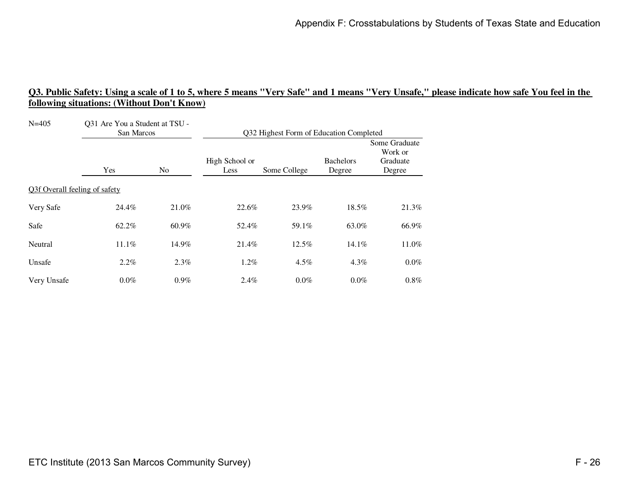| $N = 405$                     | Q31 Are You a Student at TSU -<br>San Marcos |         | Q32 Highest Form of Education Completed |              |                            |                                                |  |
|-------------------------------|----------------------------------------------|---------|-----------------------------------------|--------------|----------------------------|------------------------------------------------|--|
|                               | Yes                                          | No      | High School or<br>Less                  | Some College | <b>Bachelors</b><br>Degree | Some Graduate<br>Work or<br>Graduate<br>Degree |  |
| Q3f Overall feeling of safety |                                              |         |                                         |              |                            |                                                |  |
| Very Safe                     | 24.4%                                        | 21.0%   | 22.6%                                   | 23.9%        | 18.5%                      | 21.3%                                          |  |
| Safe                          | 62.2%                                        | 60.9%   | 52.4%                                   | 59.1%        | 63.0%                      | 66.9%                                          |  |
| Neutral                       | 11.1%                                        | 14.9%   | 21.4%                                   | 12.5%        | 14.1%                      | 11.0%                                          |  |
| Unsafe                        | 2.2%                                         | 2.3%    | 1.2%                                    | 4.5%         | 4.3%                       | $0.0\%$                                        |  |
| Very Unsafe                   | $0.0\%$                                      | $0.9\%$ | $2.4\%$                                 | $0.0\%$      | $0.0\%$                    | $0.8\%$                                        |  |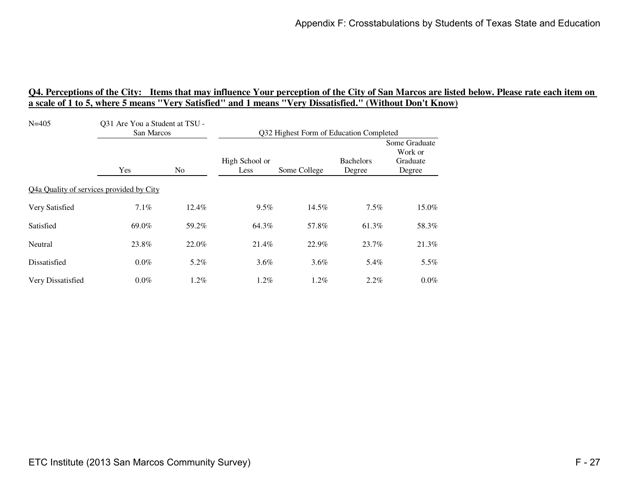| $N = 405$         | Q31 Are You a Student at TSU -<br>San Marcos |       | Q32 Highest Form of Education Completed |              |                            |                                                |
|-------------------|----------------------------------------------|-------|-----------------------------------------|--------------|----------------------------|------------------------------------------------|
|                   | Yes                                          | No    | High School or<br>Less                  | Some College | <b>Bachelors</b><br>Degree | Some Graduate<br>Work or<br>Graduate<br>Degree |
|                   | Q4a Quality of services provided by City     |       |                                         |              |                            |                                                |
| Very Satisfied    | 7.1%                                         | 12.4% | 9.5%                                    | 14.5%        | 7.5%                       | 15.0%                                          |
| Satisfied         | 69.0%                                        | 59.2% | 64.3%                                   | 57.8%        | 61.3%                      | 58.3%                                          |
| Neutral           | 23.8%                                        | 22.0% | 21.4%                                   | 22.9%        | 23.7%                      | 21.3%                                          |
| Dissatisfied      | $0.0\%$                                      | 5.2%  | $3.6\%$                                 | 3.6%         | 5.4%                       | 5.5%                                           |
| Very Dissatisfied | $0.0\%$                                      | 1.2%  | $1.2\%$                                 | $1.2\%$      | $2.2\%$                    | $0.0\%$                                        |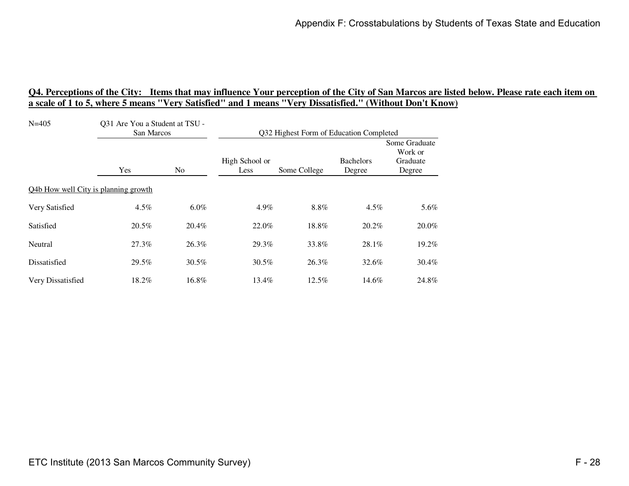| $N = 405$                            | Q31 Are You a Student at TSU -<br>San Marcos |                | Q32 Highest Form of Education Completed |              |                            |                                                |
|--------------------------------------|----------------------------------------------|----------------|-----------------------------------------|--------------|----------------------------|------------------------------------------------|
|                                      | <b>Yes</b>                                   | N <sub>0</sub> | High School or<br>Less                  | Some College | <b>Bachelors</b><br>Degree | Some Graduate<br>Work or<br>Graduate<br>Degree |
| Q4b How well City is planning growth |                                              |                |                                         |              |                            |                                                |
| Very Satisfied                       | 4.5%                                         | $6.0\%$        | 4.9%                                    | 8.8%         | $4.5\%$                    | 5.6%                                           |
| Satisfied                            | 20.5%                                        | 20.4%          | 22.0%                                   | 18.8%        | 20.2%                      | 20.0%                                          |
| Neutral                              | 27.3%                                        | 26.3%          | 29.3%                                   | 33.8%        | 28.1%                      | 19.2%                                          |
| Dissatisfied                         | 29.5%                                        | 30.5%          | $30.5\%$                                | 26.3%        | 32.6%                      | 30.4%                                          |
| Very Dissatisfied                    | 18.2%                                        | 16.8%          | 13.4%                                   | $12.5\%$     | 14.6%                      | 24.8%                                          |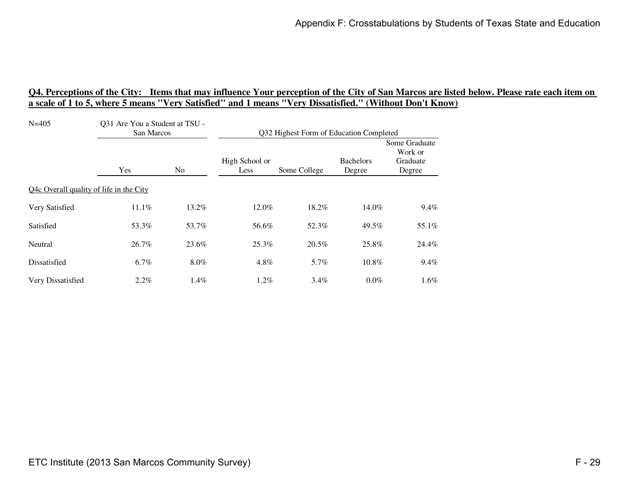| $N = 405$                               | Q31 Are You a Student at TSU -<br>San Marcos |       | Q32 Highest Form of Education Completed |              |                            |                                                |
|-----------------------------------------|----------------------------------------------|-------|-----------------------------------------|--------------|----------------------------|------------------------------------------------|
|                                         | Yes                                          | No    | High School or<br>Less                  | Some College | <b>Bachelors</b><br>Degree | Some Graduate<br>Work or<br>Graduate<br>Degree |
| Q4c Overall quality of life in the City |                                              |       |                                         |              |                            |                                                |
| Very Satisfied                          | 11.1%                                        | 13.2% | 12.0%                                   | 18.2%        | 14.0%                      | $9.4\%$                                        |
| Satisfied                               | 53.3%                                        | 53.7% | 56.6%                                   | 52.3%        | 49.5%                      | 55.1%                                          |
| Neutral                                 | 26.7%                                        | 23.6% | 25.3%                                   | 20.5%        | 25.8%                      | 24.4%                                          |
| Dissatisfied                            | 6.7%                                         | 8.0%  | 4.8%                                    | 5.7%         | 10.8%                      | 9.4%                                           |
| Very Dissatisfied                       | 2.2%                                         | 1.4%  | $1.2\%$                                 | $3.4\%$      | 0.0%                       | $1.6\%$                                        |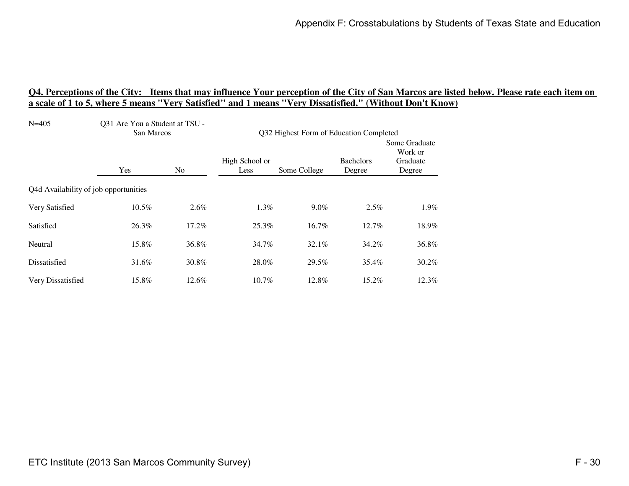| $N = 405$                             | Q31 Are You a Student at TSU -<br>San Marcos |       | Q32 Highest Form of Education Completed |              |                            |                                                |
|---------------------------------------|----------------------------------------------|-------|-----------------------------------------|--------------|----------------------------|------------------------------------------------|
|                                       | Yes                                          | No.   | High School or<br>Less                  | Some College | <b>Bachelors</b><br>Degree | Some Graduate<br>Work or<br>Graduate<br>Degree |
| Q4d Availability of job opportunities |                                              |       |                                         |              |                            |                                                |
| Very Satisfied                        | 10.5%                                        | 2.6%  | 1.3%                                    | $9.0\%$      | $2.5\%$                    | 1.9%                                           |
| Satisfied                             | 26.3%                                        | 17.2% | 25.3%                                   | 16.7%        | 12.7%                      | 18.9%                                          |
| Neutral                               | 15.8%                                        | 36.8% | 34.7%                                   | 32.1%        | 34.2%                      | 36.8%                                          |
| Dissatisfied                          | 31.6%                                        | 30.8% | 28.0%                                   | 29.5%        | 35.4%                      | $30.2\%$                                       |
| Very Dissatisfied                     | 15.8%                                        | 12.6% | 10.7%                                   | 12.8%        | 15.2%                      | 12.3%                                          |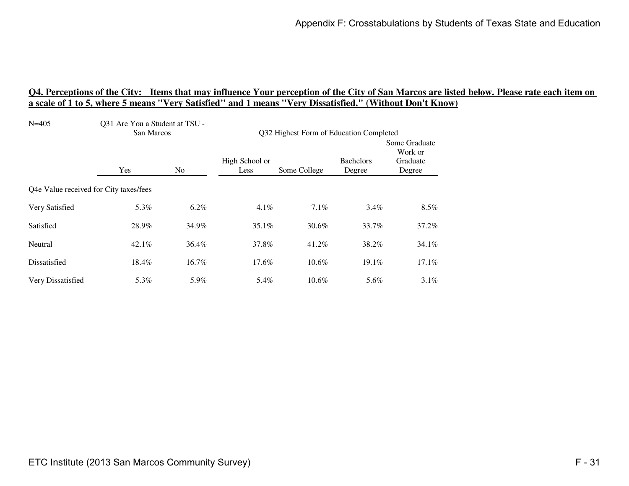| $N = 405$                              | Q31 Are You a Student at TSU -<br>San Marcos |                | Q32 Highest Form of Education Completed |              |                            |                                                |
|----------------------------------------|----------------------------------------------|----------------|-----------------------------------------|--------------|----------------------------|------------------------------------------------|
|                                        | <b>Yes</b>                                   | N <sub>0</sub> | High School or<br>Less                  | Some College | <b>Bachelors</b><br>Degree | Some Graduate<br>Work or<br>Graduate<br>Degree |
| Q4e Value received for City taxes/fees |                                              |                |                                         |              |                            |                                                |
| Very Satisfied                         | 5.3%                                         | $6.2\%$        | $4.1\%$                                 | 7.1%         | $3.4\%$                    | $8.5\%$                                        |
| Satisfied                              | 28.9%                                        | 34.9%          | $35.1\%$                                | 30.6%        | 33.7%                      | 37.2%                                          |
| Neutral                                | 42.1%                                        | 36.4%          | 37.8%                                   | 41.2%        | 38.2%                      | 34.1%                                          |
| Dissatisfied                           | 18.4%                                        | 16.7%          | 17.6%                                   | $10.6\%$     | $19.1\%$                   | $17.1\%$                                       |
| Very Dissatisfied                      | 5.3%                                         | 5.9%           | 5.4%                                    | 10.6%        | 5.6%                       | $3.1\%$                                        |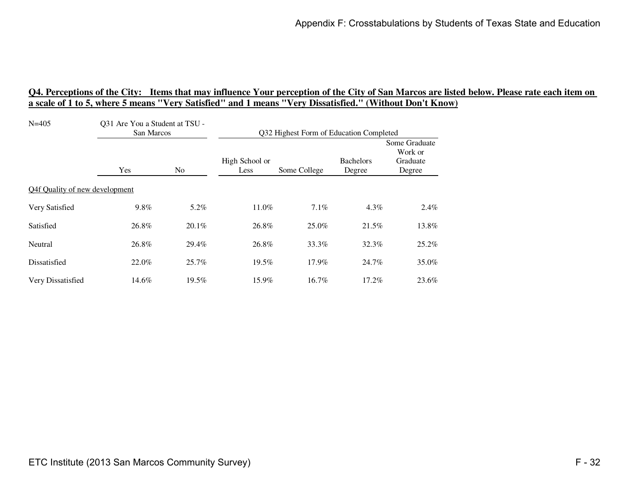| $N = 405$                      | Q31 Are You a Student at TSU -<br>San Marcos |          | Q32 Highest Form of Education Completed |              |                            |                                                |
|--------------------------------|----------------------------------------------|----------|-----------------------------------------|--------------|----------------------------|------------------------------------------------|
|                                | Yes                                          | No.      | High School or<br>Less                  | Some College | <b>Bachelors</b><br>Degree | Some Graduate<br>Work or<br>Graduate<br>Degree |
| Q4f Quality of new development |                                              |          |                                         |              |                            |                                                |
| Very Satisfied                 | 9.8%                                         | 5.2%     | 11.0%                                   | 7.1%         | 4.3%                       | 2.4%                                           |
| Satisfied                      | 26.8%                                        | $20.1\%$ | 26.8%                                   | 25.0%        | 21.5%                      | 13.8%                                          |
| Neutral                        | 26.8%                                        | 29.4%    | 26.8%                                   | 33.3%        | 32.3%                      | 25.2%                                          |
| Dissatisfied                   | 22.0%                                        | 25.7%    | 19.5%                                   | 17.9%        | 24.7%                      | 35.0%                                          |
| Very Dissatisfied              | 14.6%                                        | 19.5%    | 15.9%                                   | 16.7%        | 17.2%                      | 23.6%                                          |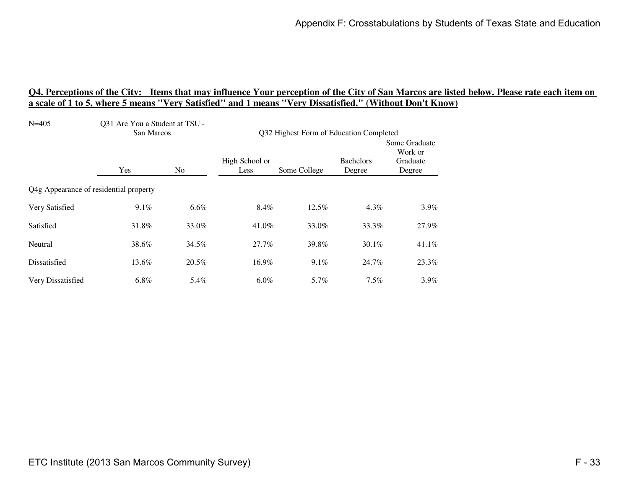| $N = 405$                              | Q31 Are You a Student at TSU -<br>San Marcos |       | Q32 Highest Form of Education Completed |              |                            |                                                |
|----------------------------------------|----------------------------------------------|-------|-----------------------------------------|--------------|----------------------------|------------------------------------------------|
|                                        | Yes                                          | No    | High School or<br>Less                  | Some College | <b>Bachelors</b><br>Degree | Some Graduate<br>Work or<br>Graduate<br>Degree |
| Q4g Appearance of residential property |                                              |       |                                         |              |                            |                                                |
| Very Satisfied                         | 9.1%                                         | 6.6%  | 8.4%                                    | $12.5\%$     | $4.3\%$                    | $3.9\%$                                        |
| Satisfied                              | 31.8%                                        | 33.0% | 41.0%                                   | 33.0%        | 33.3%                      | 27.9%                                          |
| Neutral                                | 38.6%                                        | 34.5% | 27.7%                                   | 39.8%        | $30.1\%$                   | 41.1%                                          |
| Dissatisfied                           | 13.6%                                        | 20.5% | 16.9%                                   | 9.1%         | 24.7%                      | 23.3%                                          |
| Very Dissatisfied                      | $6.8\%$                                      | 5.4%  | $6.0\%$                                 | 5.7%         | 7.5%                       | $3.9\%$                                        |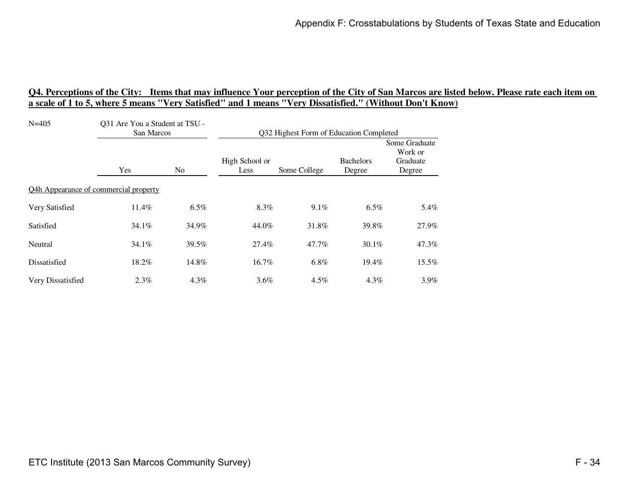| $N = 405$                             | Q31 Are You a Student at TSU -<br>San Marcos |                | Q32 Highest Form of Education Completed |              |                            |                                                |
|---------------------------------------|----------------------------------------------|----------------|-----------------------------------------|--------------|----------------------------|------------------------------------------------|
|                                       | Yes                                          | N <sub>0</sub> | High School or<br>Less                  | Some College | <b>Bachelors</b><br>Degree | Some Graduate<br>Work or<br>Graduate<br>Degree |
| Q4h Appearance of commercial property |                                              |                |                                         |              |                            |                                                |
| Very Satisfied                        | 11.4%                                        | $6.5\%$        | 8.3%                                    | 9.1%         | 6.5%                       | 5.4%                                           |
| Satisfied                             | $34.1\%$                                     | 34.9%          | 44.0%                                   | 31.8%        | 39.8%                      | 27.9%                                          |
| Neutral                               | 34.1%                                        | 39.5%          | 27.4%                                   | 47.7%        | 30.1%                      | 47.3%                                          |
| Dissatisfied                          | 18.2%                                        | 14.8%          | 16.7%                                   | 6.8%         | 19.4%                      | 15.5%                                          |
| Very Dissatisfied                     | $2.3\%$                                      | 4.3%           | $3.6\%$                                 | $4.5\%$      | 4.3%                       | $3.9\%$                                        |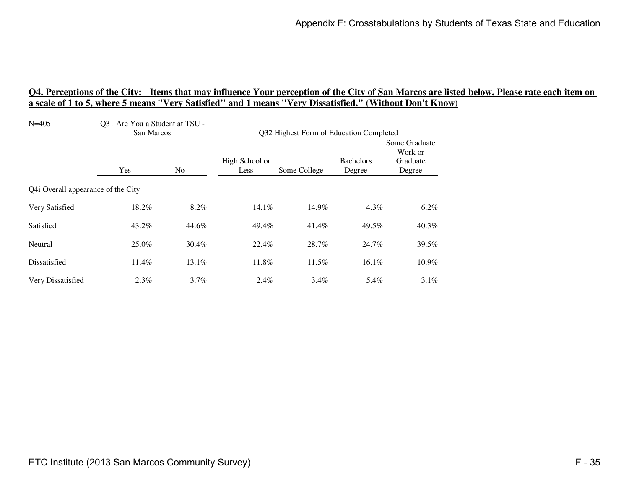| $N = 405$                          | Q31 Are You a Student at TSU -<br>San Marcos |                | Q32 Highest Form of Education Completed |              |                            |                                                |
|------------------------------------|----------------------------------------------|----------------|-----------------------------------------|--------------|----------------------------|------------------------------------------------|
|                                    | Yes                                          | N <sub>0</sub> | High School or<br>Less                  | Some College | <b>Bachelors</b><br>Degree | Some Graduate<br>Work or<br>Graduate<br>Degree |
| Q4i Overall appearance of the City |                                              |                |                                         |              |                            |                                                |
| Very Satisfied                     | 18.2%                                        | 8.2%           | 14.1%                                   | 14.9%        | 4.3%                       | $6.2\%$                                        |
| Satisfied                          | 43.2%                                        | 44.6%          | 49.4%                                   | 41.4%        | 49.5%                      | 40.3%                                          |
| Neutral                            | 25.0%                                        | 30.4%          | 22.4%                                   | 28.7%        | 24.7%                      | 39.5%                                          |
| Dissatisfied                       | 11.4%                                        | 13.1%          | 11.8%                                   | $11.5\%$     | 16.1%                      | 10.9%                                          |
| Very Dissatisfied                  | $2.3\%$                                      | $3.7\%$        | $2.4\%$                                 | $3.4\%$      | 5.4%                       | $3.1\%$                                        |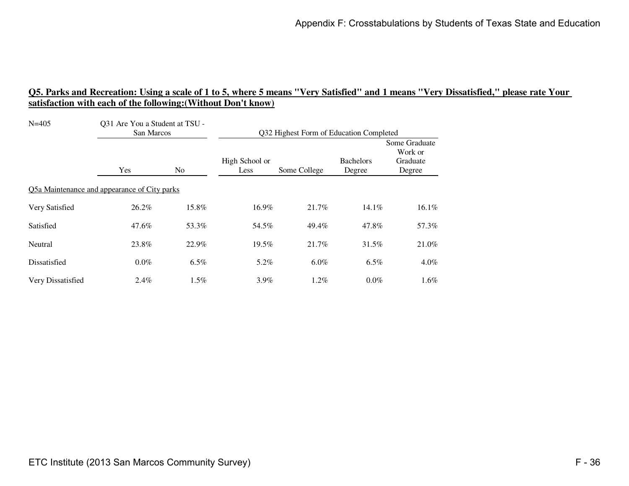| $N = 405$                                    | Q31 Are You a Student at TSU -<br>San Marcos |                | Q32 Highest Form of Education Completed |              |                            |                                                |
|----------------------------------------------|----------------------------------------------|----------------|-----------------------------------------|--------------|----------------------------|------------------------------------------------|
|                                              | Yes                                          | N <sub>0</sub> | High School or<br>Less                  | Some College | <b>Bachelors</b><br>Degree | Some Graduate<br>Work or<br>Graduate<br>Degree |
| Q5a Maintenance and appearance of City parks |                                              |                |                                         |              |                            |                                                |
| Very Satisfied                               | 26.2%                                        | 15.8%          | 16.9%                                   | 21.7%        | 14.1%                      | 16.1%                                          |
| Satisfied                                    | 47.6%                                        | 53.3%          | 54.5%                                   | 49.4%        | 47.8%                      | 57.3%                                          |
| Neutral                                      | 23.8%                                        | 22.9%          | 19.5%                                   | 21.7%        | 31.5%                      | 21.0%                                          |
| Dissatisfied                                 | $0.0\%$                                      | 6.5%           | 5.2%                                    | $6.0\%$      | 6.5%                       | $4.0\%$                                        |
| Very Dissatisfied                            | 2.4%                                         | 1.5%           | $3.9\%$                                 | 1.2%         | $0.0\%$                    | $1.6\%$                                        |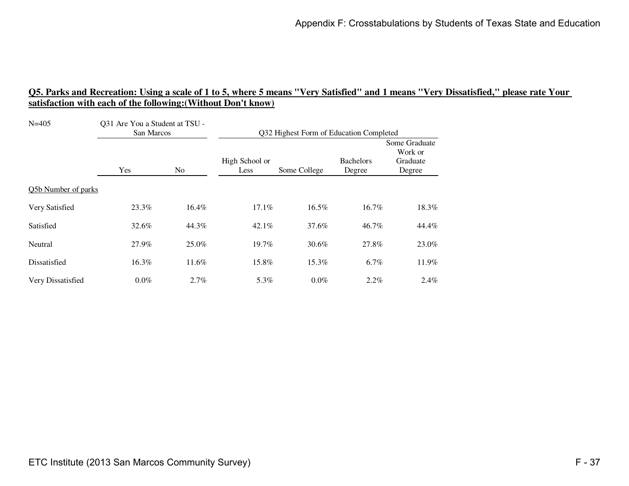| $N = 405$           | Q31 Are You a Student at TSU -<br>San Marcos |                | Q32 Highest Form of Education Completed |              |                            |                                                |
|---------------------|----------------------------------------------|----------------|-----------------------------------------|--------------|----------------------------|------------------------------------------------|
|                     | Yes                                          | N <sub>o</sub> | High School or<br>Less                  | Some College | <b>Bachelors</b><br>Degree | Some Graduate<br>Work or<br>Graduate<br>Degree |
| Q5b Number of parks |                                              |                |                                         |              |                            |                                                |
| Very Satisfied      | 23.3%                                        | 16.4%          | 17.1%                                   | 16.5%        | 16.7%                      | 18.3%                                          |
| Satisfied           | 32.6%                                        | 44.3%          | $42.1\%$                                | 37.6%        | 46.7%                      | 44.4%                                          |
| Neutral             | 27.9%                                        | 25.0%          | 19.7%                                   | 30.6%        | 27.8%                      | 23.0%                                          |
| Dissatisfied        | 16.3%                                        | 11.6%          | 15.8%                                   | 15.3%        | 6.7%                       | 11.9%                                          |
| Very Dissatisfied   | $0.0\%$                                      | 2.7%           | 5.3%                                    | $0.0\%$      | 2.2%                       | 2.4%                                           |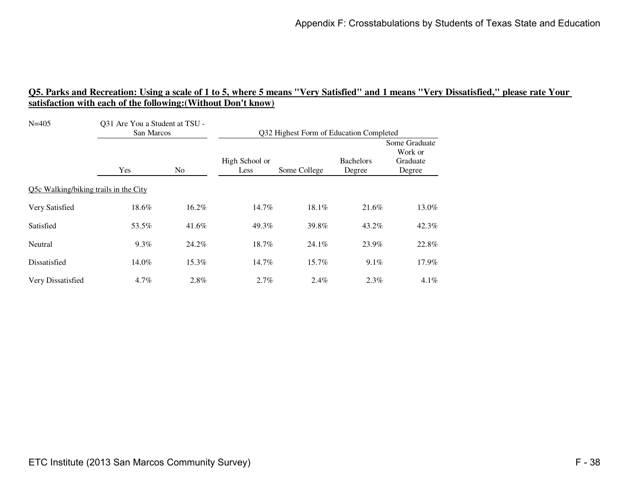| $N = 405$                             | Q31 Are You a Student at TSU -<br>San Marcos |                | Q32 Highest Form of Education Completed |              |                            |                                                |
|---------------------------------------|----------------------------------------------|----------------|-----------------------------------------|--------------|----------------------------|------------------------------------------------|
|                                       | Yes                                          | N <sub>0</sub> | High School or<br>Less                  | Some College | <b>Bachelors</b><br>Degree | Some Graduate<br>Work or<br>Graduate<br>Degree |
| Q5c Walking/biking trails in the City |                                              |                |                                         |              |                            |                                                |
| Very Satisfied                        | 18.6%                                        | 16.2%          | 14.7%                                   | 18.1%        | 21.6%                      | 13.0%                                          |
| Satisfied                             | 53.5%                                        | 41.6%          | 49.3%                                   | 39.8%        | 43.2%                      | 42.3%                                          |
| Neutral                               | 9.3%                                         | 24.2%          | 18.7%                                   | 24.1%        | 23.9%                      | 22.8%                                          |
| Dissatisfied                          | 14.0%                                        | 15.3%          | 14.7%                                   | 15.7%        | $9.1\%$                    | 17.9%                                          |
| Very Dissatisfied                     | 4.7%                                         | 2.8%           | 2.7%                                    | 2.4%         | 2.3%                       | $4.1\%$                                        |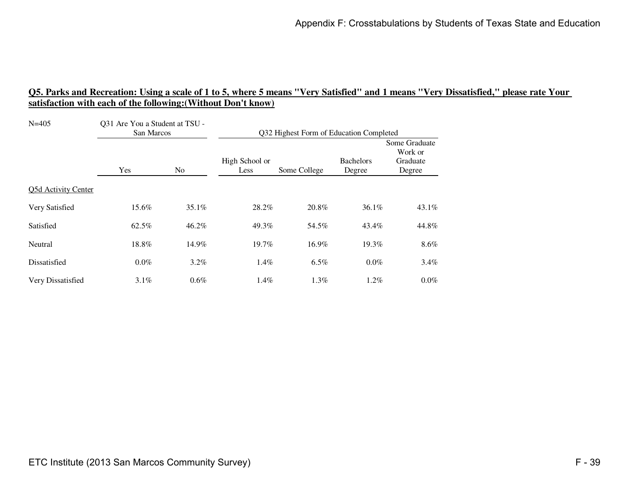| $N = 405$           | Q31 Are You a Student at TSU -<br>San Marcos |                | Q32 Highest Form of Education Completed |              |                            |                                                |
|---------------------|----------------------------------------------|----------------|-----------------------------------------|--------------|----------------------------|------------------------------------------------|
|                     | Yes                                          | N <sub>0</sub> | High School or<br>Less                  | Some College | <b>Bachelors</b><br>Degree | Some Graduate<br>Work or<br>Graduate<br>Degree |
| Q5d Activity Center |                                              |                |                                         |              |                            |                                                |
| Very Satisfied      | 15.6%                                        | 35.1%          | 28.2%                                   | 20.8%        | 36.1%                      | 43.1%                                          |
| Satisfied           | 62.5%                                        | 46.2%          | 49.3%                                   | 54.5%        | 43.4%                      | 44.8%                                          |
| Neutral             | 18.8%                                        | 14.9%          | 19.7%                                   | 16.9%        | 19.3%                      | $8.6\%$                                        |
| Dissatisfied        | $0.0\%$                                      | $3.2\%$        | 1.4%                                    | 6.5%         | $0.0\%$                    | $3.4\%$                                        |
| Very Dissatisfied   | $3.1\%$                                      | $0.6\%$        | 1.4%                                    | 1.3%         | $1.2\%$                    | $0.0\%$                                        |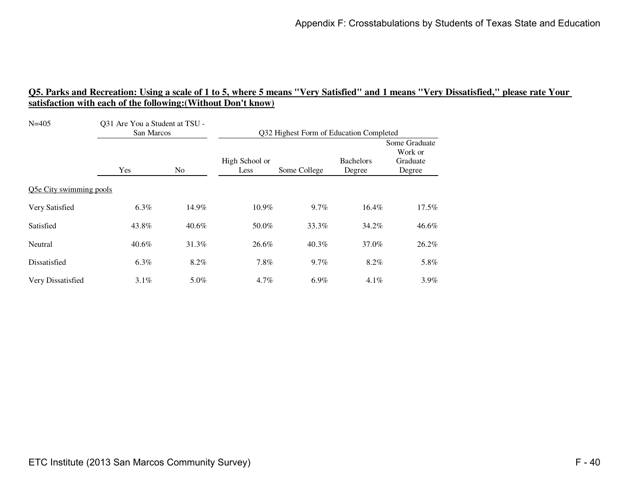| $N = 405$               | Q31 Are You a Student at TSU -<br>San Marcos |          | Q32 Highest Form of Education Completed |         |                            |                                                |
|-------------------------|----------------------------------------------|----------|-----------------------------------------|---------|----------------------------|------------------------------------------------|
|                         | Yes                                          | No.      | High School or<br>Some College<br>Less  |         | <b>Bachelors</b><br>Degree | Some Graduate<br>Work or<br>Graduate<br>Degree |
| Q5e City swimming pools |                                              |          |                                         |         |                            |                                                |
| Very Satisfied          | 6.3%                                         | 14.9%    | 10.9%                                   | 9.7%    | 16.4%                      | $17.5\%$                                       |
| Satisfied               | 43.8%                                        | $40.6\%$ | 50.0%                                   | 33.3%   | 34.2%                      | 46.6%                                          |
| Neutral                 | 40.6%                                        | 31.3%    | 26.6%                                   | 40.3%   | 37.0%                      | 26.2%                                          |
| Dissatisfied            | 6.3%                                         | 8.2%     | 7.8%                                    | $9.7\%$ | 8.2%                       | 5.8%                                           |
| Very Dissatisfied       | $3.1\%$                                      | 5.0%     | 4.7%                                    | $6.9\%$ | 4.1%                       | $3.9\%$                                        |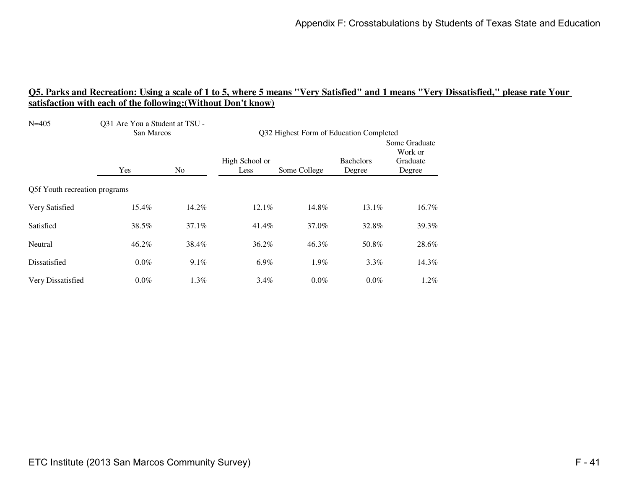| $N = 405$                     | Q31 Are You a Student at TSU -<br>San Marcos |                | Q32 Highest Form of Education Completed |              |                            |                                                |
|-------------------------------|----------------------------------------------|----------------|-----------------------------------------|--------------|----------------------------|------------------------------------------------|
|                               | Yes                                          | N <sub>0</sub> | High School or<br>Less                  | Some College | <b>Bachelors</b><br>Degree | Some Graduate<br>Work or<br>Graduate<br>Degree |
| Q5f Youth recreation programs |                                              |                |                                         |              |                            |                                                |
| Very Satisfied                | 15.4%                                        | 14.2%          | 12.1%                                   | 14.8%        | 13.1%                      | 16.7%                                          |
| Satisfied                     | 38.5%                                        | $37.1\%$       | 41.4%                                   | 37.0%        | 32.8%                      | 39.3%                                          |
| Neutral                       | 46.2%                                        | 38.4%          | 36.2%                                   | 46.3%        | 50.8%                      | 28.6%                                          |
| Dissatisfied                  | $0.0\%$                                      | 9.1%           | $6.9\%$                                 | 1.9%         | $3.3\%$                    | 14.3%                                          |
| Very Dissatisfied             | $0.0\%$                                      | 1.3%           | $3.4\%$                                 | $0.0\%$      | 0.0%                       | $1.2\%$                                        |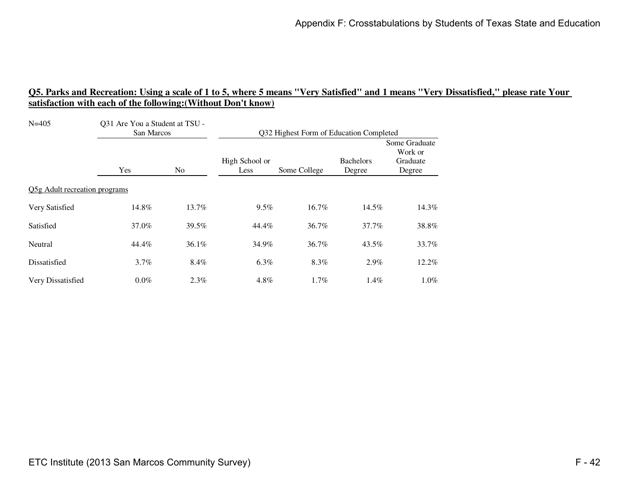| $N = 405$                     | Q31 Are You a Student at TSU -<br>San Marcos |                | Q32 Highest Form of Education Completed |       |                            |                                                |  |
|-------------------------------|----------------------------------------------|----------------|-----------------------------------------|-------|----------------------------|------------------------------------------------|--|
|                               | Yes                                          | N <sub>o</sub> | High School or<br>Some College<br>Less  |       | <b>Bachelors</b><br>Degree | Some Graduate<br>Work or<br>Graduate<br>Degree |  |
| Q5g Adult recreation programs |                                              |                |                                         |       |                            |                                                |  |
| Very Satisfied                | 14.8%                                        | 13.7%          | 9.5%                                    | 16.7% | 14.5%                      | 14.3%                                          |  |
| Satisfied                     | 37.0%                                        | 39.5%          | 44.4%                                   | 36.7% | 37.7%                      | 38.8%                                          |  |
| Neutral                       | 44.4%                                        | 36.1%          | 34.9%                                   | 36.7% | 43.5%                      | 33.7%                                          |  |
| Dissatisfied                  | $3.7\%$                                      | 8.4%           | $6.3\%$                                 | 8.3%  | $2.9\%$                    | 12.2%                                          |  |
| Very Dissatisfied             | $0.0\%$                                      | 2.3%           | 4.8%                                    | 1.7%  | 1.4%                       | $1.0\%$                                        |  |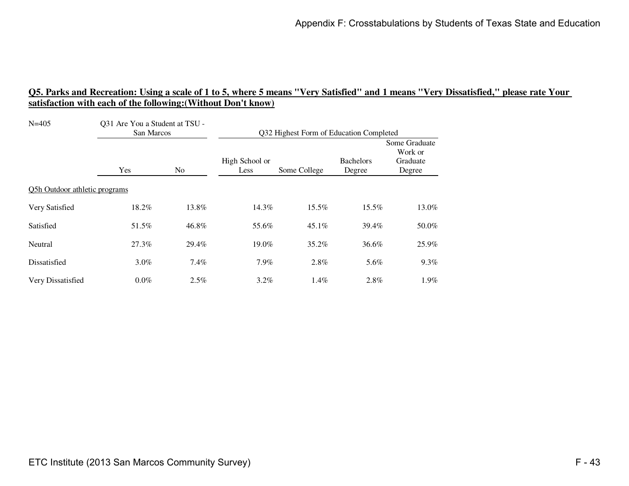| $N = 405$                     | Q31 Are You a Student at TSU -<br>San Marcos |                | Q32 Highest Form of Education Completed |          |                            |                                                |  |
|-------------------------------|----------------------------------------------|----------------|-----------------------------------------|----------|----------------------------|------------------------------------------------|--|
|                               | Yes                                          | N <sub>o</sub> | High School or<br>Some College<br>Less  |          | <b>Bachelors</b><br>Degree | Some Graduate<br>Work or<br>Graduate<br>Degree |  |
| Q5h Outdoor athletic programs |                                              |                |                                         |          |                            |                                                |  |
| Very Satisfied                | 18.2%                                        | 13.8%          | 14.3%                                   | 15.5%    | 15.5%                      | 13.0%                                          |  |
| Satisfied                     | 51.5%                                        | 46.8%          | 55.6%                                   | $45.1\%$ | 39.4%                      | 50.0%                                          |  |
| Neutral                       | 27.3%                                        | 29.4%          | 19.0%                                   | 35.2%    | 36.6%                      | 25.9%                                          |  |
| Dissatisfied                  | $3.0\%$                                      | 7.4%           | 7.9%                                    | 2.8%     | 5.6%                       | $9.3\%$                                        |  |
| Very Dissatisfied             | $0.0\%$                                      | $2.5\%$        | $3.2\%$                                 | 1.4%     | 2.8%                       | 1.9%                                           |  |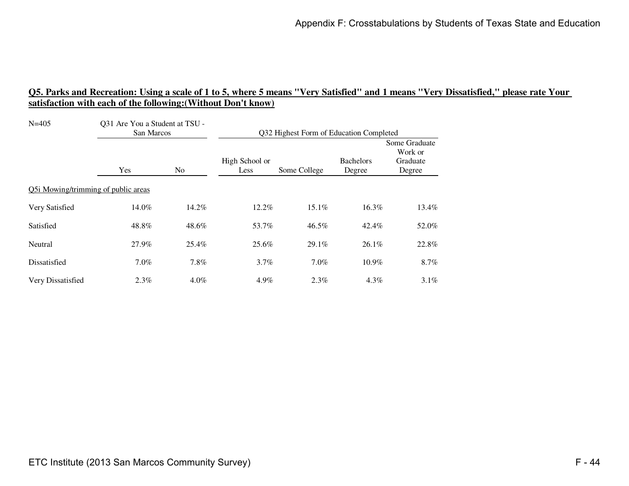| $N = 405$                           | Q31 Are You a Student at TSU -<br>San Marcos |         | Q32 Highest Form of Education Completed |              |                            |                                                |
|-------------------------------------|----------------------------------------------|---------|-----------------------------------------|--------------|----------------------------|------------------------------------------------|
|                                     | Yes<br>N <sub>0</sub>                        |         | High School or<br>Less                  | Some College | <b>Bachelors</b><br>Degree | Some Graduate<br>Work or<br>Graduate<br>Degree |
| Q5i Mowing/trimming of public areas |                                              |         |                                         |              |                            |                                                |
| Very Satisfied                      | 14.0%                                        | 14.2%   | 12.2%                                   | 15.1%        | 16.3%                      | 13.4%                                          |
| Satisfied                           | 48.8%                                        | 48.6%   | 53.7%                                   | 46.5%        | 42.4%                      | 52.0%                                          |
| Neutral                             | 27.9%                                        | 25.4%   | 25.6%                                   | 29.1%        | 26.1%                      | 22.8%                                          |
| Dissatisfied                        | $7.0\%$                                      | 7.8%    | $3.7\%$                                 | $7.0\%$      | 10.9%                      | 8.7%                                           |
| Very Dissatisfied                   | $2.3\%$                                      | $4.0\%$ | 4.9%                                    | $2.3\%$      | $4.3\%$                    | $3.1\%$                                        |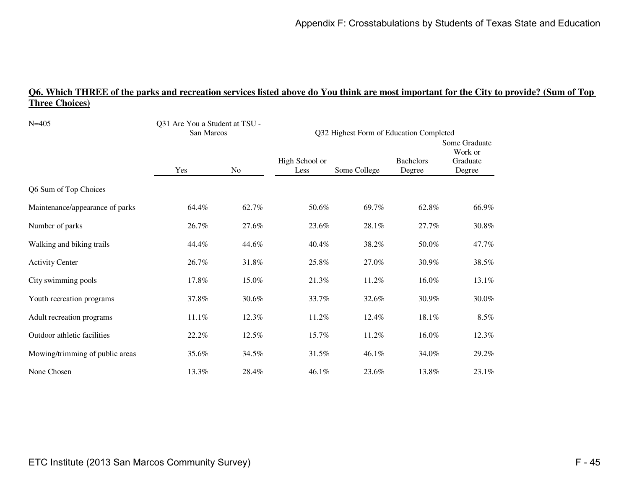# **Q6. Which THREE of the parks and recreation services listed above do You think are most important for the City to provide? (Sum of Top Three Choices)**

| $N = 405$                       | Q31 Are You a Student at TSU -<br>San Marcos |           | Q32 Highest Form of Education Completed |              |                            |                                                |  |
|---------------------------------|----------------------------------------------|-----------|-----------------------------------------|--------------|----------------------------|------------------------------------------------|--|
|                                 | Yes                                          | <b>No</b> | High School or<br>Less                  | Some College | <b>Bachelors</b><br>Degree | Some Graduate<br>Work or<br>Graduate<br>Degree |  |
| Q6 Sum of Top Choices           |                                              |           |                                         |              |                            |                                                |  |
| Maintenance/appearance of parks | 64.4%                                        | 62.7%     | 50.6%                                   | 69.7%        | 62.8%                      | 66.9%                                          |  |
| Number of parks                 | 26.7%                                        | 27.6%     | 23.6%                                   | 28.1%        | 27.7%                      | 30.8%                                          |  |
| Walking and biking trails       | 44.4%                                        | 44.6%     | 40.4%                                   | 38.2%        | 50.0%                      | 47.7%                                          |  |
| <b>Activity Center</b>          | 26.7%                                        | 31.8%     | 25.8%                                   | 27.0%        | 30.9%                      | 38.5%                                          |  |
| City swimming pools             | 17.8%                                        | 15.0%     | 21.3%                                   | 11.2%        | 16.0%                      | 13.1%                                          |  |
| Youth recreation programs       | 37.8%                                        | 30.6%     | 33.7%                                   | 32.6%        | 30.9%                      | 30.0%                                          |  |
| Adult recreation programs       | 11.1%                                        | 12.3%     | 11.2%                                   | 12.4%        | 18.1%                      | 8.5%                                           |  |
| Outdoor athletic facilities     | 22.2%                                        | 12.5%     | 15.7%                                   | 11.2%        | 16.0%                      | 12.3%                                          |  |
| Mowing/trimming of public areas | 35.6%                                        | 34.5%     | 31.5%                                   | 46.1%        | 34.0%                      | 29.2%                                          |  |
| None Chosen                     | 13.3%                                        | 28.4%     | 46.1%                                   | 23.6%        | 13.8%                      | 23.1%                                          |  |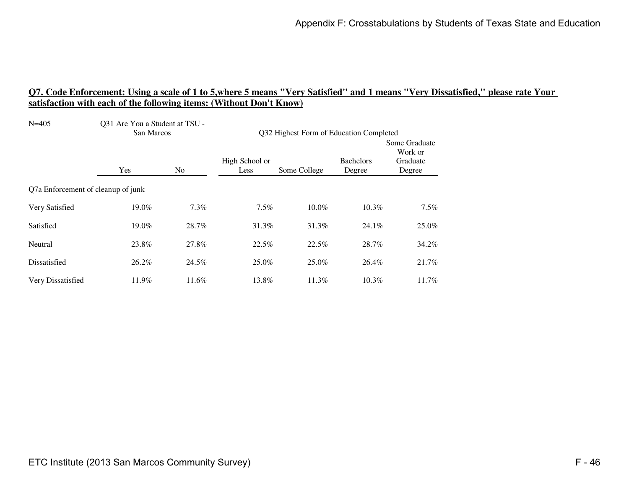| $N=405$                            | Q31 Are You a Student at TSU -<br>San Marcos |         | Q32 Highest Form of Education Completed |              |                            |                                                |
|------------------------------------|----------------------------------------------|---------|-----------------------------------------|--------------|----------------------------|------------------------------------------------|
|                                    | Yes<br>N <sub>0</sub>                        |         | High School or<br>Less                  | Some College | <b>Bachelors</b><br>Degree | Some Graduate<br>Work or<br>Graduate<br>Degree |
| Q7a Enforcement of cleanup of junk |                                              |         |                                         |              |                            |                                                |
| Very Satisfied                     | 19.0%                                        | $7.3\%$ | $7.5\%$                                 | $10.0\%$     | $10.3\%$                   | 7.5%                                           |
| Satisfied                          | 19.0%                                        | 28.7%   | 31.3%                                   | 31.3%        | 24.1%                      | 25.0%                                          |
| Neutral                            | 23.8%                                        | 27.8%   | 22.5%                                   | 22.5%        | 28.7%                      | 34.2%                                          |
| Dissatisfied                       | 26.2%                                        | 24.5%   | 25.0%                                   | 25.0%        | 26.4%                      | 21.7%                                          |
| Very Dissatisfied                  | 11.9%                                        | 11.6%   | 13.8%                                   | 11.3%        | $10.3\%$                   | $11.7\%$                                       |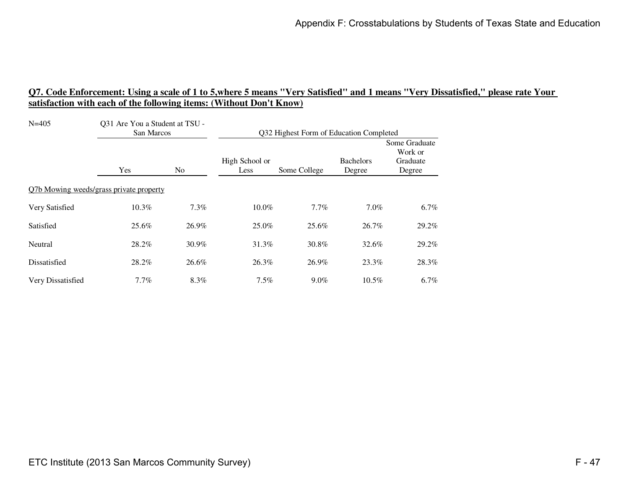| $N = 405$                               | Q31 Are You a Student at TSU -<br>San Marcos |         | Q32 Highest Form of Education Completed |              |                            |                                                |
|-----------------------------------------|----------------------------------------------|---------|-----------------------------------------|--------------|----------------------------|------------------------------------------------|
|                                         | Yes                                          | No.     | High School or<br>Less                  | Some College | <b>Bachelors</b><br>Degree | Some Graduate<br>Work or<br>Graduate<br>Degree |
| Q7b Mowing weeds/grass private property |                                              |         |                                         |              |                            |                                                |
| Very Satisfied                          | 10.3%                                        | $7.3\%$ | $10.0\%$                                | 7.7%         | 7.0%                       | $6.7\%$                                        |
| Satisfied                               | 25.6%                                        | 26.9%   | 25.0%                                   | 25.6%        | 26.7%                      | 29.2%                                          |
| Neutral                                 | 28.2%                                        | 30.9%   | 31.3%                                   | 30.8%        | 32.6%                      | 29.2%                                          |
| Dissatisfied                            | 28.2%                                        | 26.6%   | 26.3%                                   | 26.9%        | 23.3%                      | 28.3%                                          |
| Very Dissatisfied                       | $7.7\%$                                      | 8.3%    | $7.5\%$                                 | $9.0\%$      | $10.5\%$                   | $6.7\%$                                        |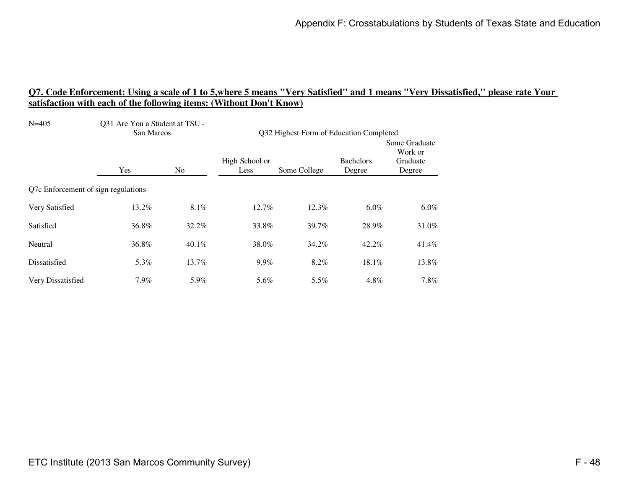| $N = 405$                           | Q31 Are You a Student at TSU -<br>San Marcos |                | Q32 Highest Form of Education Completed |              |                            |                                                |
|-------------------------------------|----------------------------------------------|----------------|-----------------------------------------|--------------|----------------------------|------------------------------------------------|
|                                     | Yes                                          | N <sub>0</sub> | High School or<br>Less                  | Some College | <b>Bachelors</b><br>Degree | Some Graduate<br>Work or<br>Graduate<br>Degree |
| Q7c Enforcement of sign regulations |                                              |                |                                         |              |                            |                                                |
| Very Satisfied                      | 13.2%                                        | 8.1%           | 12.7%                                   | 12.3%        | $6.0\%$                    | $6.0\%$                                        |
| Satisfied                           | 36.8%                                        | 32.2%          | 33.8%                                   | 39.7%        | 28.9%                      | 31.0%                                          |
| Neutral                             | 36.8%                                        | 40.1%          | 38.0%                                   | 34.2%        | 42.2%                      | 41.4%                                          |
| Dissatisfied                        | 5.3%                                         | 13.7%          | $9.9\%$                                 | 8.2%         | $18.1\%$                   | 13.8%                                          |
| Very Dissatisfied                   | $7.9\%$                                      | 5.9%           | 5.6%                                    | 5.5%         | 4.8%                       | 7.8%                                           |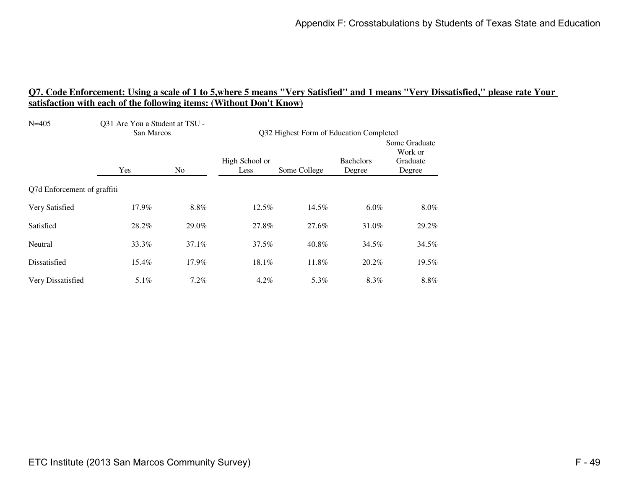| $N=405$                     | Q31 Are You a Student at TSU -<br>San Marcos |                | Q32 Highest Form of Education Completed |              |                            |                                                |
|-----------------------------|----------------------------------------------|----------------|-----------------------------------------|--------------|----------------------------|------------------------------------------------|
|                             | Yes                                          | N <sub>0</sub> | High School or<br>Less                  | Some College | <b>Bachelors</b><br>Degree | Some Graduate<br>Work or<br>Graduate<br>Degree |
| Q7d Enforcement of graffiti |                                              |                |                                         |              |                            |                                                |
| Very Satisfied              | 17.9%                                        | 8.8%           | 12.5%                                   | 14.5%        | $6.0\%$                    | $8.0\%$                                        |
| Satisfied                   | 28.2%                                        | 29.0%          | 27.8%                                   | 27.6%        | 31.0%                      | 29.2%                                          |
| Neutral                     | 33.3%                                        | 37.1%          | 37.5%                                   | 40.8%        | 34.5%                      | 34.5%                                          |
| Dissatisfied                | 15.4%                                        | 17.9%          | 18.1%                                   | 11.8%        | 20.2%                      | 19.5%                                          |
| Very Dissatisfied           | $5.1\%$                                      | $7.2\%$        | $4.2\%$                                 | 5.3%         | 8.3%                       | $8.8\%$                                        |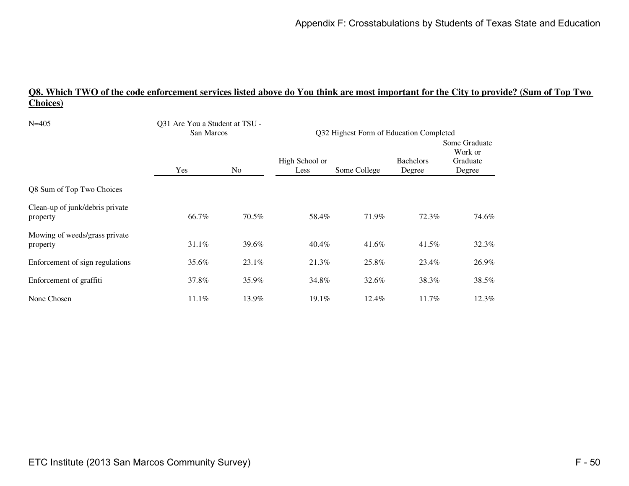# **Q8. Which TWO of the code enforcement services listed above do You think are most important for the City to provide? (Sum of Top Two Choices)**

| $N = 405$                                   | Q31 Are You a Student at TSU -<br>San Marcos |                | Q32 Highest Form of Education Completed |              |                            |                                                |  |
|---------------------------------------------|----------------------------------------------|----------------|-----------------------------------------|--------------|----------------------------|------------------------------------------------|--|
|                                             | Yes                                          | N <sub>o</sub> | High School or<br>Less                  | Some College | <b>Bachelors</b><br>Degree | Some Graduate<br>Work or<br>Graduate<br>Degree |  |
| Q8 Sum of Top Two Choices                   |                                              |                |                                         |              |                            |                                                |  |
| Clean-up of junk/debris private<br>property | 66.7%                                        | 70.5%          | 58.4%                                   | 71.9%        | 72.3%                      | 74.6%                                          |  |
| Mowing of weeds/grass private<br>property   | 31.1%                                        | 39.6%          | 40.4%                                   | 41.6%        | 41.5%                      | 32.3%                                          |  |
| Enforcement of sign regulations             | 35.6%                                        | 23.1%          | 21.3%                                   | 25.8%        | 23.4%                      | 26.9%                                          |  |
| Enforcement of graffiti                     | 37.8%                                        | 35.9%          | 34.8%                                   | 32.6%        | 38.3%                      | 38.5%                                          |  |
| None Chosen                                 | 11.1%                                        | 13.9%          | 19.1%                                   | 12.4%        | 11.7%                      | 12.3%                                          |  |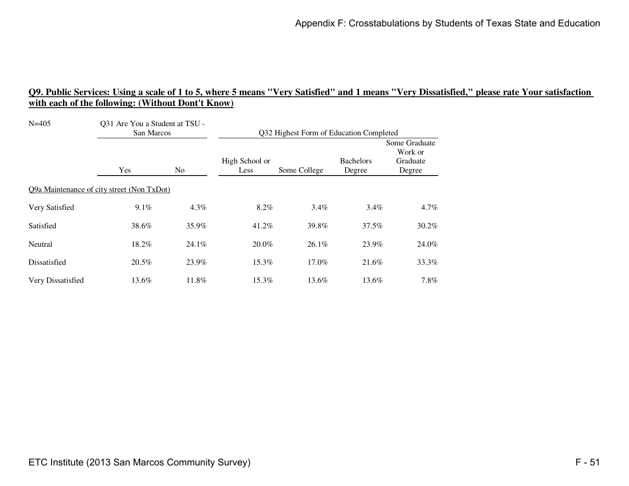| $N = 405$                                  | Q31 Are You a Student at TSU -<br>San Marcos |         | Q32 Highest Form of Education Completed |              |                            |                                                |
|--------------------------------------------|----------------------------------------------|---------|-----------------------------------------|--------------|----------------------------|------------------------------------------------|
|                                            | Yes                                          | No.     | High School or<br>Less                  | Some College | <b>Bachelors</b><br>Degree | Some Graduate<br>Work or<br>Graduate<br>Degree |
| Q9a Maintenance of city street (Non TxDot) |                                              |         |                                         |              |                            |                                                |
| Very Satisfied                             | 9.1%                                         | $4.3\%$ | 8.2%                                    | $3.4\%$      | $3.4\%$                    | $4.7\%$                                        |
| Satisfied                                  | 38.6%                                        | 35.9%   | 41.2%                                   | 39.8%        | 37.5%                      | $30.2\%$                                       |
| Neutral                                    | 18.2%                                        | 24.1%   | $20.0\%$                                | $26.1\%$     | 23.9%                      | 24.0%                                          |
| Dissatisfied                               | 20.5%                                        | 23.9%   | 15.3%                                   | 17.0%        | 21.6%                      | 33.3%                                          |
| Very Dissatisfied                          | 13.6%                                        | 11.8%   | 15.3%                                   | 13.6%        | 13.6%                      | $7.8\%$                                        |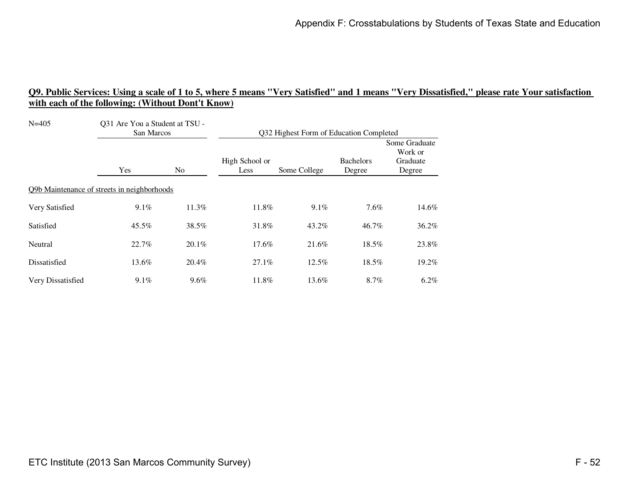| $N = 405$                                   | Q31 Are You a Student at TSU -<br>San Marcos |                | Q32 Highest Form of Education Completed |              |                            |                                                |
|---------------------------------------------|----------------------------------------------|----------------|-----------------------------------------|--------------|----------------------------|------------------------------------------------|
|                                             | Yes                                          | N <sub>0</sub> | High School or<br>Less                  | Some College | <b>Bachelors</b><br>Degree | Some Graduate<br>Work or<br>Graduate<br>Degree |
| Q9b Maintenance of streets in neighborhoods |                                              |                |                                         |              |                            |                                                |
| Very Satisfied                              | 9.1%                                         | 11.3%          | 11.8%                                   | $9.1\%$      | 7.6%                       | 14.6%                                          |
| Satisfied                                   | 45.5%                                        | 38.5%          | 31.8%                                   | 43.2%        | 46.7%                      | 36.2%                                          |
| Neutral                                     | 22.7%                                        | 20.1%          | 17.6%                                   | 21.6%        | 18.5%                      | 23.8%                                          |
| Dissatisfied                                | 13.6%                                        | 20.4%          | $27.1\%$                                | $12.5\%$     | 18.5%                      | 19.2%                                          |
| Very Dissatisfied                           | 9.1%                                         | $9.6\%$        | 11.8%                                   | 13.6%        | 8.7%                       | $6.2\%$                                        |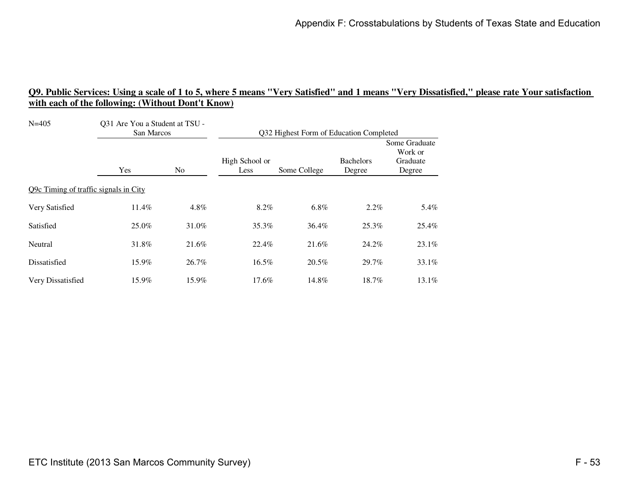| $N = 405$                             | Q31 Are You a Student at TSU -<br>San Marcos |                | Q32 Highest Form of Education Completed |              |                            |                                                |
|---------------------------------------|----------------------------------------------|----------------|-----------------------------------------|--------------|----------------------------|------------------------------------------------|
|                                       | Yes                                          | N <sub>0</sub> | High School or<br>Less                  | Some College | <b>Bachelors</b><br>Degree | Some Graduate<br>Work or<br>Graduate<br>Degree |
| Q9c Timing of traffic signals in City |                                              |                |                                         |              |                            |                                                |
| Very Satisfied                        | 11.4%                                        | 4.8%           | 8.2%                                    | $6.8\%$      | $2.2\%$                    | 5.4%                                           |
| Satisfied                             | 25.0%                                        | 31.0%          | 35.3%                                   | 36.4%        | 25.3%                      | 25.4%                                          |
| Neutral                               | 31.8%                                        | 21.6%          | 22.4%                                   | 21.6%        | 24.2%                      | 23.1%                                          |
| Dissatisfied                          | 15.9%                                        | 26.7%          | 16.5%                                   | 20.5%        | 29.7%                      | 33.1%                                          |
| Very Dissatisfied                     | 15.9%                                        | 15.9%          | 17.6%                                   | 14.8%        | 18.7%                      | $13.1\%$                                       |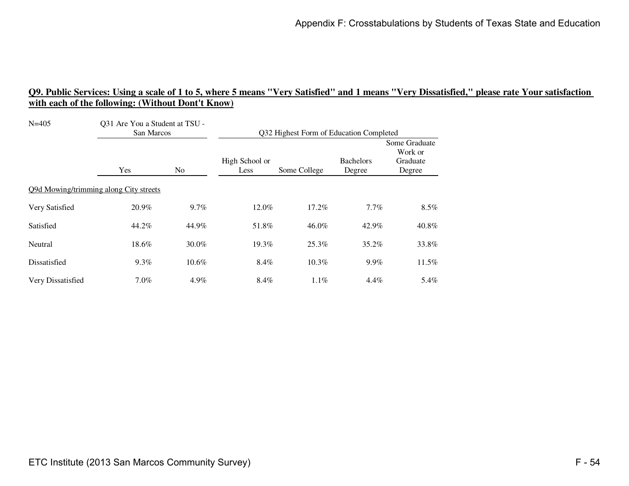| $N = 405$                              | Q31 Are You a Student at TSU -<br>San Marcos |         | Q32 Highest Form of Education Completed |              |                            |                                                |
|----------------------------------------|----------------------------------------------|---------|-----------------------------------------|--------------|----------------------------|------------------------------------------------|
|                                        | Yes                                          | No.     | High School or<br>Less                  | Some College | <b>Bachelors</b><br>Degree | Some Graduate<br>Work or<br>Graduate<br>Degree |
| Q9d Mowing/trimming along City streets |                                              |         |                                         |              |                            |                                                |
| Very Satisfied                         | 20.9%                                        | $9.7\%$ | 12.0%                                   | 17.2%        | $7.7\%$                    | $8.5\%$                                        |
| Satisfied                              | 44.2%                                        | 44.9%   | 51.8%                                   | 46.0%        | 42.9%                      | 40.8%                                          |
| Neutral                                | 18.6%                                        | 30.0%   | 19.3%                                   | 25.3%        | 35.2%                      | 33.8%                                          |
| Dissatisfied                           | $9.3\%$                                      | 10.6%   | 8.4%                                    | 10.3%        | $9.9\%$                    | 11.5%                                          |
| Very Dissatisfied                      | $7.0\%$                                      | 4.9%    | 8.4%                                    | $1.1\%$      | $4.4\%$                    | 5.4%                                           |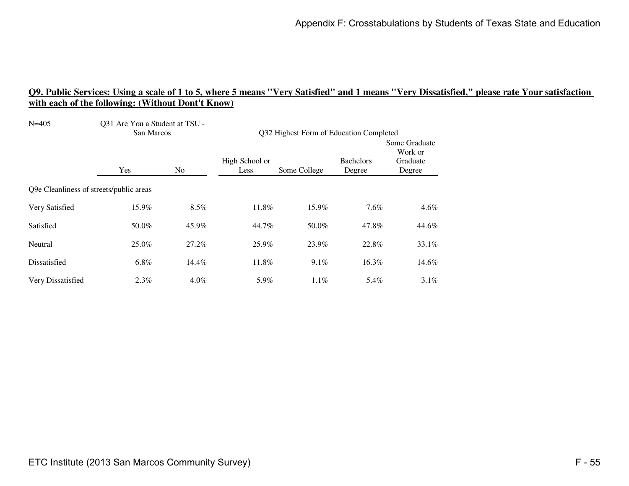| $N = 405$                               | Q31 Are You a Student at TSU -<br>San Marcos |                | Q32 Highest Form of Education Completed |              |                            |                                                |
|-----------------------------------------|----------------------------------------------|----------------|-----------------------------------------|--------------|----------------------------|------------------------------------------------|
|                                         | Yes                                          | N <sub>0</sub> | High School or<br>Less                  | Some College | <b>Bachelors</b><br>Degree | Some Graduate<br>Work or<br>Graduate<br>Degree |
| Q9e Cleanliness of streets/public areas |                                              |                |                                         |              |                            |                                                |
| Very Satisfied                          | 15.9%                                        | 8.5%           | 11.8%                                   | 15.9%        | $7.6\%$                    | $4.6\%$                                        |
| Satisfied                               | 50.0%                                        | 45.9%          | 44.7%                                   | 50.0%        | 47.8%                      | 44.6%                                          |
| Neutral                                 | 25.0%                                        | 27.2%          | 25.9%                                   | 23.9%        | 22.8%                      | 33.1%                                          |
| Dissatisfied                            | $6.8\%$                                      | 14.4%          | 11.8%                                   | 9.1%         | 16.3%                      | 14.6%                                          |
| Very Dissatisfied                       | $2.3\%$                                      | $4.0\%$        | 5.9%                                    | 1.1%         | 5.4%                       | $3.1\%$                                        |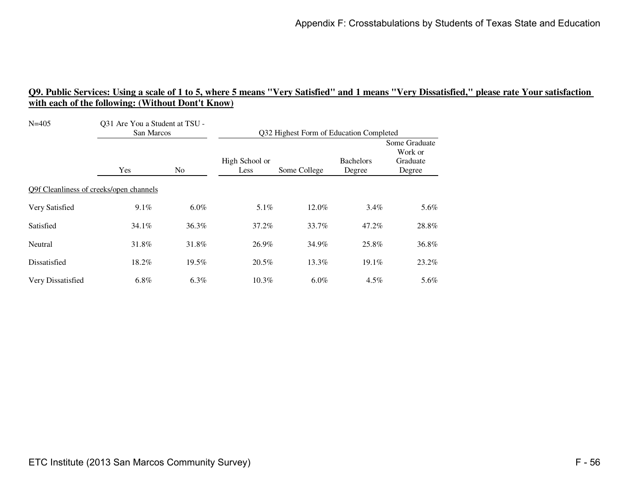| $N = 405$                               | Q31 Are You a Student at TSU -<br>San Marcos |         | Q32 Highest Form of Education Completed |              |                            |                                                |
|-----------------------------------------|----------------------------------------------|---------|-----------------------------------------|--------------|----------------------------|------------------------------------------------|
|                                         | Yes                                          | No.     | High School or<br>Less                  | Some College | <b>Bachelors</b><br>Degree | Some Graduate<br>Work or<br>Graduate<br>Degree |
| Q9f Cleanliness of creeks/open channels |                                              |         |                                         |              |                            |                                                |
| Very Satisfied                          | 9.1%                                         | $6.0\%$ | 5.1%                                    | 12.0%        | $3.4\%$                    | 5.6%                                           |
| Satisfied                               | 34.1%                                        | 36.3%   | 37.2%                                   | 33.7%        | 47.2%                      | 28.8%                                          |
| Neutral                                 | 31.8%                                        | 31.8%   | 26.9%                                   | 34.9%        | 25.8%                      | 36.8%                                          |
| Dissatisfied                            | 18.2%                                        | 19.5%   | 20.5%                                   | 13.3%        | $19.1\%$                   | 23.2%                                          |
| Very Dissatisfied                       | 6.8%                                         | 6.3%    | $10.3\%$                                | $6.0\%$      | $4.5\%$                    | 5.6%                                           |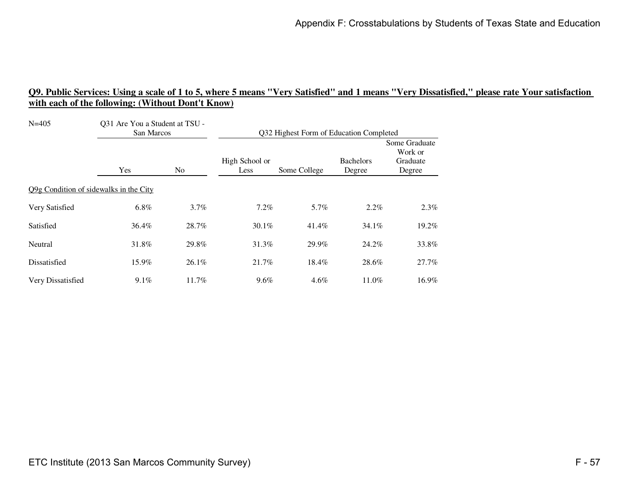| $N = 405$                              | Q31 Are You a Student at TSU -<br>San Marcos |                | Q32 Highest Form of Education Completed |              |                            |                                                |
|----------------------------------------|----------------------------------------------|----------------|-----------------------------------------|--------------|----------------------------|------------------------------------------------|
|                                        | Yes                                          | N <sub>0</sub> | High School or<br>Less                  | Some College | <b>Bachelors</b><br>Degree | Some Graduate<br>Work or<br>Graduate<br>Degree |
| Q9g Condition of sidewalks in the City |                                              |                |                                         |              |                            |                                                |
| Very Satisfied                         | $6.8\%$                                      | $3.7\%$        | $7.2\%$                                 | 5.7%         | $2.2\%$                    | $2.3\%$                                        |
| Satisfied                              | 36.4%                                        | 28.7%          | $30.1\%$                                | 41.4%        | $34.1\%$                   | 19.2%                                          |
| Neutral                                | 31.8%                                        | 29.8%          | 31.3%                                   | 29.9%        | 24.2%                      | 33.8%                                          |
| Dissatisfied                           | 15.9%                                        | $26.1\%$       | 21.7%                                   | 18.4%        | 28.6%                      | 27.7%                                          |
| Very Dissatisfied                      | 9.1%                                         | 11.7%          | 9.6%                                    | $4.6\%$      | 11.0%                      | 16.9%                                          |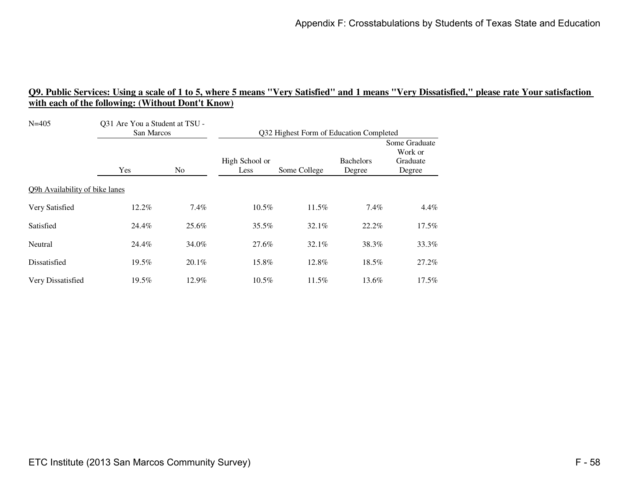| $N = 405$                      | Q31 Are You a Student at TSU -<br>San Marcos |                | Q32 Highest Form of Education Completed |              |                            |                                                |
|--------------------------------|----------------------------------------------|----------------|-----------------------------------------|--------------|----------------------------|------------------------------------------------|
|                                | Yes                                          | N <sub>0</sub> | High School or<br>Less                  | Some College | <b>Bachelors</b><br>Degree | Some Graduate<br>Work or<br>Graduate<br>Degree |
| Q9h Availability of bike lanes |                                              |                |                                         |              |                            |                                                |
| Very Satisfied                 | 12.2%                                        | $7.4\%$        | 10.5%                                   | 11.5%        | 7.4%                       | $4.4\%$                                        |
| Satisfied                      | 24.4%                                        | 25.6%          | 35.5%                                   | 32.1%        | 22.2%                      | $17.5\%$                                       |
| Neutral                        | 24.4%                                        | 34.0%          | 27.6%                                   | 32.1%        | 38.3%                      | 33.3%                                          |
| Dissatisfied                   | 19.5%                                        | $20.1\%$       | 15.8%                                   | 12.8%        | 18.5%                      | 27.2%                                          |
| Very Dissatisfied              | 19.5%                                        | 12.9%          | $10.5\%$                                | $11.5\%$     | 13.6%                      | 17.5%                                          |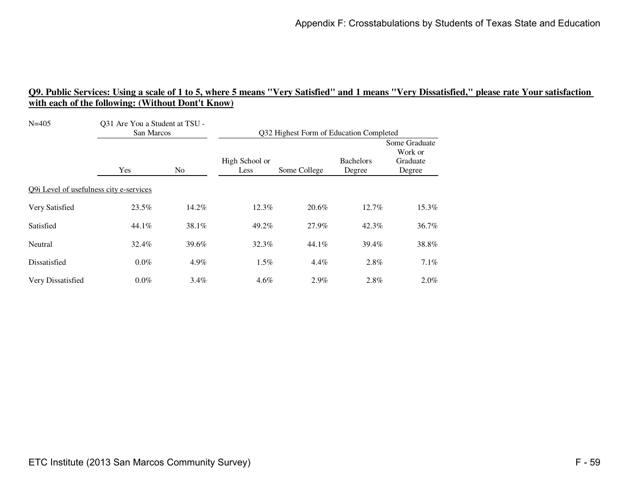| $N = 405$                               | Q31 Are You a Student at TSU -<br>San Marcos |                | Q32 Highest Form of Education Completed |              |                            |                                                |
|-----------------------------------------|----------------------------------------------|----------------|-----------------------------------------|--------------|----------------------------|------------------------------------------------|
|                                         | Yes                                          | N <sub>0</sub> | High School or<br>Less                  | Some College | <b>Bachelors</b><br>Degree | Some Graduate<br>Work or<br>Graduate<br>Degree |
| Q9i Level of usefulness city e-services |                                              |                |                                         |              |                            |                                                |
| Very Satisfied                          | 23.5%                                        | 14.2%          | 12.3%                                   | 20.6%        | 12.7%                      | 15.3%                                          |
| Satisfied                               | 44.1%                                        | 38.1%          | 49.2%                                   | 27.9%        | 42.3%                      | 36.7%                                          |
| Neutral                                 | 32.4%                                        | 39.6%          | 32.3%                                   | 44.1%        | 39.4%                      | 38.8%                                          |
| Dissatisfied                            | $0.0\%$                                      | 4.9%           | $1.5\%$                                 | $4.4\%$      | 2.8%                       | $7.1\%$                                        |
| Very Dissatisfied                       | $0.0\%$                                      | $3.4\%$        | $4.6\%$                                 | $2.9\%$      | 2.8%                       | $2.0\%$                                        |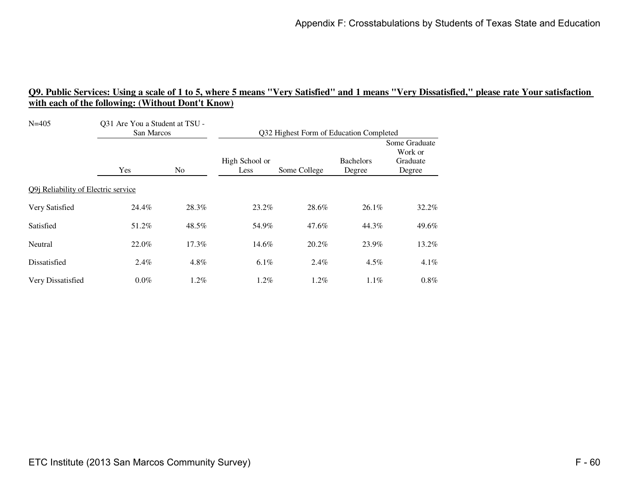| $N = 405$                           | Q31 Are You a Student at TSU -<br>San Marcos |                | Q32 Highest Form of Education Completed |              |                            |                                                |
|-------------------------------------|----------------------------------------------|----------------|-----------------------------------------|--------------|----------------------------|------------------------------------------------|
|                                     | Yes                                          | N <sub>0</sub> | High School or<br>Less                  | Some College | <b>Bachelors</b><br>Degree | Some Graduate<br>Work or<br>Graduate<br>Degree |
| Q9j Reliability of Electric service |                                              |                |                                         |              |                            |                                                |
| Very Satisfied                      | 24.4%                                        | 28.3%          | 23.2%                                   | 28.6%        | $26.1\%$                   | 32.2%                                          |
| Satisfied                           | 51.2%                                        | 48.5%          | 54.9%                                   | 47.6%        | 44.3%                      | 49.6%                                          |
| Neutral                             | 22.0%                                        | 17.3%          | 14.6%                                   | 20.2%        | 23.9%                      | 13.2%                                          |
| Dissatisfied                        | 2.4%                                         | 4.8%           | $6.1\%$                                 | $2.4\%$      | $4.5\%$                    | $4.1\%$                                        |
| Very Dissatisfied                   | $0.0\%$                                      | $1.2\%$        | $1.2\%$                                 | $1.2\%$      | $1.1\%$                    | $0.8\%$                                        |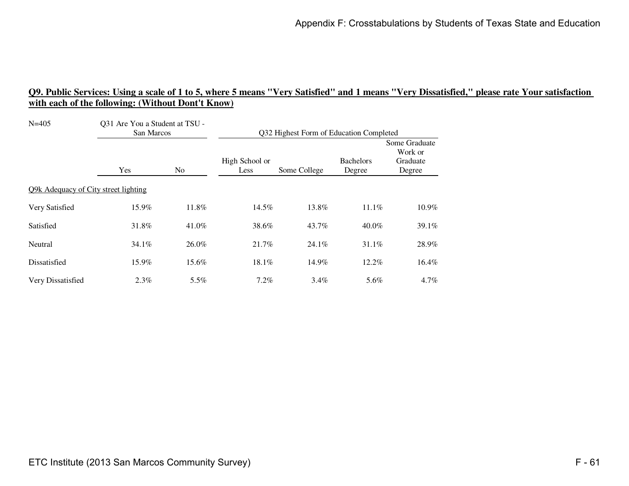| $N = 405$                            | Q31 Are You a Student at TSU -<br>San Marcos |                | Q32 Highest Form of Education Completed |              |                            |                                                |  |
|--------------------------------------|----------------------------------------------|----------------|-----------------------------------------|--------------|----------------------------|------------------------------------------------|--|
|                                      | Yes                                          | N <sub>0</sub> | High School or<br>Less                  | Some College | <b>Bachelors</b><br>Degree | Some Graduate<br>Work or<br>Graduate<br>Degree |  |
| Q9k Adequacy of City street lighting |                                              |                |                                         |              |                            |                                                |  |
| Very Satisfied                       | 15.9%                                        | 11.8%          | 14.5%                                   | 13.8%        | 11.1%                      | 10.9%                                          |  |
| Satisfied                            | 31.8%                                        | 41.0%          | 38.6%                                   | 43.7%        | 40.0%                      | 39.1%                                          |  |
| Neutral                              | $34.1\%$                                     | 26.0%          | 21.7%                                   | 24.1%        | 31.1%                      | 28.9%                                          |  |
| Dissatisfied                         | 15.9%                                        | 15.6%          | 18.1%                                   | 14.9%        | 12.2%                      | 16.4%                                          |  |
| Very Dissatisfied                    | 2.3%                                         | 5.5%           | $7.2\%$                                 | $3.4\%$      | 5.6%                       | $4.7\%$                                        |  |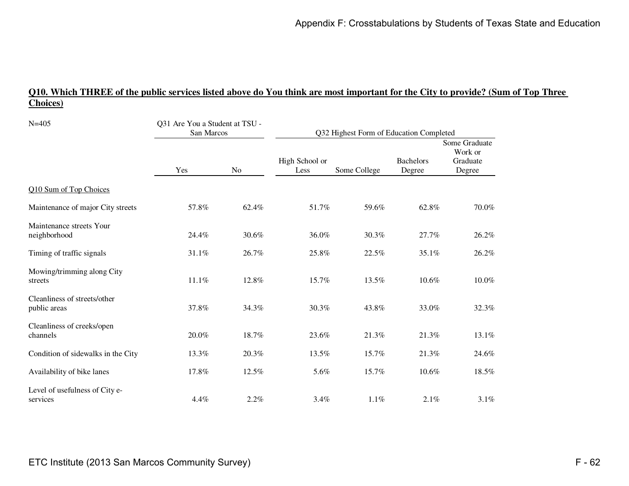# **Q10. Which THREE of the public services listed above do You think are most important for the City to provide? (Sum of Top Three Choices)**

| $N = 405$                                    | Q31 Are You a Student at TSU -<br>San Marcos |       | Q32 Highest Form of Education Completed |              |                            |                                                |  |
|----------------------------------------------|----------------------------------------------|-------|-----------------------------------------|--------------|----------------------------|------------------------------------------------|--|
|                                              | Yes                                          | No    | High School or<br>Less                  | Some College | <b>Bachelors</b><br>Degree | Some Graduate<br>Work or<br>Graduate<br>Degree |  |
| Q10 Sum of Top Choices                       |                                              |       |                                         |              |                            |                                                |  |
| Maintenance of major City streets            | 57.8%                                        | 62.4% | 51.7%                                   | 59.6%        | 62.8%                      | 70.0%                                          |  |
| Maintenance streets Your<br>neighborhood     | 24.4%                                        | 30.6% | 36.0%                                   | 30.3%        | 27.7%                      | 26.2%                                          |  |
| Timing of traffic signals                    | 31.1%                                        | 26.7% | 25.8%                                   | 22.5%        | 35.1%                      | 26.2%                                          |  |
| Mowing/trimming along City<br>streets        | 11.1%                                        | 12.8% | 15.7%                                   | 13.5%        | 10.6%                      | 10.0%                                          |  |
| Cleanliness of streets/other<br>public areas | 37.8%                                        | 34.3% | 30.3%                                   | 43.8%        | 33.0%                      | 32.3%                                          |  |
| Cleanliness of creeks/open<br>channels       | 20.0%                                        | 18.7% | 23.6%                                   | 21.3%        | 21.3%                      | 13.1%                                          |  |
| Condition of sidewalks in the City           | 13.3%                                        | 20.3% | 13.5%                                   | 15.7%        | 21.3%                      | 24.6%                                          |  |
| Availability of bike lanes                   | 17.8%                                        | 12.5% | 5.6%                                    | 15.7%        | 10.6%                      | 18.5%                                          |  |
| Level of usefulness of City e-<br>services   | 4.4%                                         | 2.2%  | 3.4%                                    | 1.1%         | 2.1%                       | 3.1%                                           |  |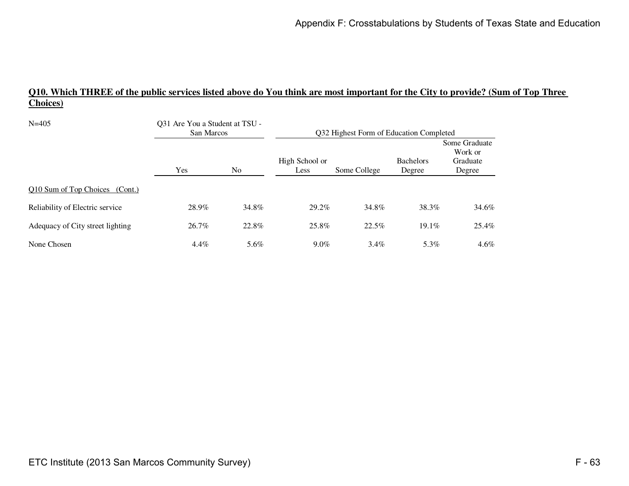# **Q10. Which THREE of the public services listed above do You think are most important for the City to provide? (Sum of Top Three Choices)**

| $N = 405$                        | Q31 Are You a Student at TSU -<br>San Marcos |                | Q32 Highest Form of Education Completed |              |                            |                                                |  |
|----------------------------------|----------------------------------------------|----------------|-----------------------------------------|--------------|----------------------------|------------------------------------------------|--|
|                                  | Yes                                          | N <sub>o</sub> | High School or<br>Less                  | Some College | <b>Bachelors</b><br>Degree | Some Graduate<br>Work or<br>Graduate<br>Degree |  |
| Q10 Sum of Top Choices (Cont.)   |                                              |                |                                         |              |                            |                                                |  |
| Reliability of Electric service  | 28.9%                                        | 34.8%          | 29.2%                                   | 34.8%        | 38.3%                      | 34.6%                                          |  |
| Adequacy of City street lighting | 26.7%                                        | 22.8%          | 25.8%                                   | 22.5%        | $19.1\%$                   | 25.4%                                          |  |
| None Chosen                      | $4.4\%$                                      | 5.6%           | $9.0\%$                                 | $3.4\%$      | 5.3%                       | $4.6\%$                                        |  |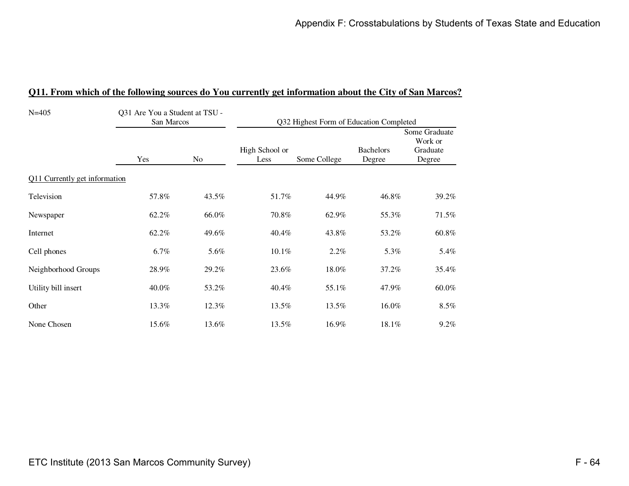| $N = 405$                     | Q31 Are You a Student at TSU -<br>San Marcos |       | Q32 Highest Form of Education Completed |              |                            |                                                |  |
|-------------------------------|----------------------------------------------|-------|-----------------------------------------|--------------|----------------------------|------------------------------------------------|--|
|                               | Yes                                          | No    | High School or<br>Less                  | Some College | <b>Bachelors</b><br>Degree | Some Graduate<br>Work or<br>Graduate<br>Degree |  |
| Q11 Currently get information |                                              |       |                                         |              |                            |                                                |  |
| Television                    | 57.8%                                        | 43.5% | 51.7%                                   | 44.9%        | 46.8%                      | 39.2%                                          |  |
| Newspaper                     | 62.2%                                        | 66.0% | 70.8%                                   | 62.9%        | 55.3%                      | 71.5%                                          |  |
| Internet                      | 62.2%                                        | 49.6% | 40.4%                                   | 43.8%        | 53.2%                      | 60.8%                                          |  |
| Cell phones                   | 6.7%                                         | 5.6%  | 10.1%                                   | 2.2%         | 5.3%                       | 5.4%                                           |  |
| Neighborhood Groups           | 28.9%                                        | 29.2% | 23.6%                                   | 18.0%        | 37.2%                      | 35.4%                                          |  |
| Utility bill insert           | 40.0%                                        | 53.2% | 40.4%                                   | 55.1%        | 47.9%                      | 60.0%                                          |  |
| Other                         | 13.3%                                        | 12.3% | 13.5%                                   | 13.5%        | 16.0%                      | 8.5%                                           |  |
| None Chosen                   | 15.6%                                        | 13.6% | 13.5%                                   | 16.9%        | 18.1%                      | $9.2\%$                                        |  |

#### **Q11. From which of the following sources do You currently get information about the City of San Marcos?**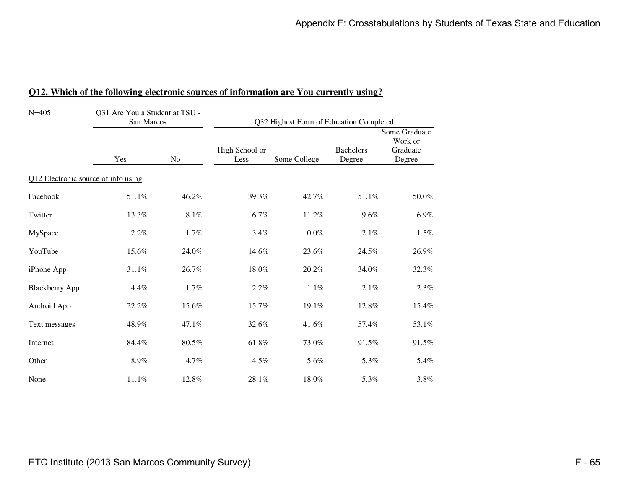| $N = 405$                           | Q31 Are You a Student at TSU -<br>San Marcos |       | Q32 Highest Form of Education Completed |              |                            |                                                |  |
|-------------------------------------|----------------------------------------------|-------|-----------------------------------------|--------------|----------------------------|------------------------------------------------|--|
|                                     | Yes                                          | No    | High School or<br>Less                  | Some College | <b>Bachelors</b><br>Degree | Some Graduate<br>Work or<br>Graduate<br>Degree |  |
| Q12 Electronic source of info using |                                              |       |                                         |              |                            |                                                |  |
| Facebook                            | 51.1%                                        | 46.2% | 39.3%                                   | 42.7%        | 51.1%                      | 50.0%                                          |  |
| Twitter                             | 13.3%                                        | 8.1%  | 6.7%                                    | 11.2%        | 9.6%                       | $6.9\%$                                        |  |
| MySpace                             | 2.2%                                         | 1.7%  | 3.4%                                    | $0.0\%$      | 2.1%                       | $1.5\%$                                        |  |
| YouTube                             | 15.6%                                        | 24.0% | 14.6%                                   | 23.6%        | 24.5%                      | 26.9%                                          |  |
| iPhone App                          | $31.1\%$                                     | 26.7% | 18.0%                                   | 20.2%        | 34.0%                      | 32.3%                                          |  |
| <b>Blackberry App</b>               | 4.4%                                         | 1.7%  | 2.2%                                    | $1.1\%$      | 2.1%                       | 2.3%                                           |  |
| Android App                         | 22.2%                                        | 15.6% | 15.7%                                   | 19.1%        | 12.8%                      | 15.4%                                          |  |
| Text messages                       | 48.9%                                        | 47.1% | 32.6%                                   | 41.6%        | 57.4%                      | 53.1%                                          |  |
| Internet                            | 84.4%                                        | 80.5% | 61.8%                                   | 73.0%        | 91.5%                      | 91.5%                                          |  |
| Other                               | $8.9\%$                                      | 4.7%  | 4.5%                                    | 5.6%         | 5.3%                       | 5.4%                                           |  |
| None                                | 11.1%                                        | 12.8% | 28.1%                                   | 18.0%        | 5.3%                       | 3.8%                                           |  |

## **Q12. Which of the following electronic sources of information are You currently using?**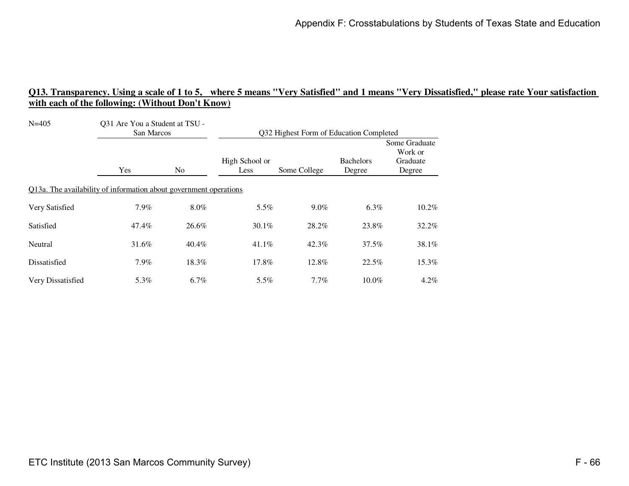| $N = 405$                                                         | Q31 Are You a Student at TSU -<br>San Marcos |                | Q32 Highest Form of Education Completed |              |                            |                                                |
|-------------------------------------------------------------------|----------------------------------------------|----------------|-----------------------------------------|--------------|----------------------------|------------------------------------------------|
|                                                                   | Yes                                          | N <sub>0</sub> | High School or<br>Less                  | Some College | <b>Bachelors</b><br>Degree | Some Graduate<br>Work or<br>Graduate<br>Degree |
| Q13a. The availability of information about government operations |                                              |                |                                         |              |                            |                                                |
| Very Satisfied                                                    | $7.9\%$                                      | $8.0\%$        | 5.5%                                    | $9.0\%$      | $6.3\%$                    | $10.2\%$                                       |
| Satisfied                                                         | 47.4%                                        | 26.6%          | 30.1%                                   | 28.2%        | 23.8%                      | 32.2%                                          |
| Neutral                                                           | 31.6%                                        | 40.4%          | 41.1%                                   | 42.3%        | 37.5%                      | 38.1%                                          |
| Dissatisfied                                                      | $7.9\%$                                      | 18.3%          | 17.8%                                   | 12.8%        | 22.5%                      | 15.3%                                          |
| Very Dissatisfied                                                 | 5.3%                                         | $6.7\%$        | 5.5%                                    | $7.7\%$      | $10.0\%$                   | $4.2\%$                                        |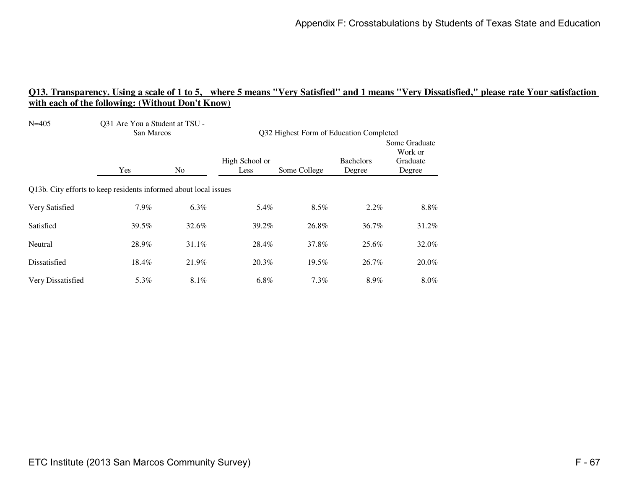| $N = 405$                                                        | Q31 Are You a Student at TSU -<br>San Marcos |                | Q32 Highest Form of Education Completed |              |                            |                                                |
|------------------------------------------------------------------|----------------------------------------------|----------------|-----------------------------------------|--------------|----------------------------|------------------------------------------------|
|                                                                  | Yes                                          | N <sub>0</sub> | High School or<br>Less                  | Some College | <b>Bachelors</b><br>Degree | Some Graduate<br>Work or<br>Graduate<br>Degree |
| Q13b. City efforts to keep residents informed about local issues |                                              |                |                                         |              |                            |                                                |
| Very Satisfied                                                   | 7.9%                                         | $6.3\%$        | 5.4%                                    | $8.5\%$      | $2.2\%$                    | $8.8\%$                                        |
| Satisfied                                                        | 39.5%                                        | 32.6%          | 39.2%                                   | 26.8%        | 36.7%                      | 31.2%                                          |
| Neutral                                                          | 28.9%                                        | 31.1%          | 28.4%                                   | 37.8%        | 25.6%                      | 32.0%                                          |
| Dissatisfied                                                     | 18.4%                                        | 21.9%          | 20.3%                                   | $19.5\%$     | 26.7%                      | 20.0%                                          |
| Very Dissatisfied                                                | 5.3%                                         | $8.1\%$        | 6.8%                                    | $7.3\%$      | 8.9%                       | 8.0%                                           |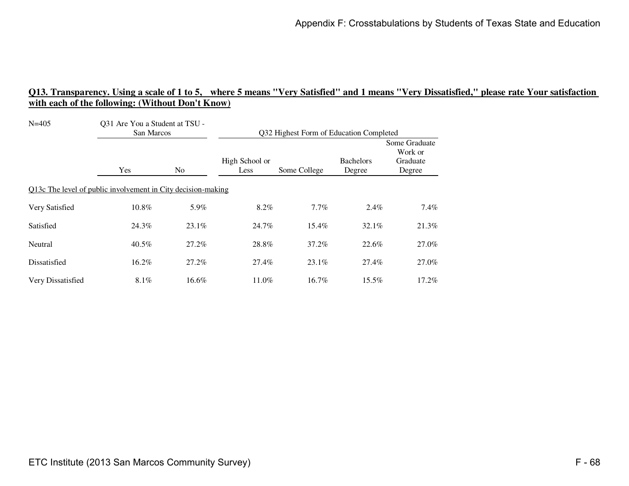| $N = 405$                                                    | Q31 Are You a Student at TSU -<br>San Marcos |                | Q32 Highest Form of Education Completed |              |                            |                                                |  |
|--------------------------------------------------------------|----------------------------------------------|----------------|-----------------------------------------|--------------|----------------------------|------------------------------------------------|--|
|                                                              | Yes                                          | N <sub>0</sub> | High School or<br>Less                  | Some College | <b>Bachelors</b><br>Degree | Some Graduate<br>Work or<br>Graduate<br>Degree |  |
| Q13c The level of public involvement in City decision-making |                                              |                |                                         |              |                            |                                                |  |
| Very Satisfied                                               | 10.8%                                        | 5.9%           | 8.2%                                    | $7.7\%$      | $2.4\%$                    | $7.4\%$                                        |  |
| Satisfied                                                    | 24.3%                                        | $23.1\%$       | 24.7%                                   | 15.4%        | 32.1%                      | 21.3%                                          |  |
| Neutral                                                      | 40.5%                                        | 27.2%          | 28.8%                                   | 37.2%        | 22.6%                      | 27.0%                                          |  |
| Dissatisfied                                                 | 16.2%                                        | 27.2%          | 27.4%                                   | $23.1\%$     | 27.4%                      | 27.0%                                          |  |
| Very Dissatisfied                                            | 8.1%                                         | 16.6%          | 11.0%                                   | 16.7%        | $15.5\%$                   | 17.2%                                          |  |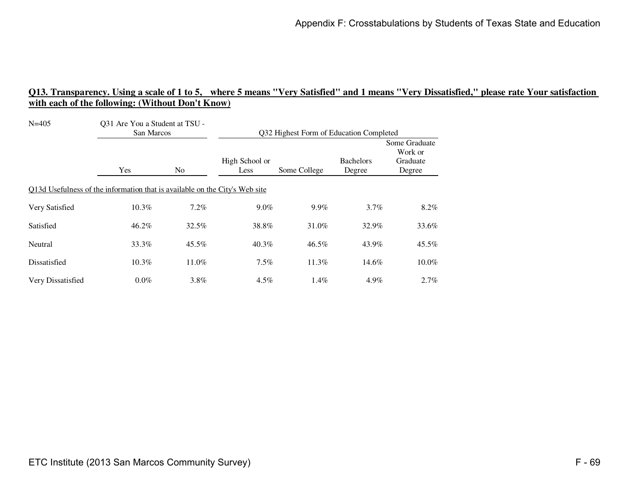| $N = 405$                                                                   | Q31 Are You a Student at TSU -<br>San Marcos |                | Q32 Highest Form of Education Completed |              |                            |                                                |  |
|-----------------------------------------------------------------------------|----------------------------------------------|----------------|-----------------------------------------|--------------|----------------------------|------------------------------------------------|--|
|                                                                             | Yes                                          | N <sub>0</sub> | High School or<br>Less                  | Some College | <b>Bachelors</b><br>Degree | Some Graduate<br>Work or<br>Graduate<br>Degree |  |
| Q13d Usefulness of the information that is available on the City's Web site |                                              |                |                                         |              |                            |                                                |  |
| Very Satisfied                                                              | 10.3%                                        | 7.2%           | $9.0\%$                                 | $9.9\%$      | $3.7\%$                    | $8.2\%$                                        |  |
| Satisfied                                                                   | 46.2%                                        | 32.5%          | 38.8%                                   | 31.0%        | 32.9%                      | 33.6%                                          |  |
| Neutral                                                                     | 33.3%                                        | 45.5%          | 40.3%                                   | 46.5%        | 43.9%                      | 45.5%                                          |  |
| Dissatisfied                                                                | $10.3\%$                                     | 11.0%          | $7.5\%$                                 | 11.3%        | 14.6%                      | 10.0%                                          |  |
| Very Dissatisfied                                                           | $0.0\%$                                      | 3.8%           | $4.5\%$                                 | $1.4\%$      | 4.9%                       | 2.7%                                           |  |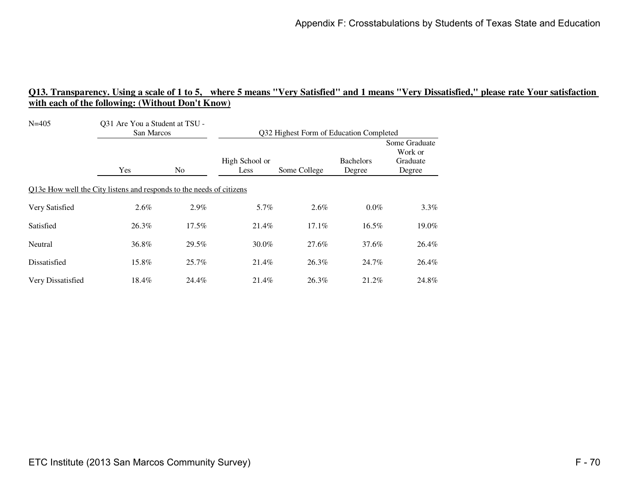| $N = 405$         | Q31 Are You a Student at TSU -<br>San Marcos                         |                | Q32 Highest Form of Education Completed |              |                            |                                                |
|-------------------|----------------------------------------------------------------------|----------------|-----------------------------------------|--------------|----------------------------|------------------------------------------------|
|                   | Yes                                                                  | N <sub>0</sub> | High School or<br>Less                  | Some College | <b>Bachelors</b><br>Degree | Some Graduate<br>Work or<br>Graduate<br>Degree |
|                   | Q13e How well the City listens and responds to the needs of citizens |                |                                         |              |                            |                                                |
| Very Satisfied    | 2.6%                                                                 | $2.9\%$        | 5.7%                                    | $2.6\%$      | $0.0\%$                    | $3.3\%$                                        |
| Satisfied         | 26.3%                                                                | $17.5\%$       | 21.4%                                   | $17.1\%$     | $16.5\%$                   | 19.0%                                          |
| Neutral           | 36.8%                                                                | 29.5%          | 30.0%                                   | 27.6%        | 37.6%                      | 26.4%                                          |
| Dissatisfied      | 15.8%                                                                | $25.7\%$       | 21.4%                                   | 26.3%        | 24.7%                      | 26.4%                                          |
| Very Dissatisfied | 18.4%                                                                | 24.4%          | 21.4%                                   | 26.3%        | 21.2%                      | 24.8%                                          |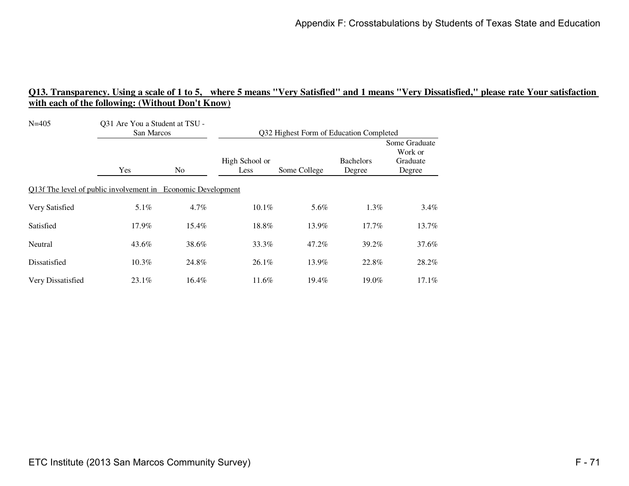| $N = 405$                                                    | Q31 Are You a Student at TSU -<br>San Marcos |                | Q32 Highest Form of Education Completed |              |                            |                                                |  |
|--------------------------------------------------------------|----------------------------------------------|----------------|-----------------------------------------|--------------|----------------------------|------------------------------------------------|--|
|                                                              | Yes                                          | N <sub>0</sub> | High School or<br>Less                  | Some College | <b>Bachelors</b><br>Degree | Some Graduate<br>Work or<br>Graduate<br>Degree |  |
| Q13f The level of public involvement in Economic Development |                                              |                |                                         |              |                            |                                                |  |
| Very Satisfied                                               | $5.1\%$                                      | 4.7%           | 10.1%                                   | 5.6%         | 1.3%                       | 3.4%                                           |  |
| Satisfied                                                    | 17.9%                                        | 15.4%          | 18.8%                                   | 13.9%        | $17.7\%$                   | 13.7%                                          |  |
| Neutral                                                      | 43.6%                                        | 38.6%          | 33.3%                                   | 47.2%        | 39.2%                      | 37.6%                                          |  |
| Dissatisfied                                                 | 10.3%                                        | 24.8%          | 26.1%                                   | 13.9%        | 22.8%                      | 28.2%                                          |  |
| Very Dissatisfied                                            | 23.1%                                        | 16.4%          | 11.6%                                   | 19.4%        | 19.0%                      | 17.1%                                          |  |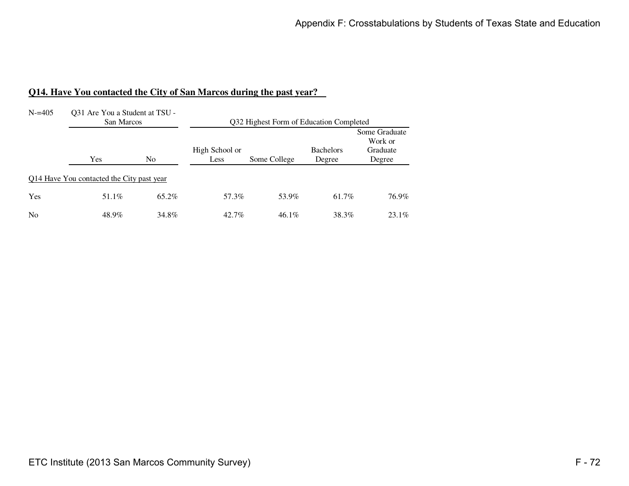#### **Q14. Have You contacted the City of San Marcos during the past year?**

| $N = 405$      | Q31 Are You a Student at TSU -<br>San Marcos |       | Q32 Highest Form of Education Completed |              |                            |                                                |  |  |
|----------------|----------------------------------------------|-------|-----------------------------------------|--------------|----------------------------|------------------------------------------------|--|--|
|                | Yes                                          | No.   | High School or<br>Less                  | Some College | <b>Bachelors</b><br>Degree | Some Graduate<br>Work or<br>Graduate<br>Degree |  |  |
|                | Q14 Have You contacted the City past year    |       |                                         |              |                            |                                                |  |  |
| Yes            | 51.1%                                        | 65.2% | 57.3%                                   | 53.9%        | 61.7%                      | 76.9%                                          |  |  |
| N <sub>0</sub> | 48.9%                                        | 34.8% | $42.7\%$                                | $46.1\%$     | 38.3%                      | $23.1\%$                                       |  |  |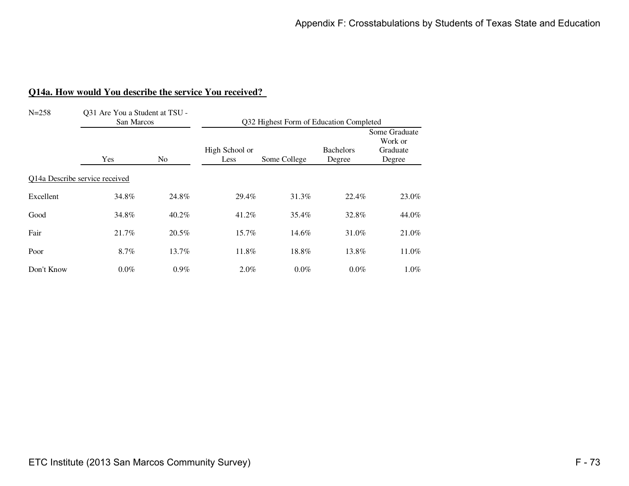#### **Q14a. How would You describe the service You received?**

| $N = 258$                      | Q31 Are You a Student at TSU -<br>San Marcos |                | Q32 Highest Form of Education Completed |              |                            |                                                |
|--------------------------------|----------------------------------------------|----------------|-----------------------------------------|--------------|----------------------------|------------------------------------------------|
|                                | Yes                                          | N <sub>0</sub> | High School or<br>Less                  | Some College | <b>Bachelors</b><br>Degree | Some Graduate<br>Work or<br>Graduate<br>Degree |
| Q14a Describe service received |                                              |                |                                         |              |                            |                                                |
| Excellent                      | 34.8%                                        | 24.8%          | 29.4%                                   | 31.3%        | 22.4%                      | 23.0%                                          |
| Good                           | 34.8%                                        | 40.2%          | 41.2%                                   | 35.4%        | 32.8%                      | 44.0%                                          |
| Fair                           | 21.7%                                        | 20.5%          | 15.7%                                   | 14.6%        | 31.0%                      | 21.0%                                          |
| Poor                           | 8.7%                                         | 13.7%          | 11.8%                                   | 18.8%        | 13.8%                      | 11.0%                                          |
| Don't Know                     | $0.0\%$                                      | $0.9\%$        | 2.0%                                    | $0.0\%$      | $0.0\%$                    | $1.0\%$                                        |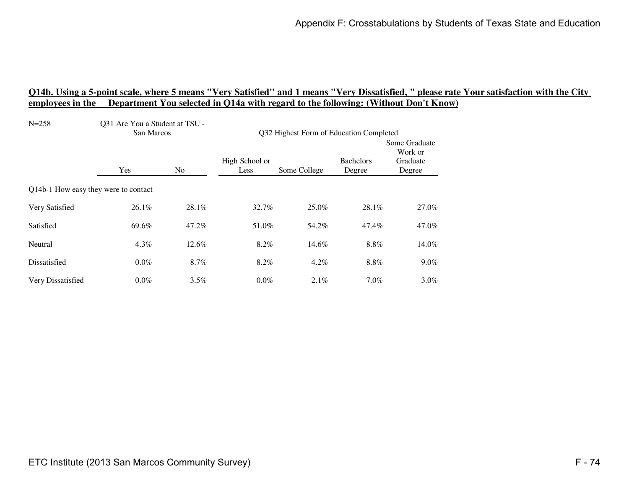| $N = 258$                            | Q31 Are You a Student at TSU -<br>San Marcos |                | Q32 Highest Form of Education Completed |              |                            |                                                |
|--------------------------------------|----------------------------------------------|----------------|-----------------------------------------|--------------|----------------------------|------------------------------------------------|
|                                      | Yes                                          | N <sub>0</sub> | High School or<br>Less                  | Some College | <b>Bachelors</b><br>Degree | Some Graduate<br>Work or<br>Graduate<br>Degree |
| Q14b-1 How easy they were to contact |                                              |                |                                         |              |                            |                                                |
| Very Satisfied                       | 26.1%                                        | 28.1%          | 32.7%                                   | 25.0%        | 28.1%                      | 27.0%                                          |
| Satisfied                            | 69.6%                                        | 47.2%          | 51.0%                                   | 54.2%        | 47.4%                      | 47.0%                                          |
| Neutral                              | 4.3%                                         | 12.6%          | 8.2%                                    | 14.6%        | 8.8%                       | 14.0%                                          |
| Dissatisfied                         | $0.0\%$                                      | 8.7%           | 8.2%                                    | $4.2\%$      | 8.8%                       | $9.0\%$                                        |
| Very Dissatisfied                    | $0.0\%$                                      | $3.5\%$        | $0.0\%$                                 | 2.1%         | 7.0%                       | $3.0\%$                                        |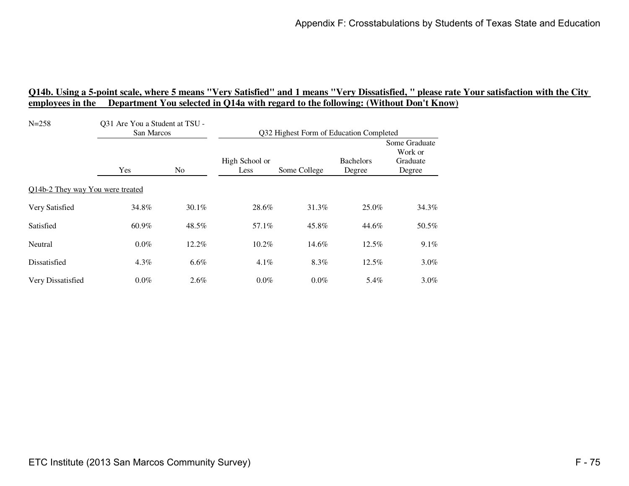| $N = 258$                        | Q31 Are You a Student at TSU -<br>San Marcos |       | Q32 Highest Form of Education Completed |              |                            |                                                |
|----------------------------------|----------------------------------------------|-------|-----------------------------------------|--------------|----------------------------|------------------------------------------------|
|                                  | Yes                                          | No    | High School or<br>Less                  | Some College | <b>Bachelors</b><br>Degree | Some Graduate<br>Work or<br>Graduate<br>Degree |
| Q14b-2 They way You were treated |                                              |       |                                         |              |                            |                                                |
| Very Satisfied                   | 34.8%                                        | 30.1% | 28.6%                                   | 31.3%        | 25.0%                      | 34.3%                                          |
| Satisfied                        | 60.9%                                        | 48.5% | 57.1%                                   | 45.8%        | 44.6%                      | 50.5%                                          |
| Neutral                          | $0.0\%$                                      | 12.2% | 10.2%                                   | 14.6%        | 12.5%                      | 9.1%                                           |
| Dissatisfied                     | $4.3\%$                                      | 6.6%  | $4.1\%$                                 | 8.3%         | 12.5%                      | $3.0\%$                                        |
| Very Dissatisfied                | $0.0\%$                                      | 2.6%  | $0.0\%$                                 | $0.0\%$      | 5.4%                       | $3.0\%$                                        |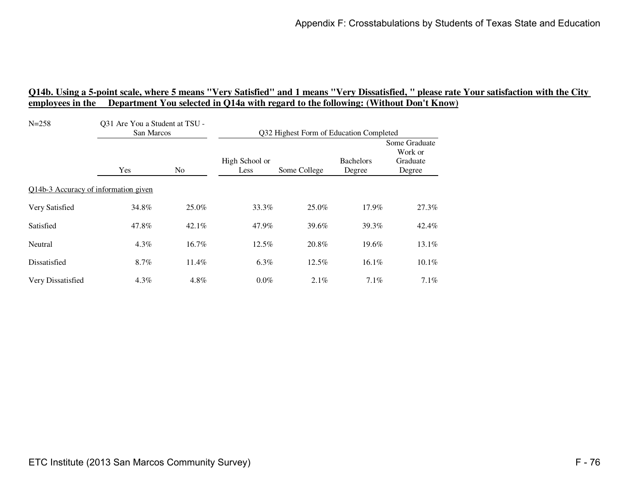| $N = 258$                            | Q31 Are You a Student at TSU -<br>San Marcos |       | Q32 Highest Form of Education Completed |              |                            |                                                |
|--------------------------------------|----------------------------------------------|-------|-----------------------------------------|--------------|----------------------------|------------------------------------------------|
|                                      | Yes                                          | No    | High School or<br>Less                  | Some College | <b>Bachelors</b><br>Degree | Some Graduate<br>Work or<br>Graduate<br>Degree |
| Q14b-3 Accuracy of information given |                                              |       |                                         |              |                            |                                                |
| Very Satisfied                       | 34.8%                                        | 25.0% | 33.3%                                   | 25.0%        | 17.9%                      | 27.3%                                          |
| Satisfied                            | 47.8%                                        | 42.1% | 47.9%                                   | 39.6%        | 39.3%                      | 42.4%                                          |
| Neutral                              | $4.3\%$                                      | 16.7% | 12.5%                                   | 20.8%        | 19.6%                      | 13.1%                                          |
| Dissatisfied                         | 8.7%                                         | 11.4% | $6.3\%$                                 | 12.5%        | 16.1%                      | $10.1\%$                                       |
| Very Dissatisfied                    | $4.3\%$                                      | 4.8%  | $0.0\%$                                 | $2.1\%$      | 7.1%                       | 7.1%                                           |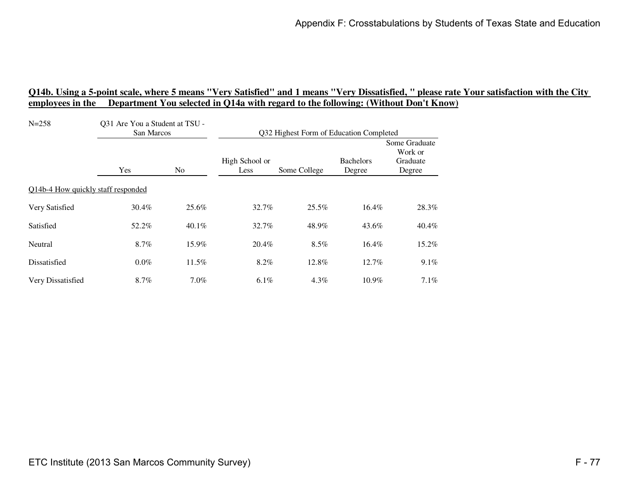| $N = 258$                          | Q31 Are You a Student at TSU -<br>San Marcos |          | Q32 Highest Form of Education Completed |              |                            |                                                |
|------------------------------------|----------------------------------------------|----------|-----------------------------------------|--------------|----------------------------|------------------------------------------------|
|                                    | Yes                                          | No       | High School or<br>Less                  | Some College | <b>Bachelors</b><br>Degree | Some Graduate<br>Work or<br>Graduate<br>Degree |
| Q14b-4 How quickly staff responded |                                              |          |                                         |              |                            |                                                |
| Very Satisfied                     | 30.4%                                        | 25.6%    | 32.7%                                   | 25.5%        | 16.4%                      | 28.3%                                          |
| Satisfied                          | 52.2%                                        | $40.1\%$ | 32.7%                                   | 48.9%        | 43.6%                      | 40.4%                                          |
| Neutral                            | 8.7%                                         | 15.9%    | 20.4%                                   | 8.5%         | 16.4%                      | 15.2%                                          |
| Dissatisfied                       | $0.0\%$                                      | $11.5\%$ | 8.2%                                    | 12.8%        | 12.7%                      | $9.1\%$                                        |
| Very Dissatisfied                  | 8.7%                                         | $7.0\%$  | 6.1%                                    | $4.3\%$      | 10.9%                      | 7.1%                                           |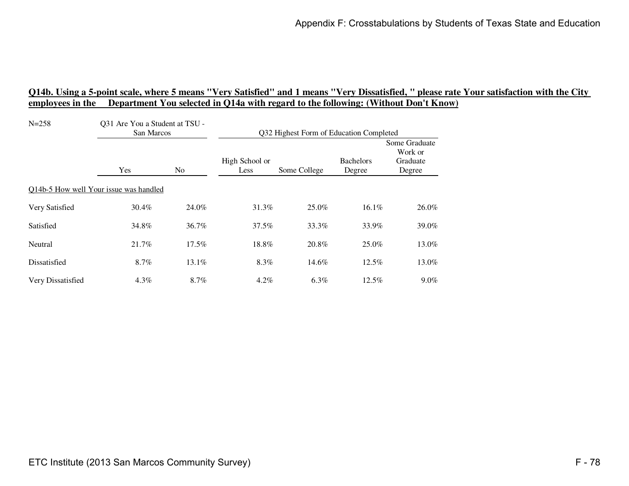| $N = 258$                              | Q31 Are You a Student at TSU -<br>San Marcos |                | Q32 Highest Form of Education Completed |              |                            |                                                |
|----------------------------------------|----------------------------------------------|----------------|-----------------------------------------|--------------|----------------------------|------------------------------------------------|
|                                        | Yes                                          | N <sub>0</sub> | High School or<br>Less                  | Some College | <b>Bachelors</b><br>Degree | Some Graduate<br>Work or<br>Graduate<br>Degree |
| Q14b-5 How well Your issue was handled |                                              |                |                                         |              |                            |                                                |
| Very Satisfied                         | 30.4%                                        | 24.0%          | 31.3%                                   | 25.0%        | 16.1%                      | 26.0%                                          |
| Satisfied                              | 34.8%                                        | 36.7%          | 37.5%                                   | 33.3%        | 33.9%                      | 39.0%                                          |
| Neutral                                | 21.7%                                        | 17.5%          | 18.8%                                   | 20.8%        | 25.0%                      | 13.0%                                          |
| Dissatisfied                           | 8.7%                                         | $13.1\%$       | 8.3%                                    | 14.6%        | $12.5\%$                   | 13.0%                                          |
| Very Dissatisfied                      | $4.3\%$                                      | 8.7%           | $4.2\%$                                 | 6.3%         | 12.5%                      | $9.0\%$                                        |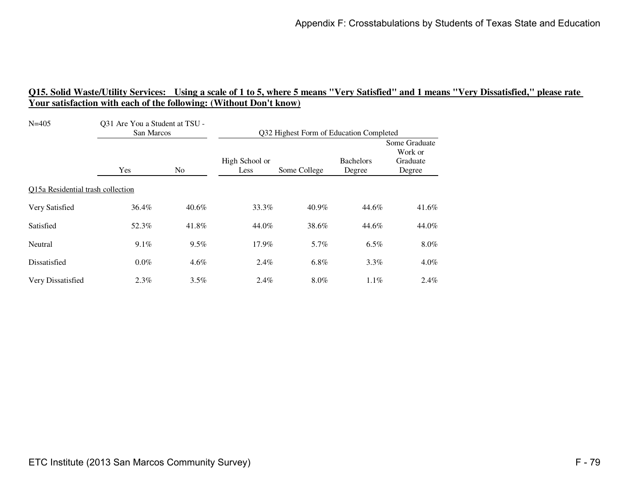| $N = 405$                         | Q31 Are You a Student at TSU -<br>San Marcos |                | Q32 Highest Form of Education Completed |              |                            |                                                |
|-----------------------------------|----------------------------------------------|----------------|-----------------------------------------|--------------|----------------------------|------------------------------------------------|
|                                   | Yes                                          | N <sub>0</sub> | High School or<br>Less                  | Some College | <b>Bachelors</b><br>Degree | Some Graduate<br>Work or<br>Graduate<br>Degree |
| Q15a Residential trash collection |                                              |                |                                         |              |                            |                                                |
| Very Satisfied                    | 36.4%                                        | $40.6\%$       | 33.3%                                   | 40.9%        | 44.6%                      | 41.6%                                          |
| Satisfied                         | 52.3%                                        | 41.8%          | 44.0%                                   | 38.6%        | 44.6%                      | 44.0%                                          |
| Neutral                           | 9.1%                                         | 9.5%           | 17.9%                                   | 5.7%         | 6.5%                       | $8.0\%$                                        |
| Dissatisfied                      | $0.0\%$                                      | $4.6\%$        | $2.4\%$                                 | 6.8%         | $3.3\%$                    | $4.0\%$                                        |
| Very Dissatisfied                 | 2.3%                                         | 3.5%           | $2.4\%$                                 | 8.0%         | $1.1\%$                    | $2.4\%$                                        |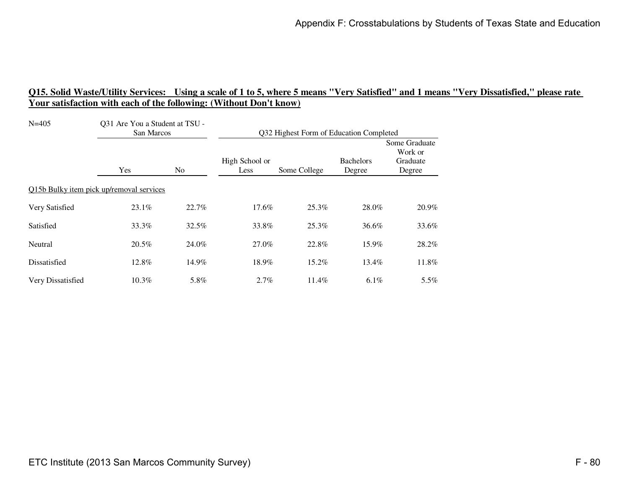| $N = 405$         | Q31 Are You a Student at TSU -<br>San Marcos |                | Q32 Highest Form of Education Completed |              |                            |                                                |
|-------------------|----------------------------------------------|----------------|-----------------------------------------|--------------|----------------------------|------------------------------------------------|
|                   | Yes                                          | N <sub>0</sub> | High School or<br>Less                  | Some College | <b>Bachelors</b><br>Degree | Some Graduate<br>Work or<br>Graduate<br>Degree |
|                   | Q15b Bulky item pick up/removal services     |                |                                         |              |                            |                                                |
| Very Satisfied    | 23.1%                                        | 22.7%          | 17.6%                                   | 25.3%        | 28.0%                      | 20.9%                                          |
| Satisfied         | 33.3%                                        | 32.5%          | 33.8%                                   | 25.3%        | 36.6%                      | 33.6%                                          |
| Neutral           | 20.5%                                        | 24.0%          | 27.0%                                   | 22.8%        | 15.9%                      | 28.2%                                          |
| Dissatisfied      | 12.8%                                        | 14.9%          | 18.9%                                   | 15.2%        | 13.4%                      | 11.8%                                          |
| Very Dissatisfied | 10.3%                                        | 5.8%           | $2.7\%$                                 | 11.4%        | $6.1\%$                    | $5.5\%$                                        |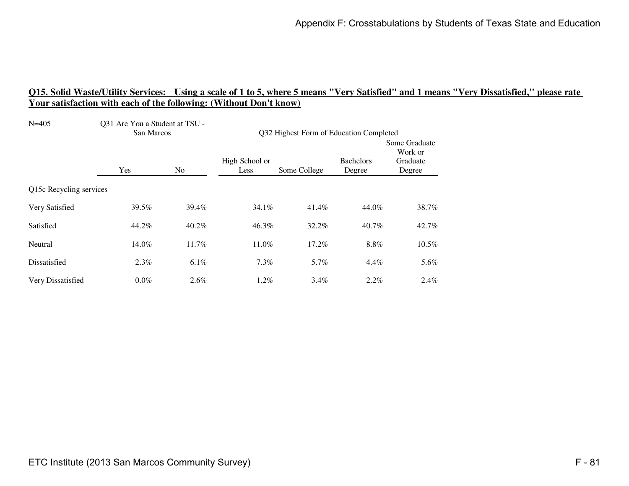| $N = 405$               | Q31 Are You a Student at TSU -<br>San Marcos |                | Q32 Highest Form of Education Completed |              |                            |                                                |
|-------------------------|----------------------------------------------|----------------|-----------------------------------------|--------------|----------------------------|------------------------------------------------|
|                         | Yes                                          | N <sub>0</sub> | High School or<br>Less                  | Some College | <b>Bachelors</b><br>Degree | Some Graduate<br>Work or<br>Graduate<br>Degree |
| Q15c Recycling services |                                              |                |                                         |              |                            |                                                |
| Very Satisfied          | 39.5%                                        | 39.4%          | 34.1%                                   | 41.4%        | 44.0%                      | 38.7%                                          |
| Satisfied               | 44.2%                                        | 40.2%          | 46.3%                                   | 32.2%        | 40.7%                      | 42.7%                                          |
| Neutral                 | 14.0%                                        | 11.7%          | 11.0%                                   | 17.2%        | 8.8%                       | 10.5%                                          |
| Dissatisfied            | $2.3\%$                                      | 6.1%           | 7.3%                                    | 5.7%         | $4.4\%$                    | 5.6%                                           |
| Very Dissatisfied       | $0.0\%$                                      | 2.6%           | $1.2\%$                                 | $3.4\%$      | $2.2\%$                    | $2.4\%$                                        |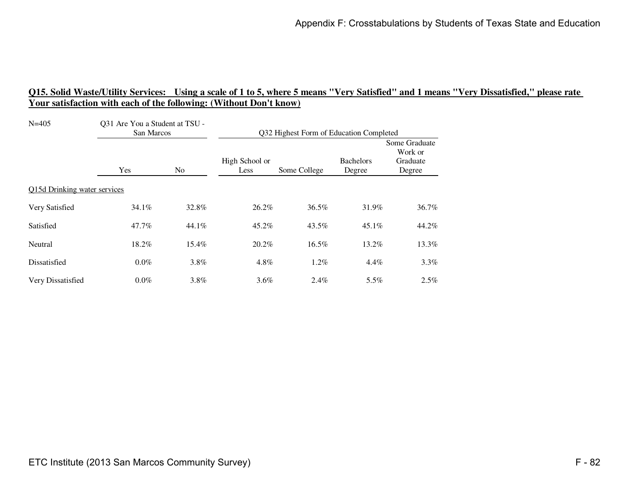| $N = 405$                    | Q31 Are You a Student at TSU -<br>San Marcos |                | Q32 Highest Form of Education Completed |              |                            |                                                |
|------------------------------|----------------------------------------------|----------------|-----------------------------------------|--------------|----------------------------|------------------------------------------------|
|                              | Yes                                          | N <sub>0</sub> | High School or<br>Less                  | Some College | <b>Bachelors</b><br>Degree | Some Graduate<br>Work or<br>Graduate<br>Degree |
| Q15d Drinking water services |                                              |                |                                         |              |                            |                                                |
| Very Satisfied               | 34.1%                                        | 32.8%          | 26.2%                                   | 36.5%        | 31.9%                      | 36.7%                                          |
| Satisfied                    | 47.7%                                        | 44.1%          | 45.2%                                   | 43.5%        | $45.1\%$                   | 44.2%                                          |
| Neutral                      | 18.2%                                        | 15.4%          | 20.2%                                   | 16.5%        | 13.2%                      | 13.3%                                          |
| Dissatisfied                 | $0.0\%$                                      | $3.8\%$        | 4.8%                                    | $1.2\%$      | $4.4\%$                    | $3.3\%$                                        |
| Very Dissatisfied            | $0.0\%$                                      | 3.8%           | 3.6%                                    | $2.4\%$      | 5.5%                       | $2.5\%$                                        |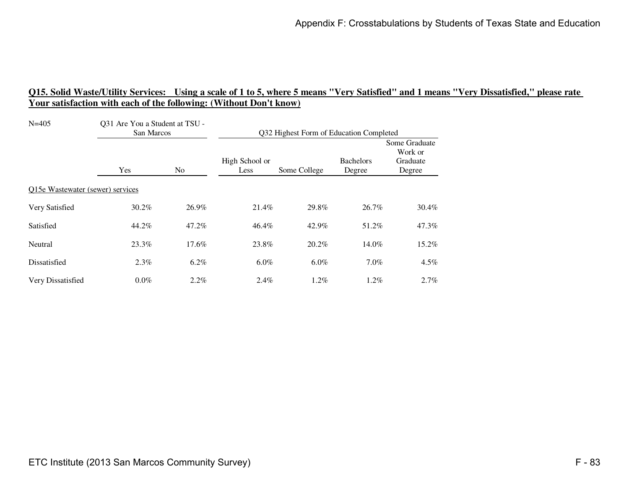| $N = 405$                        | Q31 Are You a Student at TSU -<br>San Marcos |                | Q32 Highest Form of Education Completed |              |                            |                                                |
|----------------------------------|----------------------------------------------|----------------|-----------------------------------------|--------------|----------------------------|------------------------------------------------|
|                                  | Yes                                          | N <sub>0</sub> | High School or<br>Less                  | Some College | <b>Bachelors</b><br>Degree | Some Graduate<br>Work or<br>Graduate<br>Degree |
| Q15e Wastewater (sewer) services |                                              |                |                                         |              |                            |                                                |
| Very Satisfied                   | 30.2%                                        | 26.9%          | 21.4%                                   | 29.8%        | 26.7%                      | 30.4%                                          |
| Satisfied                        | 44.2%                                        | 47.2%          | 46.4%                                   | 42.9%        | 51.2%                      | 47.3%                                          |
| Neutral                          | 23.3%                                        | 17.6%          | 23.8%                                   | 20.2%        | 14.0%                      | 15.2%                                          |
| Dissatisfied                     | $2.3\%$                                      | 6.2%           | $6.0\%$                                 | $6.0\%$      | $7.0\%$                    | $4.5\%$                                        |
| Very Dissatisfied                | $0.0\%$                                      | $2.2\%$        | $2.4\%$                                 | $1.2\%$      | $1.2\%$                    | $2.7\%$                                        |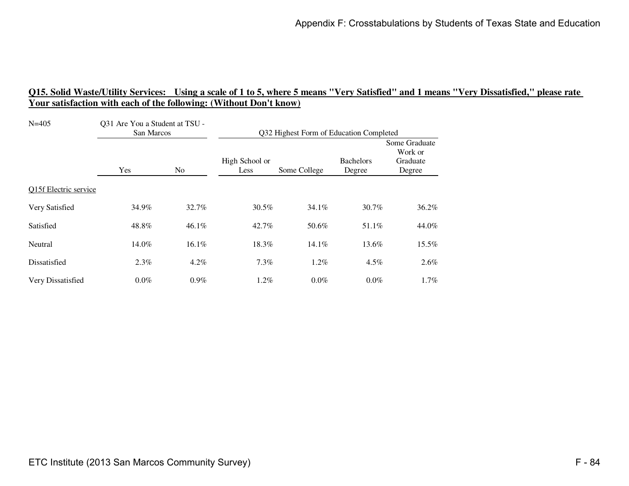| $N = 405$             | Q31 Are You a Student at TSU -<br>San Marcos |                | Q32 Highest Form of Education Completed |              |                            |                                                |
|-----------------------|----------------------------------------------|----------------|-----------------------------------------|--------------|----------------------------|------------------------------------------------|
|                       | Yes                                          | N <sub>0</sub> | High School or<br>Less                  | Some College | <b>Bachelors</b><br>Degree | Some Graduate<br>Work or<br>Graduate<br>Degree |
| Q15f Electric service |                                              |                |                                         |              |                            |                                                |
| Very Satisfied        | 34.9%                                        | 32.7%          | 30.5%                                   | 34.1%        | 30.7%                      | 36.2%                                          |
| Satisfied             | 48.8%                                        | $46.1\%$       | $42.7\%$                                | 50.6%        | 51.1%                      | 44.0%                                          |
| Neutral               | 14.0%                                        | 16.1%          | 18.3%                                   | $14.1\%$     | 13.6%                      | 15.5%                                          |
| Dissatisfied          | 2.3%                                         | $4.2\%$        | $7.3\%$                                 | $1.2\%$      | $4.5\%$                    | $2.6\%$                                        |
| Very Dissatisfied     | $0.0\%$                                      | $0.9\%$        | $1.2\%$                                 | $0.0\%$      | $0.0\%$                    | $1.7\%$                                        |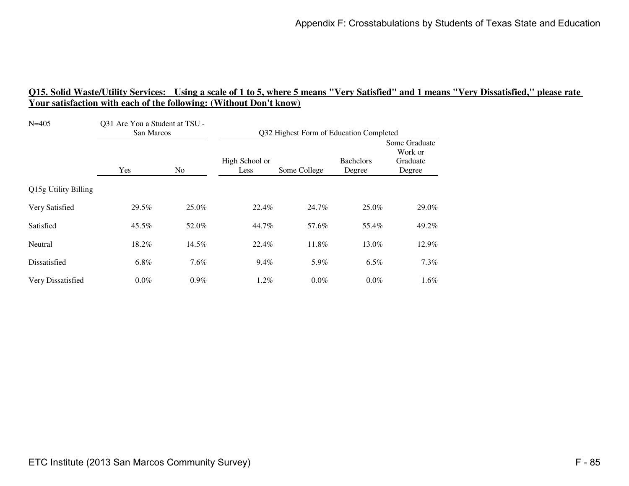| $N = 405$            | Q31 Are You a Student at TSU -<br>San Marcos |                | Q32 Highest Form of Education Completed |              |                            |                                                |
|----------------------|----------------------------------------------|----------------|-----------------------------------------|--------------|----------------------------|------------------------------------------------|
|                      | Yes                                          | N <sub>0</sub> | High School or<br>Less                  | Some College | <b>Bachelors</b><br>Degree | Some Graduate<br>Work or<br>Graduate<br>Degree |
| Q15g Utility Billing |                                              |                |                                         |              |                            |                                                |
| Very Satisfied       | 29.5%                                        | 25.0%          | 22.4%                                   | 24.7%        | 25.0%                      | 29.0%                                          |
| Satisfied            | 45.5%                                        | 52.0%          | 44.7%                                   | 57.6%        | 55.4%                      | 49.2%                                          |
| Neutral              | 18.2%                                        | 14.5%          | 22.4%                                   | 11.8%        | 13.0%                      | 12.9%                                          |
| Dissatisfied         | 6.8%                                         | $7.6\%$        | 9.4%                                    | 5.9%         | $6.5\%$                    | $7.3\%$                                        |
| Very Dissatisfied    | $0.0\%$                                      | $0.9\%$        | $1.2\%$                                 | $0.0\%$      | $0.0\%$                    | $1.6\%$                                        |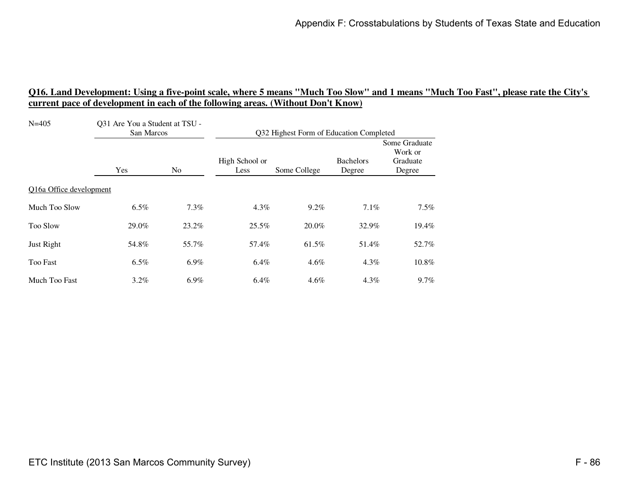| $N = 405$               | Q31 Are You a Student at TSU -<br>San Marcos |         | Q32 Highest Form of Education Completed |              |                            |                                                |
|-------------------------|----------------------------------------------|---------|-----------------------------------------|--------------|----------------------------|------------------------------------------------|
|                         | Yes                                          | No.     | High School or<br>Less                  | Some College | <b>Bachelors</b><br>Degree | Some Graduate<br>Work or<br>Graduate<br>Degree |
| Q16a Office development |                                              |         |                                         |              |                            |                                                |
| Much Too Slow           | $6.5\%$                                      | $7.3\%$ | $4.3\%$                                 | $9.2\%$      | 7.1%                       | 7.5%                                           |
| <b>Too Slow</b>         | 29.0%                                        | 23.2%   | 25.5%                                   | 20.0%        | 32.9%                      | 19.4%                                          |
| Just Right              | 54.8%                                        | 55.7%   | 57.4%                                   | 61.5%        | 51.4%                      | 52.7%                                          |
| <b>Too Fast</b>         | 6.5%                                         | 6.9%    | 6.4%                                    | $4.6\%$      | $4.3\%$                    | 10.8%                                          |
| Much Too Fast           | $3.2\%$                                      | $6.9\%$ | $6.4\%$                                 | $4.6\%$      | $4.3\%$                    | $9.7\%$                                        |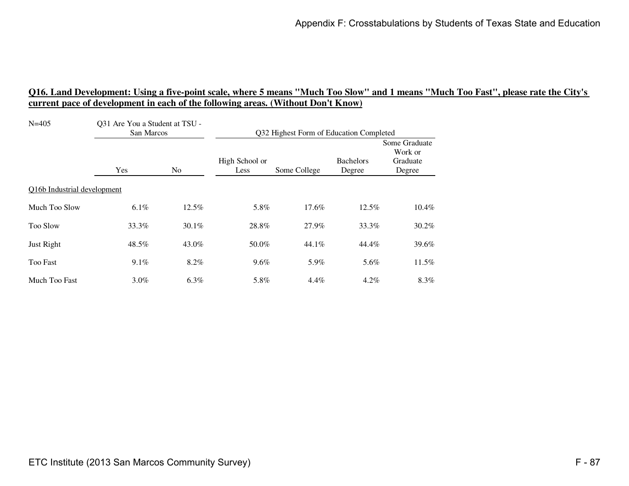| $N = 405$                   | Q31 Are You a Student at TSU -<br>San Marcos |                | Q32 Highest Form of Education Completed |              |                            |                                                |
|-----------------------------|----------------------------------------------|----------------|-----------------------------------------|--------------|----------------------------|------------------------------------------------|
|                             | Yes                                          | N <sub>0</sub> | High School or<br>Less                  | Some College | <b>Bachelors</b><br>Degree | Some Graduate<br>Work or<br>Graduate<br>Degree |
| Q16b Industrial development |                                              |                |                                         |              |                            |                                                |
| Much Too Slow               | $6.1\%$                                      | 12.5%          | 5.8%                                    | 17.6%        | 12.5%                      | 10.4%                                          |
| <b>Too Slow</b>             | 33.3%                                        | 30.1%          | 28.8%                                   | 27.9%        | 33.3%                      | 30.2%                                          |
| Just Right                  | 48.5%                                        | 43.0%          | 50.0%                                   | 44.1%        | 44.4%                      | 39.6%                                          |
| <b>Too Fast</b>             | $9.1\%$                                      | 8.2%           | $9.6\%$                                 | 5.9%         | 5.6%                       | 11.5%                                          |
| Much Too Fast               | $3.0\%$                                      | $6.3\%$        | 5.8%                                    | $4.4\%$      | $4.2\%$                    | 8.3%                                           |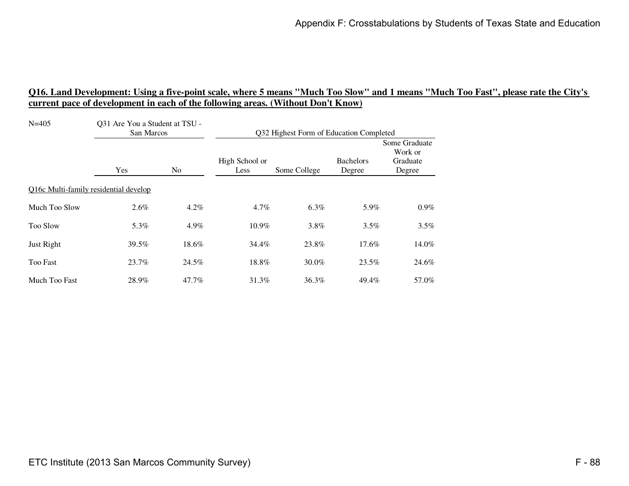| $N = 405$                             | Q31 Are You a Student at TSU -<br>San Marcos |                | Q32 Highest Form of Education Completed |              |                            |                                                |
|---------------------------------------|----------------------------------------------|----------------|-----------------------------------------|--------------|----------------------------|------------------------------------------------|
|                                       | Yes                                          | N <sub>0</sub> | High School or<br>Less                  | Some College | <b>Bachelors</b><br>Degree | Some Graduate<br>Work or<br>Graduate<br>Degree |
| Q16c Multi-family residential develop |                                              |                |                                         |              |                            |                                                |
| Much Too Slow                         | $2.6\%$                                      | $4.2\%$        | $4.7\%$                                 | $6.3\%$      | 5.9%                       | $0.9\%$                                        |
| <b>Too Slow</b>                       | 5.3%                                         | 4.9%           | $10.9\%$                                | $3.8\%$      | 3.5%                       | $3.5\%$                                        |
| Just Right                            | 39.5%                                        | 18.6%          | 34.4%                                   | 23.8%        | 17.6%                      | 14.0%                                          |
| <b>Too Fast</b>                       | 23.7%                                        | 24.5%          | 18.8%                                   | $30.0\%$     | 23.5%                      | 24.6%                                          |
| Much Too Fast                         | 28.9%                                        | 47.7%          | 31.3%                                   | 36.3%        | 49.4%                      | 57.0%                                          |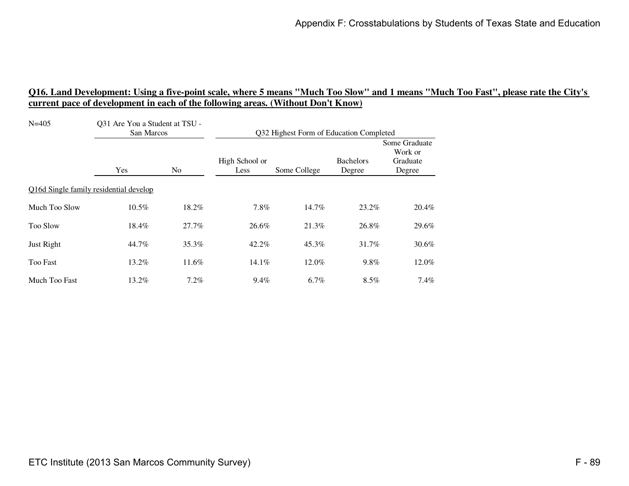| $N = 405$       | Q31 Are You a Student at TSU -<br>San Marcos |         | Q32 Highest Form of Education Completed |              |                            |                                                |
|-----------------|----------------------------------------------|---------|-----------------------------------------|--------------|----------------------------|------------------------------------------------|
|                 | Yes                                          | No.     | High School or<br>Less                  | Some College | <b>Bachelors</b><br>Degree | Some Graduate<br>Work or<br>Graduate<br>Degree |
|                 | Q16d Single family residential develop       |         |                                         |              |                            |                                                |
| Much Too Slow   | 10.5%                                        | 18.2%   | 7.8%                                    | 14.7%        | 23.2%                      | 20.4%                                          |
| <b>Too Slow</b> | 18.4%                                        | 27.7%   | 26.6%                                   | 21.3%        | 26.8%                      | 29.6%                                          |
| Just Right      | 44.7%                                        | 35.3%   | 42.2%                                   | 45.3%        | 31.7%                      | $30.6\%$                                       |
| <b>Too Fast</b> | 13.2%                                        | 11.6%   | $14.1\%$                                | 12.0%        | 9.8%                       | 12.0%                                          |
| Much Too Fast   | 13.2%                                        | $7.2\%$ | 9.4%                                    | $6.7\%$      | 8.5%                       | $7.4\%$                                        |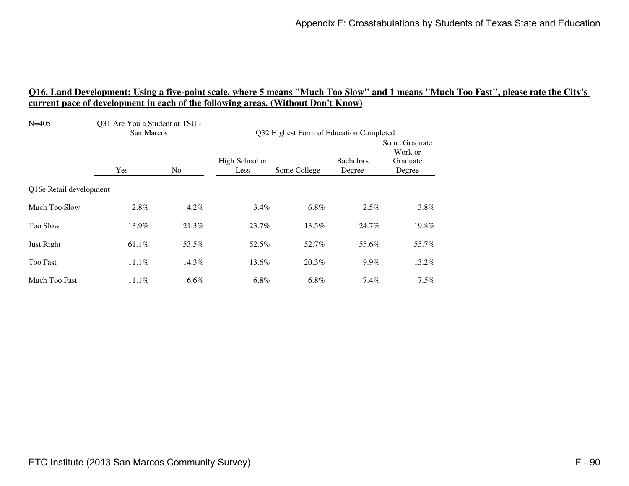| $N = 405$               | Q31 Are You a Student at TSU -<br>San Marcos |         | Q32 Highest Form of Education Completed |              |                            |                                                |
|-------------------------|----------------------------------------------|---------|-----------------------------------------|--------------|----------------------------|------------------------------------------------|
|                         | Yes                                          | No.     | High School or<br>Less                  | Some College | <b>Bachelors</b><br>Degree | Some Graduate<br>Work or<br>Graduate<br>Degree |
| Q16e Retail development |                                              |         |                                         |              |                            |                                                |
| Much Too Slow           | 2.8%                                         | $4.2\%$ | $3.4\%$                                 | $6.8\%$      | 2.5%                       | 3.8%                                           |
| <b>Too Slow</b>         | 13.9%                                        | 21.3%   | 23.7%                                   | 13.5%        | 24.7%                      | 19.8%                                          |
| Just Right              | 61.1%                                        | 53.5%   | 52.5%                                   | 52.7%        | 55.6%                      | 55.7%                                          |
| <b>Too Fast</b>         | $11.1\%$                                     | 14.3%   | 13.6%                                   | 20.3%        | 9.9%                       | 13.2%                                          |
| Much Too Fast           | $11.1\%$                                     | $6.6\%$ | $6.8\%$                                 | 6.8%         | 7.4%                       | $7.5\%$                                        |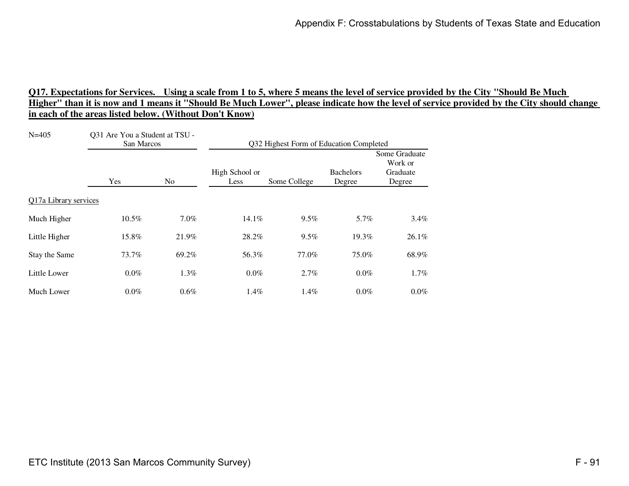| $N = 405$             | Q31 Are You a Student at TSU -<br>San Marcos |         | Q32 Highest Form of Education Completed |              |                            |                                                |
|-----------------------|----------------------------------------------|---------|-----------------------------------------|--------------|----------------------------|------------------------------------------------|
|                       | <b>Yes</b>                                   | No.     | High School or<br>Less                  | Some College | <b>Bachelors</b><br>Degree | Some Graduate<br>Work or<br>Graduate<br>Degree |
| Q17a Library services |                                              |         |                                         |              |                            |                                                |
| Much Higher           | 10.5%                                        | $7.0\%$ | 14.1%                                   | $9.5\%$      | 5.7%                       | 3.4%                                           |
| Little Higher         | 15.8%                                        | 21.9%   | 28.2%                                   | $9.5\%$      | 19.3%                      | 26.1%                                          |
| Stay the Same         | 73.7%                                        | 69.2%   | 56.3%                                   | 77.0%        | 75.0%                      | 68.9%                                          |
| Little Lower          | $0.0\%$                                      | $1.3\%$ | $0.0\%$                                 | 2.7%         | $0.0\%$                    | 1.7%                                           |
| Much Lower            | $0.0\%$                                      | $0.6\%$ | 1.4%                                    | $1.4\%$      | $0.0\%$                    | 0.0%                                           |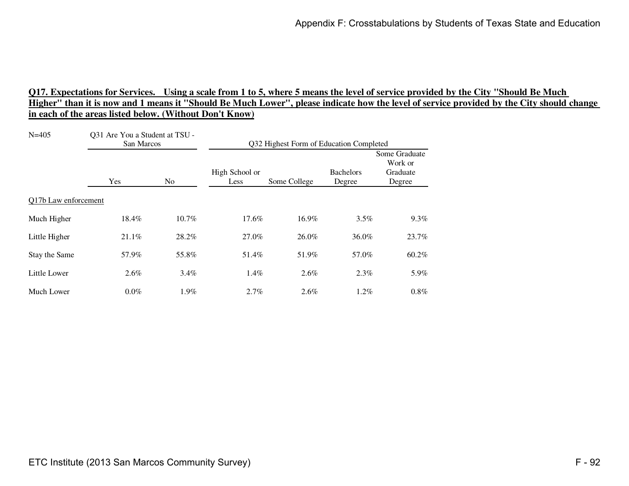| $N = 405$            | Q31 Are You a Student at TSU -<br>San Marcos |       | Q32 Highest Form of Education Completed |              |                            |                                                |
|----------------------|----------------------------------------------|-------|-----------------------------------------|--------------|----------------------------|------------------------------------------------|
|                      | Yes                                          | No.   | High School or<br>Less                  | Some College | <b>Bachelors</b><br>Degree | Some Graduate<br>Work or<br>Graduate<br>Degree |
| Q17b Law enforcement |                                              |       |                                         |              |                            |                                                |
| Much Higher          | 18.4%                                        | 10.7% | 17.6%                                   | 16.9%        | 3.5%                       | 9.3%                                           |
| Little Higher        | 21.1%                                        | 28.2% | 27.0%                                   | 26.0%        | 36.0%                      | 23.7%                                          |
| Stay the Same        | 57.9%                                        | 55.8% | 51.4%                                   | 51.9%        | 57.0%                      | 60.2%                                          |
| Little Lower         | $2.6\%$                                      | 3.4%  | 1.4%                                    | $2.6\%$      | $2.3\%$                    | 5.9%                                           |
| Much Lower           | $0.0\%$                                      | 1.9%  | 2.7%                                    | $2.6\%$      | $1.2\%$                    | 0.8%                                           |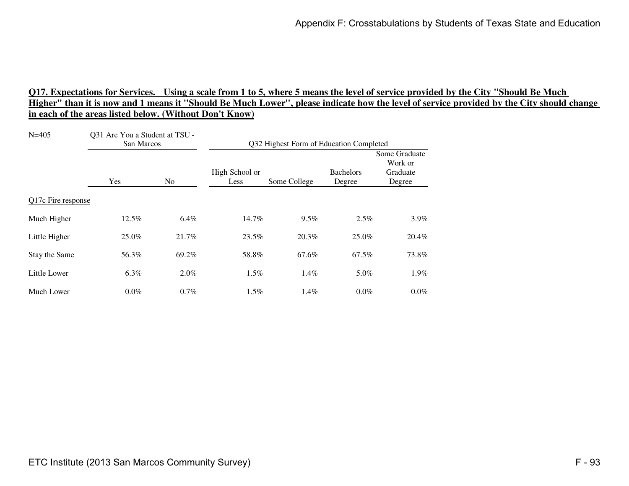| $N = 405$          | Q31 Are You a Student at TSU -<br>San Marcos |         | Q32 Highest Form of Education Completed |              |                            |                                                |
|--------------------|----------------------------------------------|---------|-----------------------------------------|--------------|----------------------------|------------------------------------------------|
|                    | Yes                                          | No.     | High School or<br>Less                  | Some College | <b>Bachelors</b><br>Degree | Some Graduate<br>Work or<br>Graduate<br>Degree |
| Q17c Fire response |                                              |         |                                         |              |                            |                                                |
| Much Higher        | 12.5%                                        | $6.4\%$ | 14.7%                                   | $9.5\%$      | 2.5%                       | 3.9%                                           |
| Little Higher      | 25.0%                                        | 21.7%   | 23.5%                                   | 20.3%        | 25.0%                      | 20.4%                                          |
| Stay the Same      | 56.3%                                        | 69.2%   | 58.8%                                   | 67.6%        | 67.5%                      | 73.8%                                          |
| Little Lower       | 6.3%                                         | $2.0\%$ | 1.5%                                    | 1.4%         | 5.0%                       | 1.9%                                           |
| Much Lower         | $0.0\%$                                      | 0.7%    | 1.5%                                    | $1.4\%$      | $0.0\%$                    | 0.0%                                           |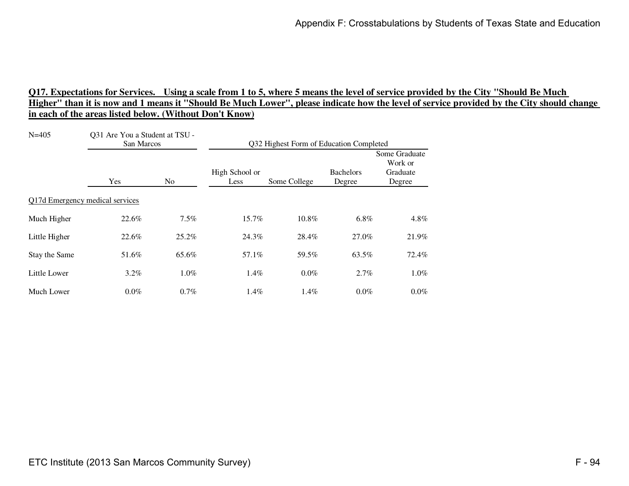| $N = 405$                       | Q31 Are You a Student at TSU -<br>San Marcos |       | Q32 Highest Form of Education Completed |              |                            |                                                |
|---------------------------------|----------------------------------------------|-------|-----------------------------------------|--------------|----------------------------|------------------------------------------------|
|                                 | Yes                                          | No.   | High School or<br>Less                  | Some College | <b>Bachelors</b><br>Degree | Some Graduate<br>Work or<br>Graduate<br>Degree |
| Q17d Emergency medical services |                                              |       |                                         |              |                            |                                                |
| Much Higher                     | 22.6%                                        | 7.5%  | 15.7%                                   | 10.8%        | 6.8%                       | 4.8%                                           |
| Little Higher                   | 22.6%                                        | 25.2% | 24.3%                                   | 28.4%        | 27.0%                      | 21.9%                                          |
| Stay the Same                   | 51.6%                                        | 65.6% | 57.1%                                   | 59.5%        | 63.5%                      | 72.4%                                          |
| Little Lower                    | $3.2\%$                                      | 1.0%  | 1.4%                                    | $0.0\%$      | 2.7%                       | 1.0%                                           |
| Much Lower                      | $0.0\%$                                      | 0.7%  | 1.4%                                    | $1.4\%$      | $0.0\%$                    | $0.0\%$                                        |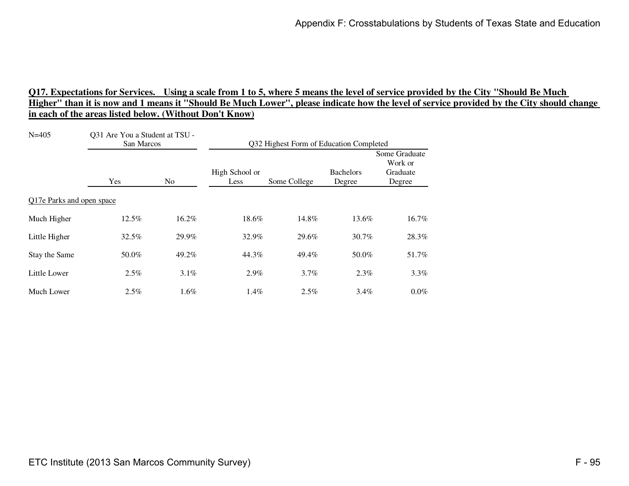| $N = 405$                 | Q31 Are You a Student at TSU -<br>San Marcos |                | Q32 Highest Form of Education Completed |              |                            |                                                |
|---------------------------|----------------------------------------------|----------------|-----------------------------------------|--------------|----------------------------|------------------------------------------------|
|                           | Yes                                          | N <sub>0</sub> | High School or<br>Less                  | Some College | <b>Bachelors</b><br>Degree | Some Graduate<br>Work or<br>Graduate<br>Degree |
| Q17e Parks and open space |                                              |                |                                         |              |                            |                                                |
| Much Higher               | 12.5%                                        | 16.2%          | 18.6%                                   | 14.8%        | 13.6%                      | 16.7%                                          |
| Little Higher             | 32.5%                                        | 29.9%          | 32.9%                                   | 29.6%        | 30.7%                      | 28.3%                                          |
| Stay the Same             | 50.0%                                        | 49.2%          | 44.3%                                   | 49.4%        | 50.0%                      | 51.7%                                          |
| Little Lower              | 2.5%                                         | 3.1%           | 2.9%                                    | $3.7\%$      | 2.3%                       | 3.3%                                           |
| Much Lower                | 2.5%                                         | 1.6%           | 1.4%                                    | $2.5\%$      | $3.4\%$                    | $0.0\%$                                        |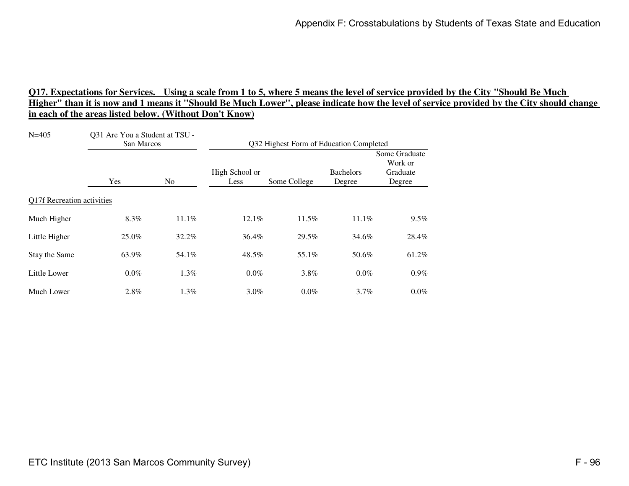| $N = 405$                  | Q31 Are You a Student at TSU -<br>San Marcos |                | Q32 Highest Form of Education Completed |              |                            |                                                |
|----------------------------|----------------------------------------------|----------------|-----------------------------------------|--------------|----------------------------|------------------------------------------------|
|                            | Yes                                          | N <sub>0</sub> | High School or<br>Less                  | Some College | <b>Bachelors</b><br>Degree | Some Graduate<br>Work or<br>Graduate<br>Degree |
| Q17f Recreation activities |                                              |                |                                         |              |                            |                                                |
| Much Higher                | 8.3%                                         | 11.1%          | 12.1%                                   | 11.5%        | 11.1%                      | 9.5%                                           |
| Little Higher              | 25.0%                                        | 32.2%          | 36.4%                                   | 29.5%        | 34.6%                      | 28.4%                                          |
| Stay the Same              | 63.9%                                        | 54.1%          | 48.5%                                   | 55.1%        | 50.6%                      | 61.2%                                          |
| Little Lower               | $0.0\%$                                      | 1.3%           | 0.0%                                    | 3.8%         | $0.0\%$                    | $0.9\%$                                        |
| Much Lower                 | 2.8%                                         | $1.3\%$        | 3.0%                                    | $0.0\%$      | 3.7%                       | $0.0\%$                                        |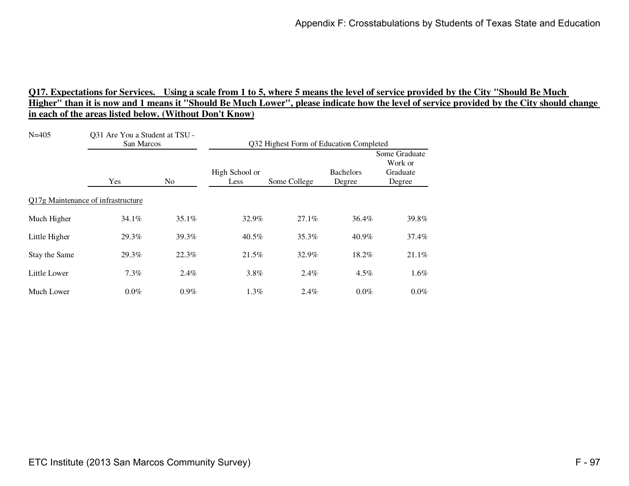| $N = 405$     | Q31 Are You a Student at TSU -<br>San Marcos |                | Q32 Highest Form of Education Completed |              |                            |                                                |
|---------------|----------------------------------------------|----------------|-----------------------------------------|--------------|----------------------------|------------------------------------------------|
|               | Yes                                          | N <sub>0</sub> | High School or<br>Less                  | Some College | <b>Bachelors</b><br>Degree | Some Graduate<br>Work or<br>Graduate<br>Degree |
|               | Q17g Maintenance of infrastructure           |                |                                         |              |                            |                                                |
| Much Higher   | 34.1%                                        | 35.1%          | 32.9%                                   | 27.1%        | 36.4%                      | 39.8%                                          |
| Little Higher | 29.3%                                        | 39.3%          | $40.5\%$                                | 35.3%        | 40.9%                      | 37.4%                                          |
| Stay the Same | 29.3%                                        | 22.3%          | 21.5%                                   | 32.9%        | 18.2%                      | 21.1%                                          |
| Little Lower  | 7.3%                                         | 2.4%           | 3.8%                                    | $2.4\%$      | 4.5%                       | 1.6%                                           |
| Much Lower    | $0.0\%$                                      | $0.9\%$        | 1.3%                                    | 2.4%         | $0.0\%$                    | $0.0\%$                                        |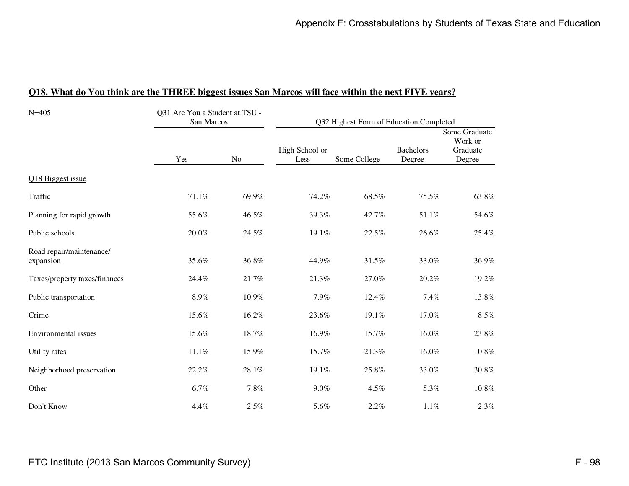| $N = 405$                             | Q31 Are You a Student at TSU -<br>San Marcos |       |                        | Q32 Highest Form of Education Completed |                            |                                                |  |  |
|---------------------------------------|----------------------------------------------|-------|------------------------|-----------------------------------------|----------------------------|------------------------------------------------|--|--|
|                                       | Yes                                          | No    | High School or<br>Less | Some College                            | <b>Bachelors</b><br>Degree | Some Graduate<br>Work or<br>Graduate<br>Degree |  |  |
| Q18 Biggest issue                     |                                              |       |                        |                                         |                            |                                                |  |  |
| Traffic                               | 71.1%                                        | 69.9% | 74.2%                  | 68.5%                                   | 75.5%                      | 63.8%                                          |  |  |
| Planning for rapid growth             | 55.6%                                        | 46.5% | 39.3%                  | 42.7%                                   | 51.1%                      | 54.6%                                          |  |  |
| Public schools                        | 20.0%                                        | 24.5% | 19.1%                  | 22.5%                                   | 26.6%                      | 25.4%                                          |  |  |
| Road repair/maintenance/<br>expansion | 35.6%                                        | 36.8% | 44.9%                  | 31.5%                                   | 33.0%                      | 36.9%                                          |  |  |
| Taxes/property taxes/finances         | 24.4%                                        | 21.7% | 21.3%                  | 27.0%                                   | 20.2%                      | 19.2%                                          |  |  |
| Public transportation                 | $8.9\%$                                      | 10.9% | 7.9%                   | 12.4%                                   | 7.4%                       | 13.8%                                          |  |  |
| Crime                                 | 15.6%                                        | 16.2% | 23.6%                  | 19.1%                                   | 17.0%                      | $8.5\%$                                        |  |  |
| Environmental issues                  | 15.6%                                        | 18.7% | 16.9%                  | 15.7%                                   | 16.0%                      | 23.8%                                          |  |  |
| Utility rates                         | 11.1%                                        | 15.9% | 15.7%                  | 21.3%                                   | 16.0%                      | 10.8%                                          |  |  |
| Neighborhood preservation             | 22.2%                                        | 28.1% | 19.1%                  | 25.8%                                   | 33.0%                      | 30.8%                                          |  |  |
| Other                                 | 6.7%                                         | 7.8%  | $9.0\%$                | 4.5%                                    | 5.3%                       | 10.8%                                          |  |  |
| Don't Know                            | 4.4%                                         | 2.5%  | 5.6%                   | 2.2%                                    | 1.1%                       | 2.3%                                           |  |  |

#### **Q18. What do You think are the THREE biggest issues San Marcos will face within the next FIVE years?**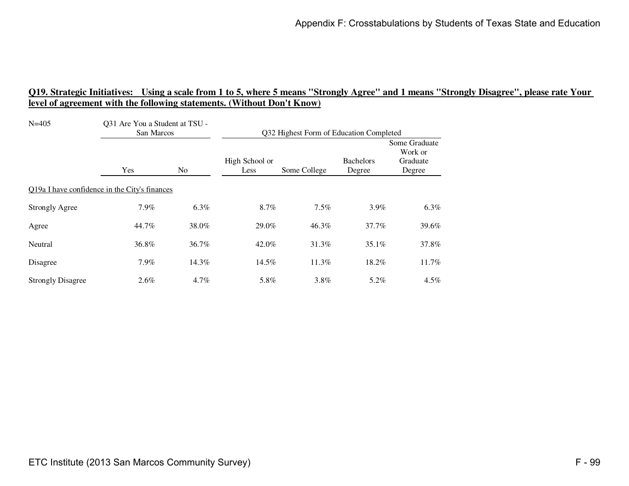| $N = 405$                                     | Q31 Are You a Student at TSU -<br>San Marcos |       | Q32 Highest Form of Education Completed |              |                            |                                                |
|-----------------------------------------------|----------------------------------------------|-------|-----------------------------------------|--------------|----------------------------|------------------------------------------------|
|                                               | Yes                                          | No    | High School or<br>Less                  | Some College | <b>Bachelors</b><br>Degree | Some Graduate<br>Work or<br>Graduate<br>Degree |
| Q19a I have confidence in the City's finances |                                              |       |                                         |              |                            |                                                |
| <b>Strongly Agree</b>                         | 7.9%                                         | 6.3%  | 8.7%                                    | 7.5%         | $3.9\%$                    | 6.3%                                           |
| Agree                                         | 44.7%                                        | 38.0% | 29.0%                                   | 46.3%        | 37.7%                      | 39.6%                                          |
| Neutral                                       | 36.8%                                        | 36.7% | 42.0%                                   | 31.3%        | 35.1%                      | 37.8%                                          |
| Disagree                                      | 7.9%                                         | 14.3% | 14.5%                                   | 11.3%        | 18.2%                      | 11.7%                                          |
| <b>Strongly Disagree</b>                      | 2.6%                                         | 4.7%  | 5.8%                                    | 3.8%         | 5.2%                       | $4.5\%$                                        |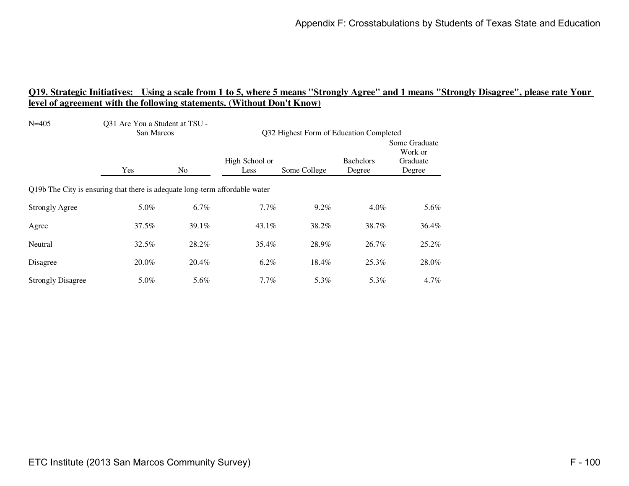| $N = 405$<br>Q31 Are You a Student at TSU -<br>San Marcos                   |       | Q32 Highest Form of Education Completed |                        |              |                            |                                                |  |
|-----------------------------------------------------------------------------|-------|-----------------------------------------|------------------------|--------------|----------------------------|------------------------------------------------|--|
|                                                                             | Yes   | No.                                     | High School or<br>Less | Some College | <b>Bachelors</b><br>Degree | Some Graduate<br>Work or<br>Graduate<br>Degree |  |
| Q19b The City is ensuring that there is adequate long-term affordable water |       |                                         |                        |              |                            |                                                |  |
| <b>Strongly Agree</b>                                                       | 5.0%  | 6.7%                                    | 7.7%                   | $9.2\%$      | $4.0\%$                    | 5.6%                                           |  |
| Agree                                                                       | 37.5% | 39.1%                                   | $43.1\%$               | 38.2%        | 38.7%                      | 36.4%                                          |  |
| Neutral                                                                     | 32.5% | 28.2%                                   | 35.4%                  | 28.9%        | 26.7%                      | 25.2%                                          |  |
| Disagree                                                                    | 20.0% | 20.4%                                   | $6.2\%$                | 18.4%        | 25.3%                      | 28.0%                                          |  |
| <b>Strongly Disagree</b>                                                    | 5.0%  | 5.6%                                    | $7.7\%$                | 5.3%         | 5.3%                       | $4.7\%$                                        |  |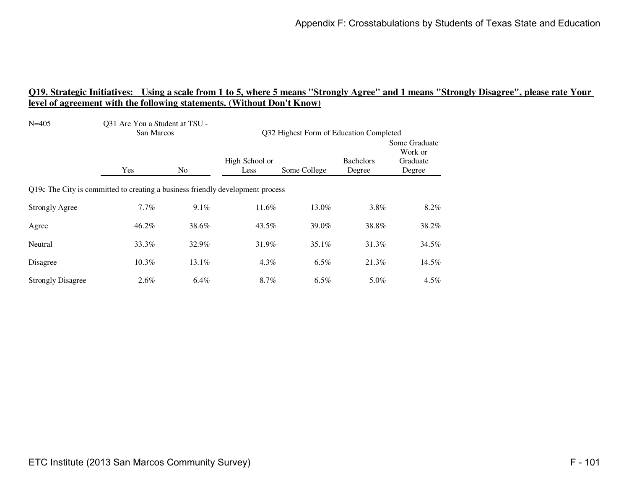| $N = 405$                                                                      | Q31 Are You a Student at TSU -<br>San Marcos |                | Q32 Highest Form of Education Completed |              |                            |                                                |  |
|--------------------------------------------------------------------------------|----------------------------------------------|----------------|-----------------------------------------|--------------|----------------------------|------------------------------------------------|--|
|                                                                                | Yes                                          | N <sub>o</sub> | High School or<br>Less                  | Some College | <b>Bachelors</b><br>Degree | Some Graduate<br>Work or<br>Graduate<br>Degree |  |
| Q19c The City is committed to creating a business friendly development process |                                              |                |                                         |              |                            |                                                |  |
| <b>Strongly Agree</b>                                                          | 7.7%                                         | $9.1\%$        | 11.6%                                   | 13.0%        | $3.8\%$                    | 8.2%                                           |  |
| Agree                                                                          | 46.2%                                        | 38.6%          | 43.5%                                   | 39.0%        | 38.8%                      | 38.2%                                          |  |
| Neutral                                                                        | 33.3%                                        | 32.9%          | 31.9%                                   | $35.1\%$     | 31.3%                      | 34.5%                                          |  |
| Disagree                                                                       | 10.3%                                        | 13.1%          | 4.3%                                    | 6.5%         | 21.3%                      | 14.5%                                          |  |
| <b>Strongly Disagree</b>                                                       | $2.6\%$                                      | 6.4%           | 8.7%                                    | $6.5\%$      | 5.0%                       | $4.5\%$                                        |  |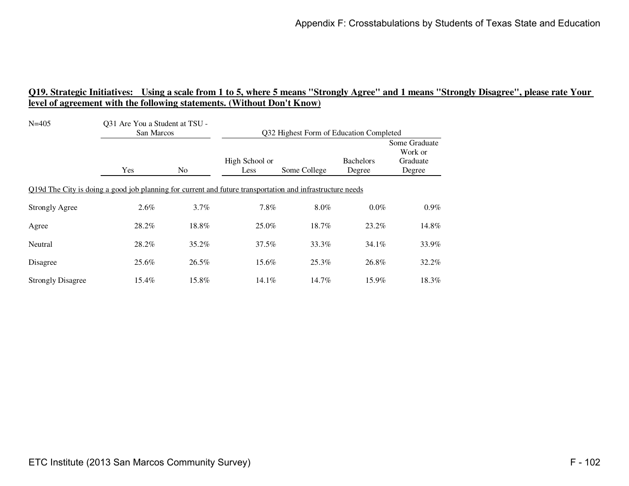| $N = 405$                                                                                                 | Q31 Are You a Student at TSU -<br>San Marcos |                | Q32 Highest Form of Education Completed |              |                            |                                                |  |
|-----------------------------------------------------------------------------------------------------------|----------------------------------------------|----------------|-----------------------------------------|--------------|----------------------------|------------------------------------------------|--|
|                                                                                                           | Yes                                          | N <sub>o</sub> | High School or<br>Less                  | Some College | <b>Bachelors</b><br>Degree | Some Graduate<br>Work or<br>Graduate<br>Degree |  |
| Q19d The City is doing a good job planning for current and future transportation and infrastructure needs |                                              |                |                                         |              |                            |                                                |  |
| <b>Strongly Agree</b>                                                                                     | 2.6%                                         | $3.7\%$        | 7.8%                                    | $8.0\%$      | $0.0\%$                    | $0.9\%$                                        |  |
| Agree                                                                                                     | 28.2%                                        | 18.8%          | 25.0%                                   | 18.7%        | 23.2%                      | 14.8%                                          |  |
| Neutral                                                                                                   | 28.2%                                        | 35.2%          | 37.5%                                   | 33.3%        | $34.1\%$                   | 33.9%                                          |  |
| Disagree                                                                                                  | 25.6%                                        | 26.5%          | 15.6%                                   | 25.3%        | 26.8%                      | 32.2%                                          |  |
| <b>Strongly Disagree</b>                                                                                  | 15.4%                                        | 15.8%          | 14.1%                                   | 14.7%        | 15.9%                      | 18.3%                                          |  |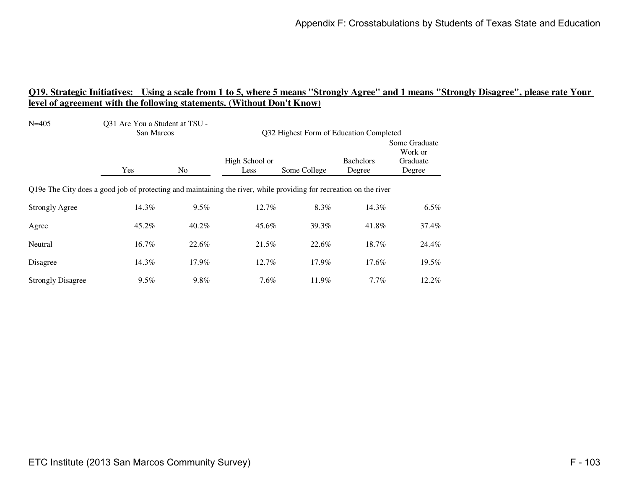| $N = 405$                                                                                                          | Q31 Are You a Student at TSU -<br>San Marcos |                | Q32 Highest Form of Education Completed |              |                            |                                                |
|--------------------------------------------------------------------------------------------------------------------|----------------------------------------------|----------------|-----------------------------------------|--------------|----------------------------|------------------------------------------------|
|                                                                                                                    | Yes                                          | N <sub>0</sub> | High School or<br>Less                  | Some College | <b>Bachelors</b><br>Degree | Some Graduate<br>Work or<br>Graduate<br>Degree |
| Q19e The City does a good job of protecting and maintaining the river, while providing for recreation on the river |                                              |                |                                         |              |                            |                                                |
| <b>Strongly Agree</b>                                                                                              | 14.3%                                        | 9.5%           | 12.7%                                   | 8.3%         | 14.3%                      | 6.5%                                           |
| Agree                                                                                                              | 45.2%                                        | $40.2\%$       | 45.6%                                   | 39.3%        | 41.8%                      | 37.4%                                          |
| Neutral                                                                                                            | 16.7%                                        | 22.6%          | 21.5%                                   | 22.6%        | 18.7%                      | 24.4%                                          |
| Disagree                                                                                                           | 14.3%                                        | 17.9%          | 12.7%                                   | 17.9%        | 17.6%                      | 19.5%                                          |
| <b>Strongly Disagree</b>                                                                                           | $9.5\%$                                      | 9.8%           | 7.6%                                    | 11.9%        | $7.7\%$                    | 12.2%                                          |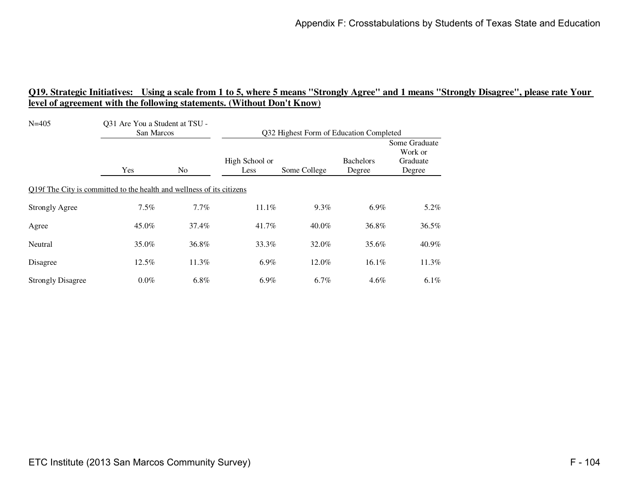| $N = 405$                                                             | Q31 Are You a Student at TSU -<br>San Marcos |                | Q32 Highest Form of Education Completed |              |                            |                                                |  |
|-----------------------------------------------------------------------|----------------------------------------------|----------------|-----------------------------------------|--------------|----------------------------|------------------------------------------------|--|
|                                                                       | Yes                                          | N <sub>o</sub> | High School or<br>Less                  | Some College | <b>Bachelors</b><br>Degree | Some Graduate<br>Work or<br>Graduate<br>Degree |  |
| Q19f The City is committed to the health and wellness of its citizens |                                              |                |                                         |              |                            |                                                |  |
| <b>Strongly Agree</b>                                                 | 7.5%                                         | 7.7%           | $11.1\%$                                | 9.3%         | $6.9\%$                    | 5.2%                                           |  |
| Agree                                                                 | 45.0%                                        | 37.4%          | 41.7%                                   | $40.0\%$     | 36.8%                      | 36.5%                                          |  |
| Neutral                                                               | 35.0%                                        | 36.8%          | 33.3%                                   | 32.0%        | 35.6%                      | 40.9%                                          |  |
| Disagree                                                              | 12.5%                                        | 11.3%          | $6.9\%$                                 | 12.0%        | 16.1%                      | 11.3%                                          |  |
| <b>Strongly Disagree</b>                                              | $0.0\%$                                      | $6.8\%$        | $6.9\%$                                 | 6.7%         | $4.6\%$                    | $6.1\%$                                        |  |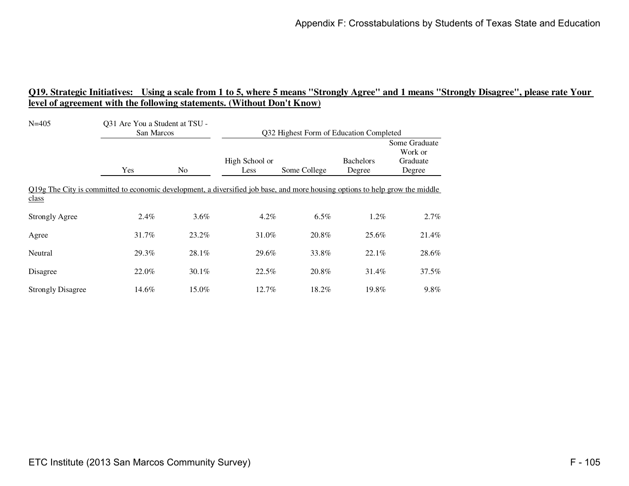| $N = 405$                                                                                                                             | 031 Are You a Student at TSU -<br>San Marcos |                | Q32 Highest Form of Education Completed |              |                            |                                                |
|---------------------------------------------------------------------------------------------------------------------------------------|----------------------------------------------|----------------|-----------------------------------------|--------------|----------------------------|------------------------------------------------|
|                                                                                                                                       | Yes                                          | N <sub>o</sub> | High School or<br>Less                  | Some College | <b>Bachelors</b><br>Degree | Some Graduate<br>Work or<br>Graduate<br>Degree |
| Q19g The City is committed to economic development, a diversified job base, and more housing options to help grow the middle<br>class |                                              |                |                                         |              |                            |                                                |
| <b>Strongly Agree</b>                                                                                                                 | 2.4%                                         | $3.6\%$        | $4.2\%$                                 | $6.5\%$      | $1.2\%$                    | 2.7%                                           |
| Agree                                                                                                                                 | 31.7%                                        | 23.2%          | 31.0%                                   | 20.8%        | 25.6%                      | 21.4%                                          |
| Neutral                                                                                                                               | 29.3%                                        | 28.1%          | 29.6%                                   | 33.8%        | 22.1%                      | 28.6%                                          |
| Disagree                                                                                                                              | 22.0%                                        | 30.1%          | 22.5%                                   | 20.8%        | 31.4%                      | 37.5%                                          |
| <b>Strongly Disagree</b>                                                                                                              | 14.6%                                        | 15.0%          | 12.7%                                   | 18.2%        | 19.8%                      | 9.8%                                           |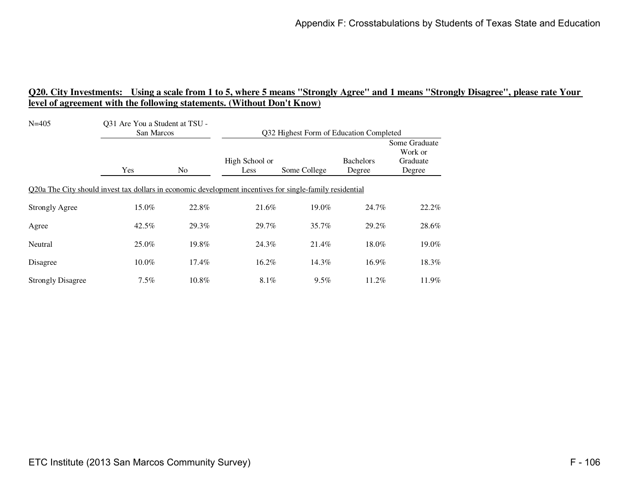| $N = 405$                                                                                                | Q31 Are You a Student at TSU -<br>San Marcos |       | Q32 Highest Form of Education Completed |              |                            |                                                |
|----------------------------------------------------------------------------------------------------------|----------------------------------------------|-------|-----------------------------------------|--------------|----------------------------|------------------------------------------------|
|                                                                                                          | Yes                                          | No.   | High School or<br>Less                  | Some College | <b>Bachelors</b><br>Degree | Some Graduate<br>Work or<br>Graduate<br>Degree |
| Q20a The City should invest tax dollars in economic development incentives for single-family residential |                                              |       |                                         |              |                            |                                                |
| <b>Strongly Agree</b>                                                                                    | 15.0%                                        | 22.8% | 21.6%                                   | 19.0%        | 24.7%                      | 22.2%                                          |
| Agree                                                                                                    | 42.5%                                        | 29.3% | 29.7%                                   | 35.7%        | 29.2%                      | 28.6%                                          |
| Neutral                                                                                                  | 25.0%                                        | 19.8% | 24.3%                                   | 21.4%        | 18.0%                      | 19.0%                                          |
| Disagree                                                                                                 | 10.0%                                        | 17.4% | 16.2%                                   | 14.3%        | 16.9%                      | 18.3%                                          |
| <b>Strongly Disagree</b>                                                                                 | $7.5\%$                                      | 10.8% | 8.1%                                    | $9.5\%$      | 11.2%                      | 11.9%                                          |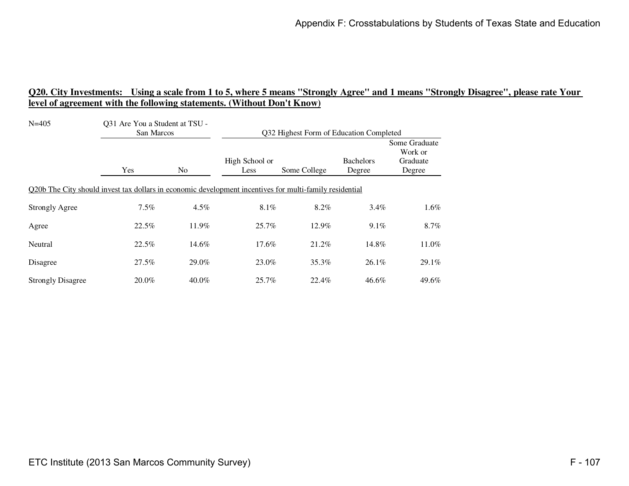| $N = 405$                                                                                               | Q31 Are You a Student at TSU -<br>San Marcos |       | Q32 Highest Form of Education Completed |              |                            |                                                |  |
|---------------------------------------------------------------------------------------------------------|----------------------------------------------|-------|-----------------------------------------|--------------|----------------------------|------------------------------------------------|--|
|                                                                                                         | Yes                                          | No.   | High School or<br>Less                  | Some College | <b>Bachelors</b><br>Degree | Some Graduate<br>Work or<br>Graduate<br>Degree |  |
| Q20b The City should invest tax dollars in economic development incentives for multi-family residential |                                              |       |                                         |              |                            |                                                |  |
| <b>Strongly Agree</b>                                                                                   | 7.5%                                         | 4.5%  | 8.1%                                    | 8.2%         | $3.4\%$                    | $1.6\%$                                        |  |
| Agree                                                                                                   | 22.5%                                        | 11.9% | 25.7%                                   | 12.9%        | 9.1%                       | 8.7%                                           |  |
| Neutral                                                                                                 | 22.5%                                        | 14.6% | 17.6%                                   | 21.2%        | 14.8%                      | 11.0%                                          |  |
| Disagree                                                                                                | 27.5%                                        | 29.0% | 23.0%                                   | 35.3%        | $26.1\%$                   | 29.1%                                          |  |
| <b>Strongly Disagree</b>                                                                                | 20.0%                                        | 40.0% | 25.7%                                   | 22.4%        | 46.6%                      | 49.6%                                          |  |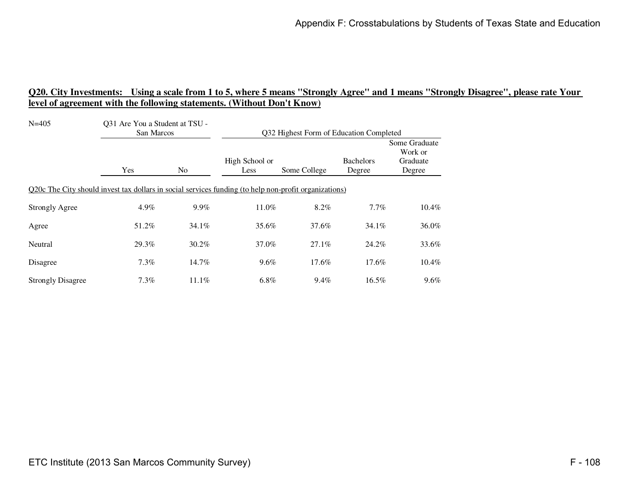| $N = 405$                                                                                             | Q31 Are You a Student at TSU -<br>San Marcos |                | Q32 Highest Form of Education Completed |              |                            |                                                |
|-------------------------------------------------------------------------------------------------------|----------------------------------------------|----------------|-----------------------------------------|--------------|----------------------------|------------------------------------------------|
|                                                                                                       | Yes                                          | N <sub>o</sub> | High School or<br>Less                  | Some College | <b>Bachelors</b><br>Degree | Some Graduate<br>Work or<br>Graduate<br>Degree |
| Q20c The City should invest tax dollars in social services funding (to help non-profit organizations) |                                              |                |                                         |              |                            |                                                |
| <b>Strongly Agree</b>                                                                                 | 4.9%                                         | 9.9%           | 11.0%                                   | 8.2%         | $7.7\%$                    | 10.4%                                          |
| Agree                                                                                                 | 51.2%                                        | 34.1%          | 35.6%                                   | 37.6%        | $34.1\%$                   | 36.0%                                          |
| Neutral                                                                                               | 29.3%                                        | $30.2\%$       | 37.0%                                   | 27.1%        | 24.2%                      | 33.6%                                          |
| Disagree                                                                                              | 7.3%                                         | 14.7%          | 9.6%                                    | 17.6%        | 17.6%                      | 10.4%                                          |
| <b>Strongly Disagree</b>                                                                              | $7.3\%$                                      | $11.1\%$       | $6.8\%$                                 | 9.4%         | 16.5%                      | $9.6\%$                                        |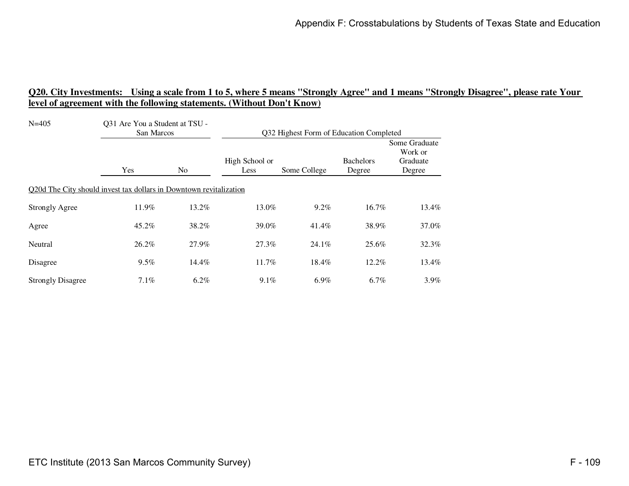| $N = 405$                                                          | Q31 Are You a Student at TSU -<br>San Marcos |       | Q32 Highest Form of Education Completed |              |                            |                                                |
|--------------------------------------------------------------------|----------------------------------------------|-------|-----------------------------------------|--------------|----------------------------|------------------------------------------------|
|                                                                    | Yes                                          | No.   | High School or<br>Less                  | Some College | <b>Bachelors</b><br>Degree | Some Graduate<br>Work or<br>Graduate<br>Degree |
| Q20d The City should invest tax dollars in Downtown revitalization |                                              |       |                                         |              |                            |                                                |
| <b>Strongly Agree</b>                                              | 11.9%                                        | 13.2% | 13.0%                                   | $9.2\%$      | 16.7%                      | 13.4%                                          |
| Agree                                                              | 45.2%                                        | 38.2% | 39.0%                                   | 41.4%        | 38.9%                      | 37.0%                                          |
| Neutral                                                            | 26.2%                                        | 27.9% | 27.3%                                   | 24.1%        | 25.6%                      | 32.3%                                          |
| Disagree                                                           | 9.5%                                         | 14.4% | 11.7%                                   | 18.4%        | 12.2%                      | 13.4%                                          |
| <b>Strongly Disagree</b>                                           | $7.1\%$                                      | 6.2%  | $9.1\%$                                 | 6.9%         | $6.7\%$                    | $3.9\%$                                        |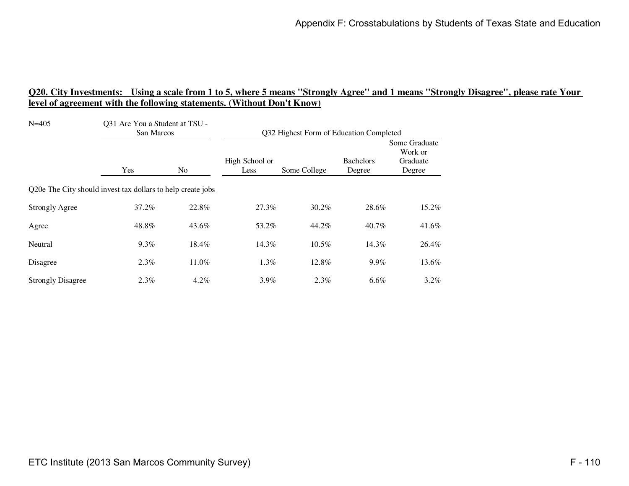| $N = 405$                                                   | Q31 Are You a Student at TSU -<br>San Marcos |         | Q32 Highest Form of Education Completed |              |                            |                                                |
|-------------------------------------------------------------|----------------------------------------------|---------|-----------------------------------------|--------------|----------------------------|------------------------------------------------|
|                                                             | Yes                                          | No.     | High School or<br>Less                  | Some College | <b>Bachelors</b><br>Degree | Some Graduate<br>Work or<br>Graduate<br>Degree |
| Q20e The City should invest tax dollars to help create jobs |                                              |         |                                         |              |                            |                                                |
| <b>Strongly Agree</b>                                       | 37.2%                                        | 22.8%   | 27.3%                                   | 30.2%        | 28.6%                      | 15.2%                                          |
| Agree                                                       | 48.8%                                        | 43.6%   | 53.2%                                   | 44.2%        | 40.7%                      | 41.6%                                          |
| Neutral                                                     | 9.3%                                         | 18.4%   | 14.3%                                   | 10.5%        | 14.3%                      | 26.4%                                          |
| Disagree                                                    | 2.3%                                         | 11.0%   | $1.3\%$                                 | 12.8%        | 9.9%                       | 13.6%                                          |
| <b>Strongly Disagree</b>                                    | $2.3\%$                                      | $4.2\%$ | 3.9%                                    | 2.3%         | $6.6\%$                    | $3.2\%$                                        |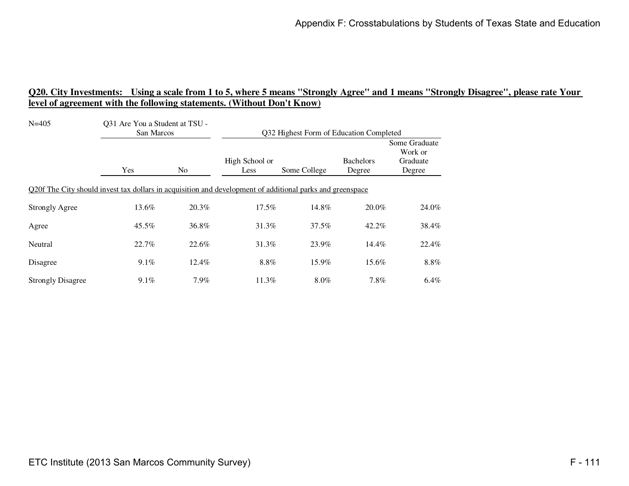| $N = 405$                                                                                                 | Q31 Are You a Student at TSU -<br>San Marcos |       | Q32 Highest Form of Education Completed |              |                            |                                                |
|-----------------------------------------------------------------------------------------------------------|----------------------------------------------|-------|-----------------------------------------|--------------|----------------------------|------------------------------------------------|
|                                                                                                           | Yes                                          | No.   | High School or<br>Less                  | Some College | <b>Bachelors</b><br>Degree | Some Graduate<br>Work or<br>Graduate<br>Degree |
| Q20f The City should invest tax dollars in acquisition and development of additional parks and greenspace |                                              |       |                                         |              |                            |                                                |
| <b>Strongly Agree</b>                                                                                     | 13.6%                                        | 20.3% | 17.5%                                   | 14.8%        | 20.0%                      | 24.0%                                          |
| Agree                                                                                                     | $45.5\%$                                     | 36.8% | 31.3%                                   | 37.5%        | 42.2%                      | 38.4%                                          |
| Neutral                                                                                                   | 22.7%                                        | 22.6% | 31.3%                                   | 23.9%        | 14.4%                      | 22.4%                                          |
| Disagree                                                                                                  | $9.1\%$                                      | 12.4% | 8.8%                                    | 15.9%        | 15.6%                      | 8.8%                                           |
| <b>Strongly Disagree</b>                                                                                  | $9.1\%$                                      | 7.9%  | 11.3%                                   | $8.0\%$      | 7.8%                       | 6.4%                                           |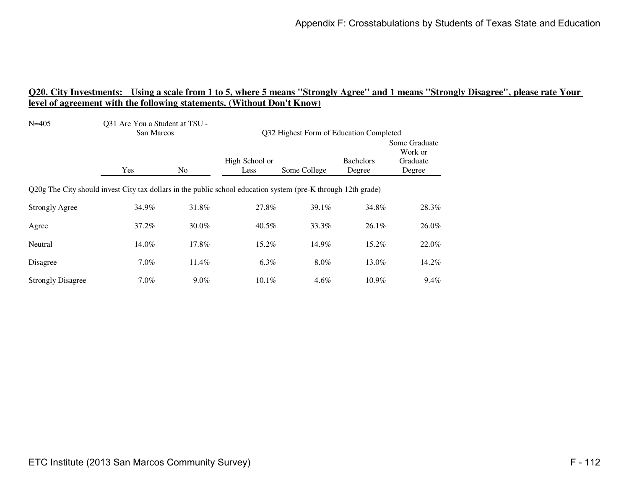| $N = 405$                                                                                                     | Q31 Are You a Student at TSU -<br>San Marcos |                | Q32 Highest Form of Education Completed |              |                            |                                                |
|---------------------------------------------------------------------------------------------------------------|----------------------------------------------|----------------|-----------------------------------------|--------------|----------------------------|------------------------------------------------|
|                                                                                                               | Yes                                          | N <sub>0</sub> | High School or<br>Less                  | Some College | <b>Bachelors</b><br>Degree | Some Graduate<br>Work or<br>Graduate<br>Degree |
| Q20g The City should invest City tax dollars in the public school education system (pre-K through 12th grade) |                                              |                |                                         |              |                            |                                                |
| <b>Strongly Agree</b>                                                                                         | 34.9%                                        | 31.8%          | 27.8%                                   | 39.1%        | 34.8%                      | 28.3%                                          |
| Agree                                                                                                         | 37.2%                                        | 30.0%          | 40.5%                                   | 33.3%        | $26.1\%$                   | 26.0%                                          |
| Neutral                                                                                                       | 14.0%                                        | 17.8%          | 15.2%                                   | 14.9%        | 15.2%                      | 22.0%                                          |
| Disagree                                                                                                      | 7.0%                                         | 11.4%          | $6.3\%$                                 | 8.0%         | 13.0%                      | 14.2%                                          |
| <b>Strongly Disagree</b>                                                                                      | $7.0\%$                                      | $9.0\%$        | $10.1\%$                                | $4.6\%$      | $10.9\%$                   | $9.4\%$                                        |